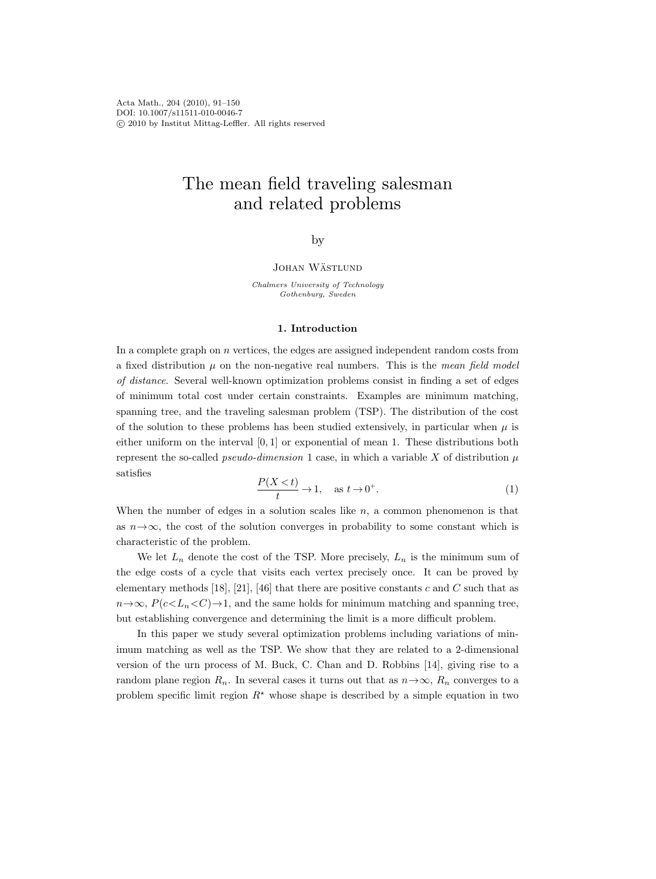Acta Math., 204 (2010), 91–150 DOI: 10.1007/s11511-010-0046-7 c 2010 by Institut Mittag-Leffler. All rights reserved

# The mean field traveling salesman and related problems

# by

# JOHAN WÄSTLUND

Chalmers University of Technology Gothenburg, Sweden

### 1. Introduction

In a complete graph on  $n$  vertices, the edges are assigned independent random costs from a fixed distribution  $\mu$  on the non-negative real numbers. This is the *mean field model* of distance. Several well-known optimization problems consist in finding a set of edges of minimum total cost under certain constraints. Examples are minimum matching, spanning tree, and the traveling salesman problem (TSP). The distribution of the cost of the solution to these problems has been studied extensively, in particular when  $\mu$  is either uniform on the interval  $[0, 1]$  or exponential of mean 1. These distributions both represent the so-called *pseudo-dimension* 1 case, in which a variable X of distribution  $\mu$ satisfies

$$
\frac{P(X < t)}{t} \to 1, \quad \text{as } t \to 0^+.
$$
 (1)

When the number of edges in a solution scales like  $n$ , a common phenomenon is that as  $n \rightarrow \infty$ , the cost of the solution converges in probability to some constant which is characteristic of the problem.

We let  $L_n$  denote the cost of the TSP. More precisely,  $L_n$  is the minimum sum of the edge costs of a cycle that visits each vertex precisely once. It can be proved by elementary methods [18], [21], [46] that there are positive constants c and C such that as  $n \rightarrow \infty$ ,  $P(c < L_n < C) \rightarrow 1$ , and the same holds for minimum matching and spanning tree, but establishing convergence and determining the limit is a more difficult problem.

In this paper we study several optimization problems including variations of minimum matching as well as the TSP. We show that they are related to a 2-dimensional version of the urn process of M. Buck, C. Chan and D. Robbins [14], giving rise to a random plane region  $R_n$ . In several cases it turns out that as  $n \to \infty$ ,  $R_n$  converges to a problem specific limit region  $R^*$  whose shape is described by a simple equation in two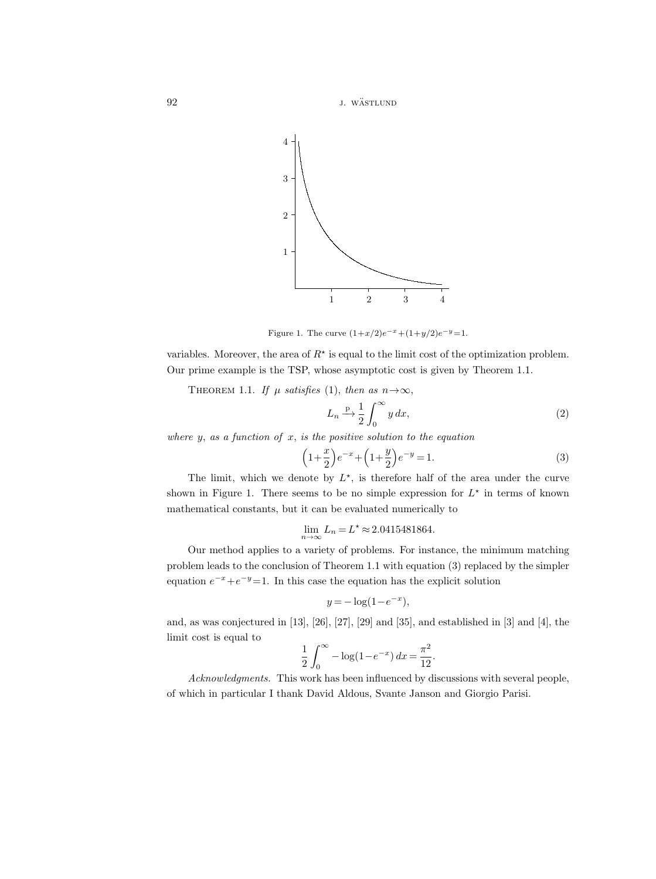92 **j.** wästlund



Figure 1. The curve  $(1+x/2)e^{-x}+(1+y/2)e^{-y}=1$ .

variables. Moreover, the area of  $R^*$  is equal to the limit cost of the optimization problem. Our prime example is the TSP, whose asymptotic cost is given by Theorem 1.1.

THEOREM 1.1. If  $\mu$  satisfies (1), then as  $n \rightarrow \infty$ ,

$$
L_n \xrightarrow{\mathbf{p}} \frac{1}{2} \int_0^\infty y \, dx,\tag{2}
$$

where y, as a function of x, is the positive solution to the equation

$$
\left(1 + \frac{x}{2}\right)e^{-x} + \left(1 + \frac{y}{2}\right)e^{-y} = 1.
$$
\n(3)

The limit, which we denote by  $L^*$ , is therefore half of the area under the curve shown in Figure 1. There seems to be no simple expression for  $L^*$  in terms of known mathematical constants, but it can be evaluated numerically to

$$
\lim_{n \to \infty} L_n = L^{\star} \approx 2.0415481864.
$$

Our method applies to a variety of problems. For instance, the minimum matching problem leads to the conclusion of Theorem 1.1 with equation (3) replaced by the simpler equation  $e^{-x} + e^{-y} = 1$ . In this case the equation has the explicit solution

$$
y = -\log(1 - e^{-x}),
$$

and, as was conjectured in [13], [26], [27], [29] and [35], and established in [3] and [4], the limit cost is equal to

$$
\frac{1}{2} \int_0^\infty -\log(1 - e^{-x}) \, dx = \frac{\pi^2}{12}.
$$

Acknowledgments. This work has been influenced by discussions with several people, of which in particular I thank David Aldous, Svante Janson and Giorgio Parisi.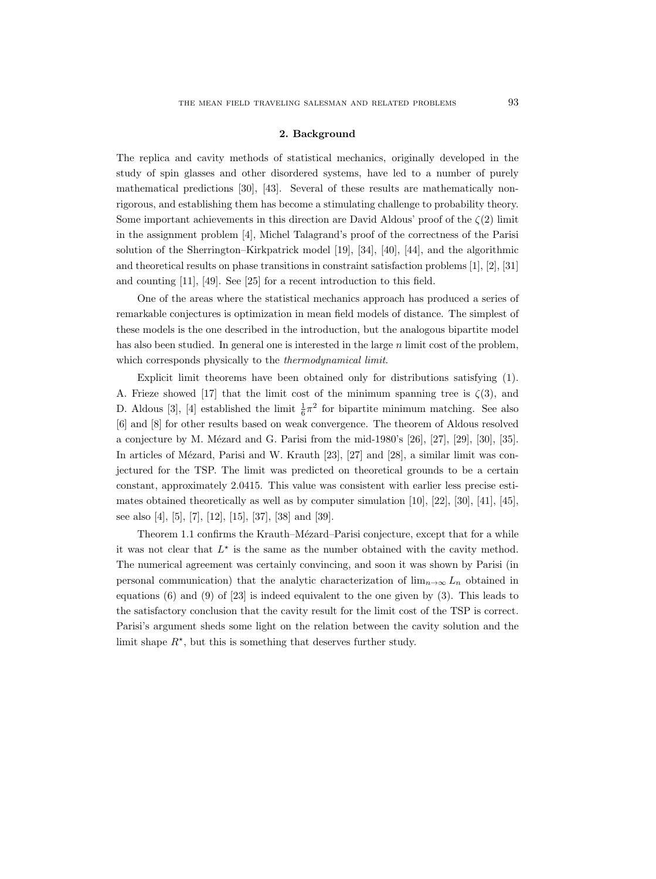#### 2. Background

The replica and cavity methods of statistical mechanics, originally developed in the study of spin glasses and other disordered systems, have led to a number of purely mathematical predictions [30], [43]. Several of these results are mathematically nonrigorous, and establishing them has become a stimulating challenge to probability theory. Some important achievements in this direction are David Aldous' proof of the  $\zeta(2)$  limit in the assignment problem [4], Michel Talagrand's proof of the correctness of the Parisi solution of the Sherrington–Kirkpatrick model [19], [34], [40], [44], and the algorithmic and theoretical results on phase transitions in constraint satisfaction problems [1], [2], [31] and counting [11], [49]. See [25] for a recent introduction to this field.

One of the areas where the statistical mechanics approach has produced a series of remarkable conjectures is optimization in mean field models of distance. The simplest of these models is the one described in the introduction, but the analogous bipartite model has also been studied. In general one is interested in the large  $n$  limit cost of the problem, which corresponds physically to the thermodynamical limit.

Explicit limit theorems have been obtained only for distributions satisfying (1). A. Frieze showed [17] that the limit cost of the minimum spanning tree is  $\zeta(3)$ , and D. Aldous [3], [4] established the limit  $\frac{1}{6}\pi^2$  for bipartite minimum matching. See also [6] and [8] for other results based on weak convergence. The theorem of Aldous resolved a conjecture by M. Mézard and G. Parisi from the mid-1980's [26], [27], [29], [30], [35]. In articles of Mézard, Parisi and W. Krauth [23], [27] and [28], a similar limit was conjectured for the TSP. The limit was predicted on theoretical grounds to be a certain constant, approximately 2.0415. This value was consistent with earlier less precise estimates obtained theoretically as well as by computer simulation [10], [22], [30], [41], [45], see also [4], [5], [7], [12], [15], [37], [38] and [39].

Theorem 1.1 confirms the Krauth–Mézard–Parisi conjecture, except that for a while it was not clear that  $L^*$  is the same as the number obtained with the cavity method. The numerical agreement was certainly convincing, and soon it was shown by Parisi (in personal communication) that the analytic characterization of  $\lim_{n\to\infty} L_n$  obtained in equations  $(6)$  and  $(9)$  of  $[23]$  is indeed equivalent to the one given by  $(3)$ . This leads to the satisfactory conclusion that the cavity result for the limit cost of the TSP is correct. Parisi's argument sheds some light on the relation between the cavity solution and the limit shape  $R^*$ , but this is something that deserves further study.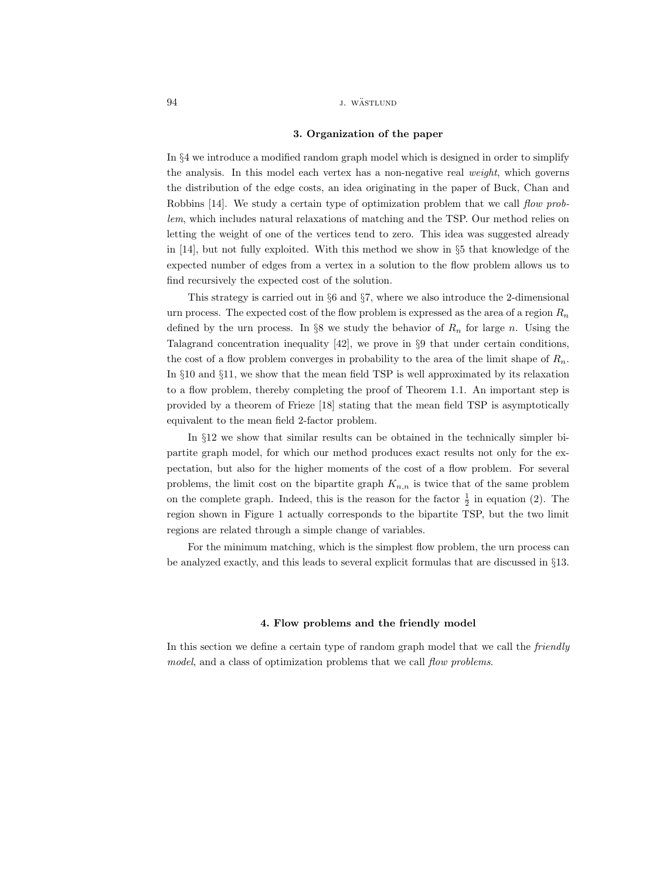### 94 J. WÄSTLUND

#### 3. Organization of the paper

In §4 we introduce a modified random graph model which is designed in order to simplify the analysis. In this model each vertex has a non-negative real weight, which governs the distribution of the edge costs, an idea originating in the paper of Buck, Chan and Robbins [14]. We study a certain type of optimization problem that we call flow problem, which includes natural relaxations of matching and the TSP. Our method relies on letting the weight of one of the vertices tend to zero. This idea was suggested already in [14], but not fully exploited. With this method we show in §5 that knowledge of the expected number of edges from a vertex in a solution to the flow problem allows us to find recursively the expected cost of the solution.

This strategy is carried out in §6 and §7, where we also introduce the 2-dimensional urn process. The expected cost of the flow problem is expressed as the area of a region  $R_n$ defined by the urn process. In §8 we study the behavior of  $R_n$  for large n. Using the Talagrand concentration inequality [42], we prove in §9 that under certain conditions, the cost of a flow problem converges in probability to the area of the limit shape of  $R_n$ . In §10 and §11, we show that the mean field TSP is well approximated by its relaxation to a flow problem, thereby completing the proof of Theorem 1.1. An important step is provided by a theorem of Frieze [18] stating that the mean field TSP is asymptotically equivalent to the mean field 2-factor problem.

In §12 we show that similar results can be obtained in the technically simpler bipartite graph model, for which our method produces exact results not only for the expectation, but also for the higher moments of the cost of a flow problem. For several problems, the limit cost on the bipartite graph  $K_{n,n}$  is twice that of the same problem on the complete graph. Indeed, this is the reason for the factor  $\frac{1}{2}$  in equation (2). The region shown in Figure 1 actually corresponds to the bipartite TSP, but the two limit regions are related through a simple change of variables.

For the minimum matching, which is the simplest flow problem, the urn process can be analyzed exactly, and this leads to several explicit formulas that are discussed in §13.

### 4. Flow problems and the friendly model

In this section we define a certain type of random graph model that we call the *friendly* model, and a class of optimization problems that we call flow problems.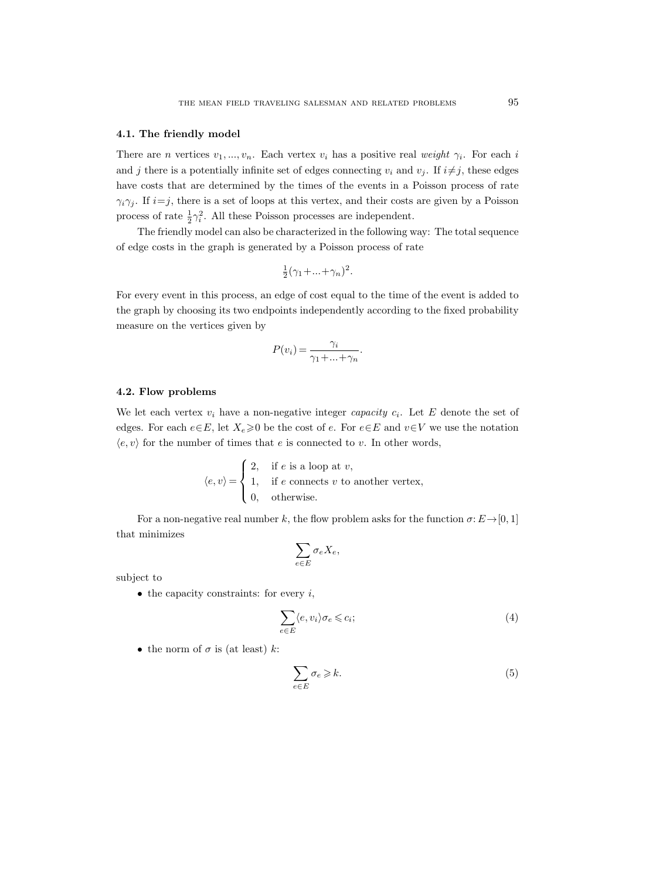### 4.1. The friendly model

There are n vertices  $v_1, ..., v_n$ . Each vertex  $v_i$  has a positive real weight  $\gamma_i$ . For each i and j there is a potentially infinite set of edges connecting  $v_i$  and  $v_j$ . If  $i \neq j$ , these edges have costs that are determined by the times of the events in a Poisson process of rate  $\gamma_i \gamma_j$ . If  $i=j$ , there is a set of loops at this vertex, and their costs are given by a Poisson process of rate  $\frac{1}{2}\gamma_i^2$ . All these Poisson processes are independent.

The friendly model can also be characterized in the following way: The total sequence of edge costs in the graph is generated by a Poisson process of rate

$$
\frac{1}{2}(\gamma_1 + \dots + \gamma_n)^2.
$$

For every event in this process, an edge of cost equal to the time of the event is added to the graph by choosing its two endpoints independently according to the fixed probability measure on the vertices given by

$$
P(v_i) = \frac{\gamma_i}{\gamma_1 + \dots + \gamma_n}.
$$

## 4.2. Flow problems

We let each vertex  $v_i$  have a non-negative integer *capacity*  $c_i$ . Let E denote the set of edges. For each  $e \in E$ , let  $X_e \ge 0$  be the cost of e. For  $e \in E$  and  $v \in V$  we use the notation  $\langle e, v \rangle$  for the number of times that e is connected to v. In other words,

$$
\langle e, v \rangle = \begin{cases} 2, & \text{if } e \text{ is a loop at } v, \\ 1, & \text{if } e \text{ connects } v \text{ to another vertex,} \\ 0, & \text{otherwise.} \end{cases}
$$

For a non-negative real number k, the flow problem asks for the function  $\sigma: E \rightarrow [0, 1]$ that minimizes

$$
\sum_{e \in E} \sigma_e X_e,
$$

subject to

 $\bullet$  the capacity constraints: for every  $i$ ,

$$
\sum_{e \in E} \langle e, v_i \rangle \sigma_e \leqslant c_i; \tag{4}
$$

• the norm of  $\sigma$  is (at least) k:

$$
\sum_{e \in E} \sigma_e \geq k. \tag{5}
$$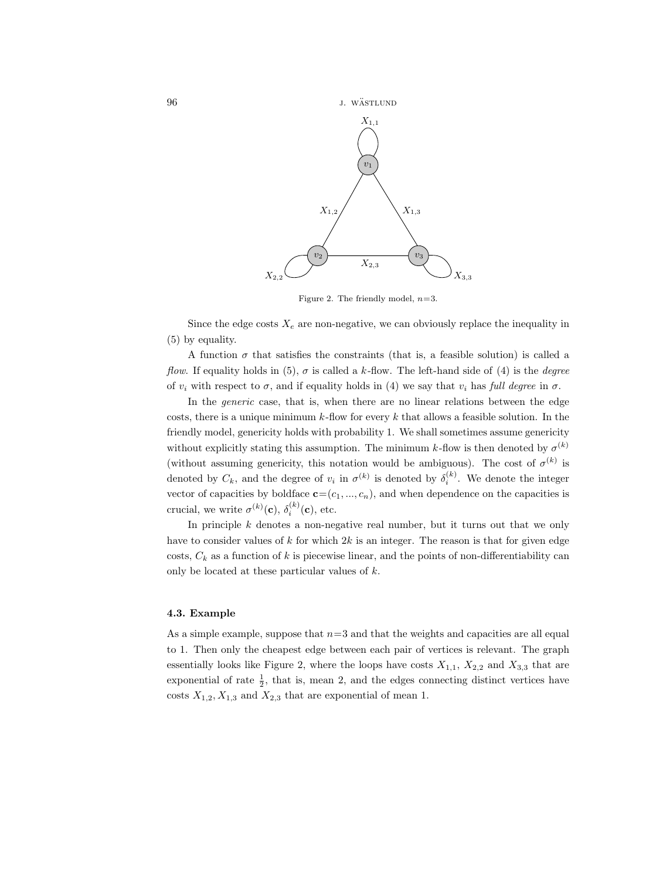96 **j.** wästlund



Figure 2. The friendly model,  $n=3$ .

Since the edge costs  $X_e$  are non-negative, we can obviously replace the inequality in (5) by equality.

A function  $\sigma$  that satisfies the constraints (that is, a feasible solution) is called a flow. If equality holds in (5),  $\sigma$  is called a k-flow. The left-hand side of (4) is the *degree* of  $v_i$  with respect to  $\sigma$ , and if equality holds in (4) we say that  $v_i$  has full degree in  $\sigma$ .

In the *generic* case, that is, when there are no linear relations between the edge costs, there is a unique minimum  $k$ -flow for every k that allows a feasible solution. In the friendly model, genericity holds with probability 1. We shall sometimes assume genericity without explicitly stating this assumption. The minimum k-flow is then denoted by  $\sigma^{(k)}$ (without assuming genericity, this notation would be ambiguous). The cost of  $\sigma^{(k)}$  is denoted by  $C_k$ , and the degree of  $v_i$  in  $\sigma^{(k)}$  is denoted by  $\delta_i^{(k)}$ . We denote the integer vector of capacities by boldface  $\mathbf{c}=(c_1, ..., c_n)$ , and when dependence on the capacities is crucial, we write  $\sigma^{(k)}(\mathbf{c}), \delta_i^{(k)}(\mathbf{c}),$  etc.

In principle  $k$  denotes a non-negative real number, but it turns out that we only have to consider values of  $k$  for which  $2k$  is an integer. The reason is that for given edge costs,  $C_k$  as a function of k is piecewise linear, and the points of non-differentiability can only be located at these particular values of  $k$ .

### 4.3. Example

As a simple example, suppose that  $n=3$  and that the weights and capacities are all equal to 1. Then only the cheapest edge between each pair of vertices is relevant. The graph essentially looks like Figure 2, where the loops have costs  $X_{1,1}$ ,  $X_{2,2}$  and  $X_{3,3}$  that are exponential of rate  $\frac{1}{2}$ , that is, mean 2, and the edges connecting distinct vertices have costs  $X_{1,2}, X_{1,3}$  and  $X_{2,3}$  that are exponential of mean 1.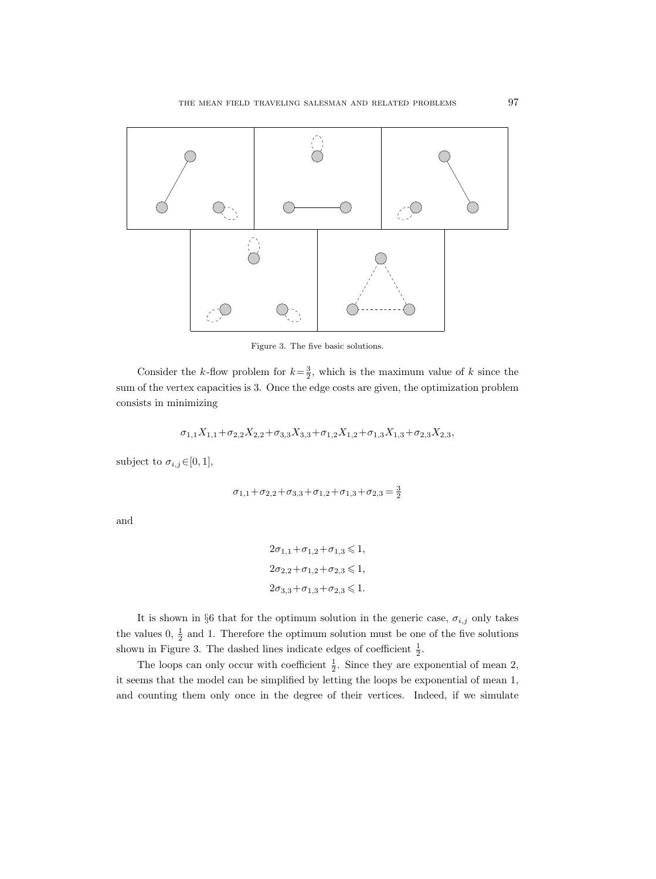

Figure 3. The five basic solutions.

Consider the k-flow problem for  $k=\frac{3}{2}$ , which is the maximum value of k since the sum of the vertex capacities is 3. Once the edge costs are given, the optimization problem consists in minimizing

$$
\sigma_{1,1}X_{1,1} + \sigma_{2,2}X_{2,2} + \sigma_{3,3}X_{3,3} + \sigma_{1,2}X_{1,2} + \sigma_{1,3}X_{1,3} + \sigma_{2,3}X_{2,3},
$$

subject to  $\sigma_{i,j} \in [0,1],$ 

$$
\sigma_{1,1} + \sigma_{2,2} + \sigma_{3,3} + \sigma_{1,2} + \sigma_{1,3} + \sigma_{2,3} = \frac{3}{2}
$$

and

$$
\begin{aligned} &2\sigma_{1,1}+\sigma_{1,2}+\sigma_{1,3}\leqslant 1,\\ &2\sigma_{2,2}+\sigma_{1,2}+\sigma_{2,3}\leqslant 1,\\ &2\sigma_{3,3}+\sigma_{1,3}+\sigma_{2,3}\leqslant 1. \end{aligned}
$$

It is shown in §6 that for the optimum solution in the generic case,  $\sigma_{i,j}$  only takes the values  $0, \frac{1}{2}$  and 1. Therefore the optimum solution must be one of the five solutions shown in Figure 3. The dashed lines indicate edges of coefficient  $\frac{1}{2}$ .

The loops can only occur with coefficient  $\frac{1}{2}$ . Since they are exponential of mean 2, it seems that the model can be simplified by letting the loops be exponential of mean 1, and counting them only once in the degree of their vertices. Indeed, if we simulate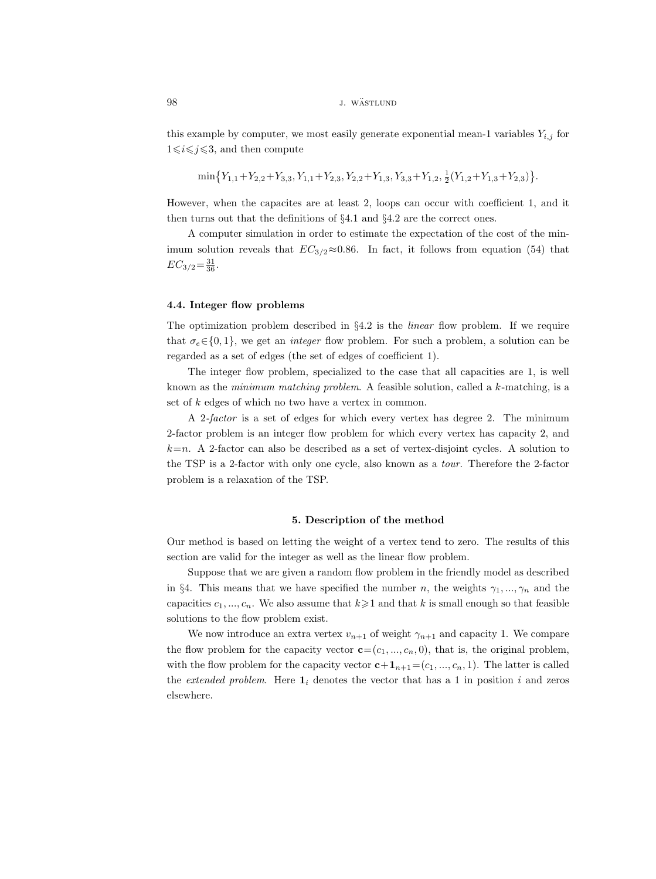# 98 *j. wästlund*

this example by computer, we most easily generate exponential mean-1 variables  $Y_{i,j}$  for  $1 \leq i \leq j \leq 3$ , and then compute

$$
\min\big\{Y_{1,1}+Y_{2,2}+Y_{3,3},Y_{1,1}+Y_{2,3},Y_{2,2}+Y_{1,3},Y_{3,3}+Y_{1,2},\frac{1}{2}(Y_{1,2}+Y_{1,3}+Y_{2,3})\big\}.
$$

However, when the capacites are at least 2, loops can occur with coefficient 1, and it then turns out that the definitions of §4.1 and §4.2 are the correct ones.

A computer simulation in order to estimate the expectation of the cost of the minimum solution reveals that  $EC_{3/2} \approx 0.86$ . In fact, it follows from equation (54) that  $EC_{3/2} = \frac{31}{36}$ .

# 4.4. Integer flow problems

The optimization problem described in  $\S 4.2$  is the *linear* flow problem. If we require that  $\sigma_e \in \{0, 1\}$ , we get an *integer* flow problem. For such a problem, a solution can be regarded as a set of edges (the set of edges of coefficient 1).

The integer flow problem, specialized to the case that all capacities are 1, is well known as the *minimum matching problem.* A feasible solution, called a  $k$ -matching, is a set of k edges of which no two have a vertex in common.

A 2-factor is a set of edges for which every vertex has degree 2. The minimum 2-factor problem is an integer flow problem for which every vertex has capacity 2, and  $k=n$ . A 2-factor can also be described as a set of vertex-disjoint cycles. A solution to the TSP is a 2-factor with only one cycle, also known as a tour. Therefore the 2-factor problem is a relaxation of the TSP.

### 5. Description of the method

Our method is based on letting the weight of a vertex tend to zero. The results of this section are valid for the integer as well as the linear flow problem.

Suppose that we are given a random flow problem in the friendly model as described in §4. This means that we have specified the number n, the weights  $\gamma_1, ..., \gamma_n$  and the capacities  $c_1, ..., c_n$ . We also assume that  $k \geq 1$  and that k is small enough so that feasible solutions to the flow problem exist.

We now introduce an extra vertex  $v_{n+1}$  of weight  $\gamma_{n+1}$  and capacity 1. We compare the flow problem for the capacity vector  $\mathbf{c}=(c_1, ..., c_n, 0)$ , that is, the original problem, with the flow problem for the capacity vector  $c+1_{n+1}=(c_1, ..., c_n, 1)$ . The latter is called the extended problem. Here  $\mathbf{1}_i$  denotes the vector that has a 1 in position i and zeros elsewhere.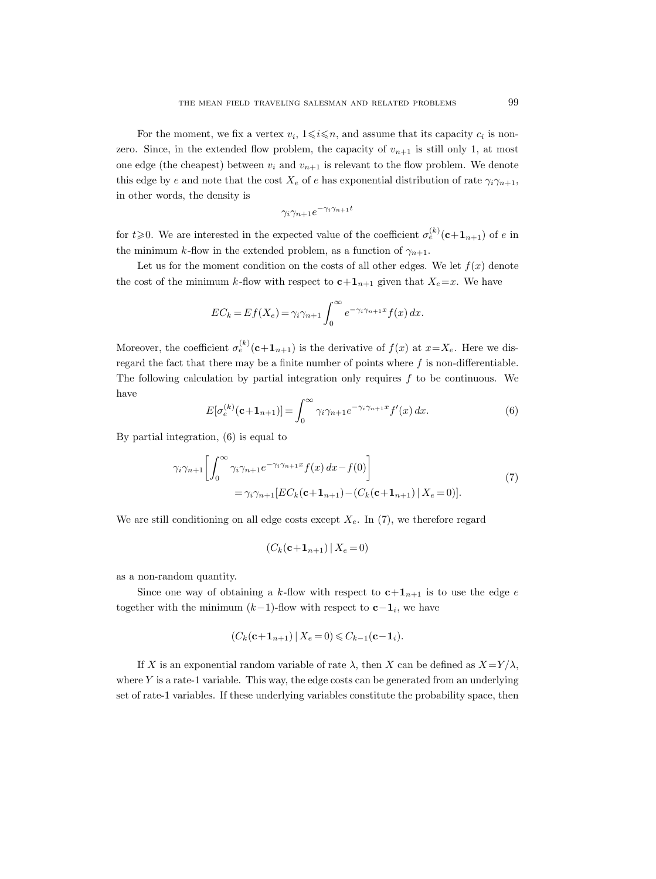For the moment, we fix a vertex  $v_i$ ,  $1 \leq i \leq n$ , and assume that its capacity  $c_i$  is nonzero. Since, in the extended flow problem, the capacity of  $v_{n+1}$  is still only 1, at most one edge (the cheapest) between  $v_i$  and  $v_{n+1}$  is relevant to the flow problem. We denote this edge by e and note that the cost  $X_e$  of e has exponential distribution of rate  $\gamma_i \gamma_{n+1}$ , in other words, the density is

$$
\gamma_i \gamma_{n+1} e^{-\gamma_i \gamma_{n+1} t}
$$

for  $t \geqslant 0$ . We are interested in the expected value of the coefficient  $\sigma_e^{(k)}(\mathbf{c}+\mathbf{1}_{n+1})$  of e in the minimum k-flow in the extended problem, as a function of  $\gamma_{n+1}$ .

Let us for the moment condition on the costs of all other edges. We let  $f(x)$  denote the cost of the minimum k-flow with respect to  $c+1_{n+1}$  given that  $X_e=x$ . We have

$$
EC_k = Ef(X_e) = \gamma_i \gamma_{n+1} \int_0^\infty e^{-\gamma_i \gamma_{n+1} x} f(x) dx.
$$

Moreover, the coefficient  $\sigma_e^{(k)}(c+1_{n+1})$  is the derivative of  $f(x)$  at  $x=X_e$ . Here we disregard the fact that there may be a finite number of points where  $f$  is non-differentiable. The following calculation by partial integration only requires  $f$  to be continuous. We have

$$
E[\sigma_e^{(k)}(\mathbf{c}+\mathbf{1}_{n+1})] = \int_0^\infty \gamma_i \gamma_{n+1} e^{-\gamma_i \gamma_{n+1} x} f'(x) dx.
$$
 (6)

By partial integration, (6) is equal to

$$
\gamma_i \gamma_{n+1} \left[ \int_0^\infty \gamma_i \gamma_{n+1} e^{-\gamma_i \gamma_{n+1} x} f(x) dx - f(0) \right]
$$
  
=  $\gamma_i \gamma_{n+1} \left[ EC_k(\mathbf{c} + \mathbf{1}_{n+1}) - (C_k(\mathbf{c} + \mathbf{1}_{n+1}) \mid X_e = 0) \right].$  (7)

We are still conditioning on all edge costs except  $X_e$ . In (7), we therefore regard

$$
(C_k(\mathbf{c}+\mathbf{1}_{n+1})\,|\,X_e=0)
$$

as a non-random quantity.

Since one way of obtaining a k-flow with respect to  $c+1_{n+1}$  is to use the edge e together with the minimum  $(k-1)$ -flow with respect to  $c-1_i$ , we have

$$
(C_k(c+\mathbf{1}_{n+1}) \,|\, X_e=0) \leqslant C_{k-1}(c-\mathbf{1}_i).
$$

If X is an exponential random variable of rate  $\lambda$ , then X can be defined as  $X=Y/\lambda$ , where  $Y$  is a rate-1 variable. This way, the edge costs can be generated from an underlying set of rate-1 variables. If these underlying variables constitute the probability space, then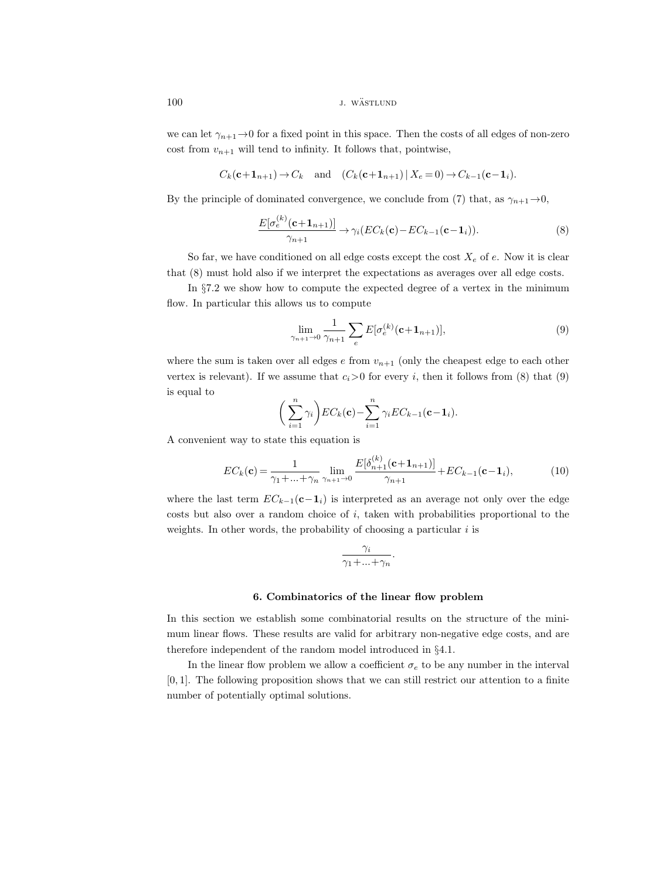100 *j. wästlund* 

we can let  $\gamma_{n+1} \to 0$  for a fixed point in this space. Then the costs of all edges of non-zero cost from  $v_{n+1}$  will tend to infinity. It follows that, pointwise,

$$
C_k(\mathbf{c}+\mathbf{1}_{n+1}) \to C_k \quad \text{and} \quad (C_k(\mathbf{c}+\mathbf{1}_{n+1}) \mid X_e = 0) \to C_{k-1}(\mathbf{c}-\mathbf{1}_i).
$$

By the principle of dominated convergence, we conclude from (7) that, as  $\gamma_{n+1} \rightarrow 0$ ,

$$
\frac{E[\sigma_e^{(k)}(\mathbf{c}+\mathbf{1}_{n+1})]}{\gamma_{n+1}} \to \gamma_i (EC_k(\mathbf{c}) - EC_{k-1}(\mathbf{c}-\mathbf{1}_i)).
$$
\n(8)

So far, we have conditioned on all edge costs except the cost  $X_e$  of e. Now it is clear that (8) must hold also if we interpret the expectations as averages over all edge costs.

In §7.2 we show how to compute the expected degree of a vertex in the minimum flow. In particular this allows us to compute

$$
\lim_{\gamma_{n+1}\to 0} \frac{1}{\gamma_{n+1}} \sum_{e} E[\sigma_e^{(k)}(\mathbf{c}+\mathbf{1}_{n+1})],\tag{9}
$$

where the sum is taken over all edges  $e$  from  $v_{n+1}$  (only the cheapest edge to each other vertex is relevant). If we assume that  $c_i>0$  for every i, then it follows from (8) that (9) is equal to

$$
\left(\sum_{i=1}^n \gamma_i\right) EC_k(\mathbf{c}) - \sum_{i=1}^n \gamma_i EC_{k-1}(\mathbf{c}-\mathbf{1}_i).
$$

A convenient way to state this equation is

 $\lambda$ 

$$
EC_k(\mathbf{c}) = \frac{1}{\gamma_1 + ... + \gamma_n} \lim_{\gamma_{n+1} \to 0} \frac{E[\delta_{n+1}^{(k)}(\mathbf{c} + \mathbf{1}_{n+1})]}{\gamma_{n+1}} + EC_{k-1}(\mathbf{c} - \mathbf{1}_i),\tag{10}
$$

where the last term  $EC_{k-1}(\mathbf{c}-\mathbf{1}_i)$  is interpreted as an average not only over the edge costs but also over a random choice of  $i$ , taken with probabilities proportional to the weights. In other words, the probability of choosing a particular  $i$  is

$$
\frac{\gamma_i}{\gamma_1 + \dots + \gamma_n}.
$$

#### 6. Combinatorics of the linear flow problem

In this section we establish some combinatorial results on the structure of the minimum linear flows. These results are valid for arbitrary non-negative edge costs, and are therefore independent of the random model introduced in §4.1.

In the linear flow problem we allow a coefficient  $\sigma_e$  to be any number in the interval [0, 1]. The following proposition shows that we can still restrict our attention to a finite number of potentially optimal solutions.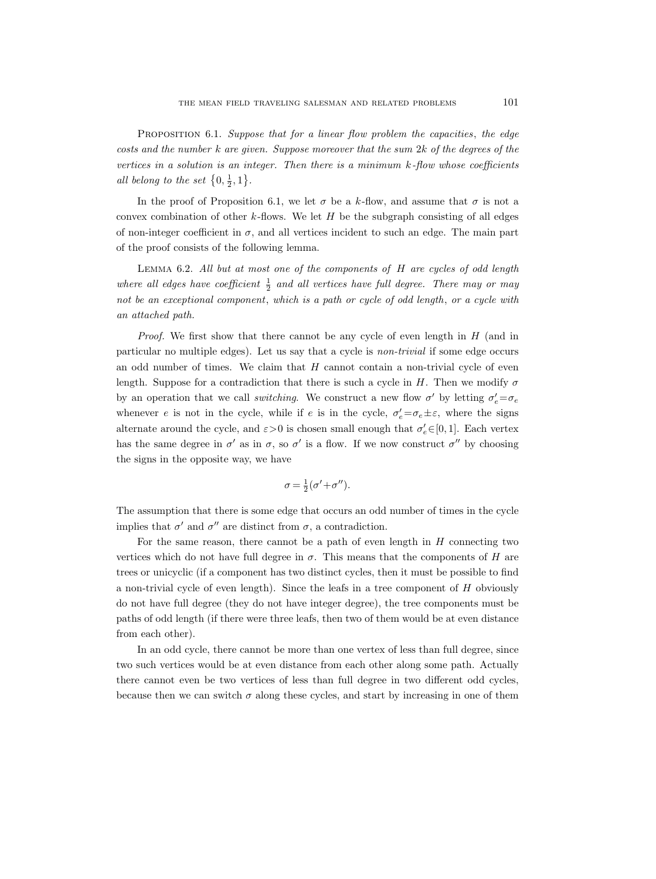PROPOSITION 6.1. Suppose that for a linear flow problem the capacities, the edge costs and the number k are given. Suppose moreover that the sum 2k of the degrees of the vertices in a solution is an integer. Then there is a minimum  $k$ -flow whose coefficients all belong to the set  $\{0, \frac{1}{2}, 1\}$ .

In the proof of Proposition 6.1, we let  $\sigma$  be a k-flow, and assume that  $\sigma$  is not a convex combination of other k-flows. We let  $H$  be the subgraph consisting of all edges of non-integer coefficient in  $\sigma$ , and all vertices incident to such an edge. The main part of the proof consists of the following lemma.

Lemma 6.2. All but at most one of the components of H are cycles of odd length where all edges have coefficient  $\frac{1}{2}$  and all vertices have full degree. There may or may not be an exceptional component, which is a path or cycle of odd length, or a cycle with an attached path.

*Proof.* We first show that there cannot be any cycle of even length in  $H$  (and in particular no multiple edges). Let us say that a cycle is non-trivial if some edge occurs an odd number of times. We claim that  $H$  cannot contain a non-trivial cycle of even length. Suppose for a contradiction that there is such a cycle in H. Then we modify  $\sigma$ by an operation that we call *switching*. We construct a new flow  $\sigma'$  by letting  $\sigma'_{e} = \sigma_{e}$ whenever e is not in the cycle, while if e is in the cycle,  $\sigma'_e = \sigma_e \pm \varepsilon$ , where the signs alternate around the cycle, and  $\varepsilon > 0$  is chosen small enough that  $\sigma'_{e} \in [0, 1]$ . Each vertex has the same degree in  $\sigma'$  as in  $\sigma$ , so  $\sigma'$  is a flow. If we now construct  $\sigma''$  by choosing the signs in the opposite way, we have

$$
\sigma = \frac{1}{2}(\sigma' + \sigma'').
$$

The assumption that there is some edge that occurs an odd number of times in the cycle implies that  $\sigma'$  and  $\sigma''$  are distinct from  $\sigma$ , a contradiction.

For the same reason, there cannot be a path of even length in  $H$  connecting two vertices which do not have full degree in  $\sigma$ . This means that the components of H are trees or unicyclic (if a component has two distinct cycles, then it must be possible to find a non-trivial cycle of even length). Since the leafs in a tree component of  $H$  obviously do not have full degree (they do not have integer degree), the tree components must be paths of odd length (if there were three leafs, then two of them would be at even distance from each other).

In an odd cycle, there cannot be more than one vertex of less than full degree, since two such vertices would be at even distance from each other along some path. Actually there cannot even be two vertices of less than full degree in two different odd cycles, because then we can switch  $\sigma$  along these cycles, and start by increasing in one of them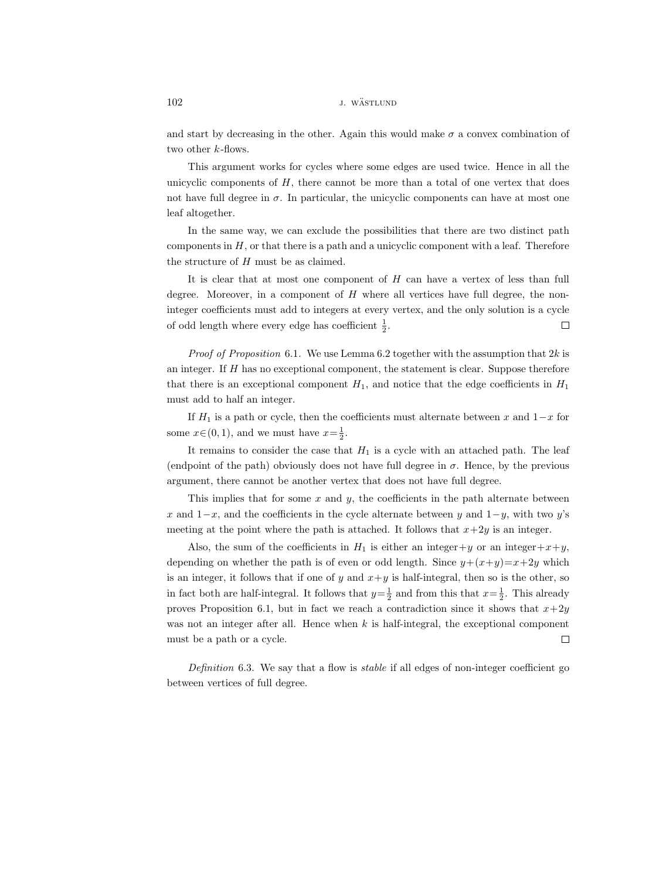and start by decreasing in the other. Again this would make  $\sigma$  a convex combination of two other  $k$ -flows.

This argument works for cycles where some edges are used twice. Hence in all the unicyclic components of  $H$ , there cannot be more than a total of one vertex that does not have full degree in  $\sigma$ . In particular, the unicyclic components can have at most one leaf altogether.

In the same way, we can exclude the possibilities that there are two distinct path components in  $H$ , or that there is a path and a unicyclic component with a leaf. Therefore the structure of H must be as claimed.

It is clear that at most one component of  $H$  can have a vertex of less than full degree. Moreover, in a component of  $H$  where all vertices have full degree, the noninteger coefficients must add to integers at every vertex, and the only solution is a cycle of odd length where every edge has coefficient  $\frac{1}{2}$ .  $\Box$ 

*Proof of Proposition* 6.1. We use Lemma 6.2 together with the assumption that  $2k$  is an integer. If  $H$  has no exceptional component, the statement is clear. Suppose therefore that there is an exceptional component  $H_1$ , and notice that the edge coefficients in  $H_1$ must add to half an integer.

If  $H_1$  is a path or cycle, then the coefficients must alternate between x and  $1-x$  for some  $x \in (0, 1)$ , and we must have  $x = \frac{1}{2}$ .

It remains to consider the case that  $H_1$  is a cycle with an attached path. The leaf (endpoint of the path) obviously does not have full degree in  $\sigma$ . Hence, by the previous argument, there cannot be another vertex that does not have full degree.

This implies that for some  $x$  and  $y$ , the coefficients in the path alternate between x and  $1-x$ , and the coefficients in the cycle alternate between y and  $1-y$ , with two y's meeting at the point where the path is attached. It follows that  $x+2y$  is an integer.

Also, the sum of the coefficients in  $H_1$  is either an integer + y or an integer + x+y, depending on whether the path is of even or odd length. Since  $y+(x+y)=x+2y$  which is an integer, it follows that if one of y and  $x+y$  is half-integral, then so is the other, so in fact both are half-integral. It follows that  $y = \frac{1}{2}$  and from this that  $x = \frac{1}{2}$ . This already proves Proposition 6.1, but in fact we reach a contradiction since it shows that  $x+2y$ was not an integer after all. Hence when  $k$  is half-integral, the exceptional component must be a path or a cycle.  $\Box$ 

Definition 6.3. We say that a flow is *stable* if all edges of non-integer coefficient go between vertices of full degree.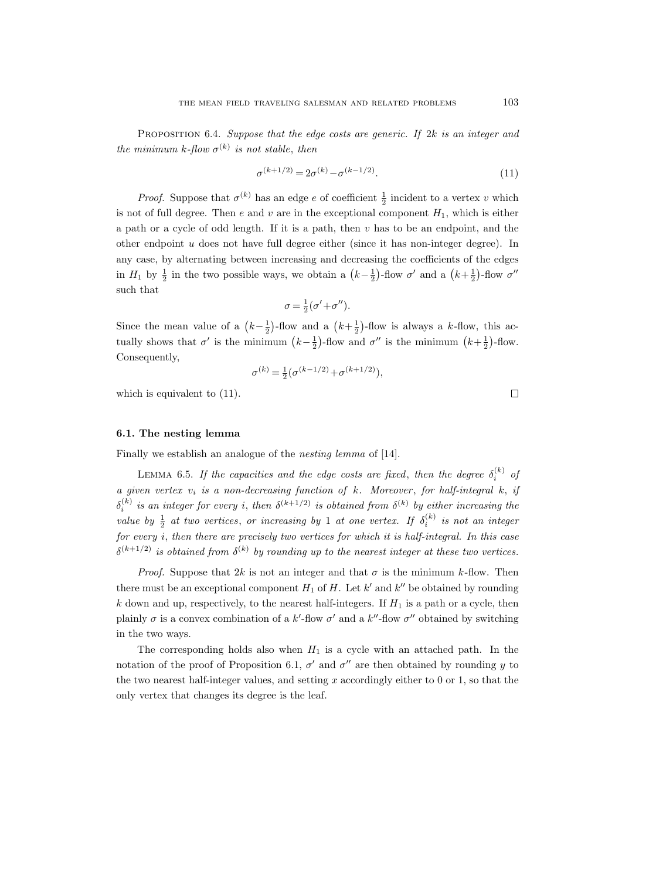PROPOSITION 6.4. Suppose that the edge costs are generic. If  $2k$  is an integer and the minimum k-flow  $\sigma^{(k)}$  is not stable, then

$$
\sigma^{(k+1/2)} = 2\sigma^{(k)} - \sigma^{(k-1/2)}.
$$
\n(11)

*Proof.* Suppose that  $\sigma^{(k)}$  has an edge e of coefficient  $\frac{1}{2}$  incident to a vertex v which is not of full degree. Then  $e$  and  $v$  are in the exceptional component  $H_1$ , which is either a path or a cycle of odd length. If it is a path, then  $v$  has to be an endpoint, and the other endpoint  $u$  does not have full degree either (since it has non-integer degree). In any case, by alternating between increasing and decreasing the coefficients of the edges in  $H_1$  by  $\frac{1}{2}$  in the two possible ways, we obtain a  $(k-\frac{1}{2})$ -flow  $\sigma'$  and a  $(k+\frac{1}{2})$ -flow  $\sigma''$ such that

$$
\sigma = \frac{1}{2}(\sigma' + \sigma'').
$$

Since the mean value of a  $(k-\frac{1}{2})$ -flow and a  $(k+\frac{1}{2})$ -flow is always a k-flow, this actually shows that  $\sigma'$  is the minimum  $(k-\frac{1}{2})$ -flow and  $\sigma''$  is the minimum  $(k+\frac{1}{2})$ -flow. Consequently,

$$
\sigma^{(k)} = \tfrac{1}{2} \big( \sigma^{(k-1/2)} + \sigma^{(k+1/2)} \big),
$$

which is equivalent to  $(11)$ .

# 6.1. The nesting lemma

Finally we establish an analogue of the nesting lemma of [14].

LEMMA 6.5. If the capacities and the edge costs are fixed, then the degree  $\delta_i^{(k)}$  of a given vertex  $v_i$  is a non-decreasing function of k. Moreover, for half-integral k, if  $\delta_i^{(k)}$  is an integer for every i, then  $\delta^{(k+1/2)}$  is obtained from  $\delta^{(k)}$  by either increasing the value by  $\frac{1}{2}$  at two vertices, or increasing by 1 at one vertex. If  $\delta_i^{(k)}$  is not an integer for every i, then there are precisely two vertices for which it is half-integral. In this case  $\delta^{(k+1/2)}$  is obtained from  $\delta^{(k)}$  by rounding up to the nearest integer at these two vertices.

*Proof.* Suppose that 2k is not an integer and that  $\sigma$  is the minimum k-flow. Then there must be an exceptional component  $H_1$  of  $H$ . Let  $k'$  and  $k''$  be obtained by rounding k down and up, respectively, to the nearest half-integers. If  $H_1$  is a path or a cycle, then plainly  $\sigma$  is a convex combination of a k'-flow  $\sigma'$  and a k''-flow  $\sigma''$  obtained by switching in the two ways.

The corresponding holds also when  $H_1$  is a cycle with an attached path. In the notation of the proof of Proposition 6.1,  $\sigma'$  and  $\sigma''$  are then obtained by rounding y to the two nearest half-integer values, and setting  $x$  accordingly either to  $0$  or  $1$ , so that the only vertex that changes its degree is the leaf.

 $\Box$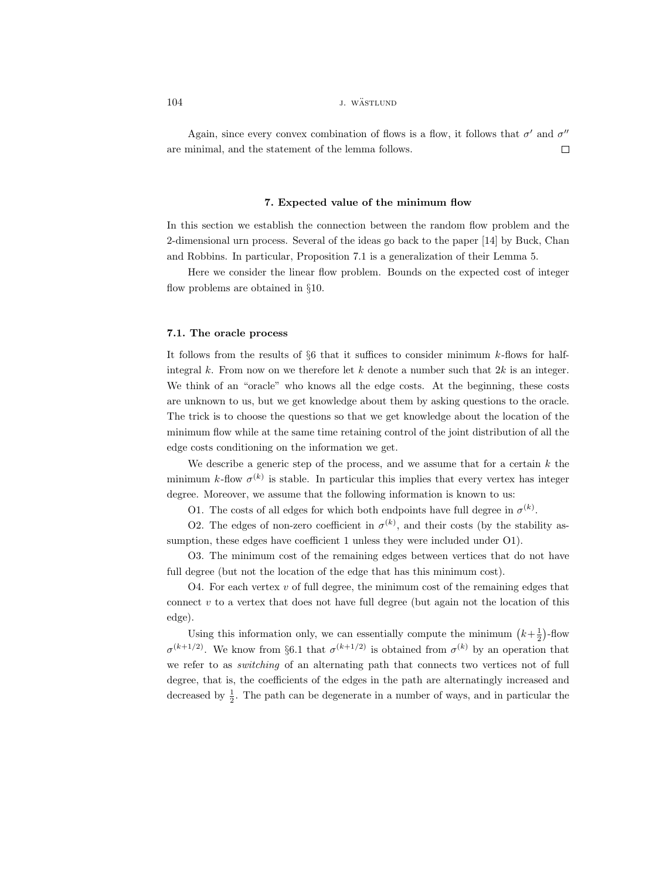# 104 *j. wästlund*

Again, since every convex combination of flows is a flow, it follows that  $\sigma'$  and  $\sigma''$ are minimal, and the statement of the lemma follows.  $\Box$ 

### 7. Expected value of the minimum flow

In this section we establish the connection between the random flow problem and the 2-dimensional urn process. Several of the ideas go back to the paper [14] by Buck, Chan and Robbins. In particular, Proposition 7.1 is a generalization of their Lemma 5.

Here we consider the linear flow problem. Bounds on the expected cost of integer flow problems are obtained in §10.

#### 7.1. The oracle process

It follows from the results of  $\S6$  that it suffices to consider minimum k-flows for halfintegral  $k$ . From now on we therefore let  $k$  denote a number such that  $2k$  is an integer. We think of an "oracle" who knows all the edge costs. At the beginning, these costs are unknown to us, but we get knowledge about them by asking questions to the oracle. The trick is to choose the questions so that we get knowledge about the location of the minimum flow while at the same time retaining control of the joint distribution of all the edge costs conditioning on the information we get.

We describe a generic step of the process, and we assume that for a certain  $k$  the minimum k-flow  $\sigma^{(k)}$  is stable. In particular this implies that every vertex has integer degree. Moreover, we assume that the following information is known to us:

O1. The costs of all edges for which both endpoints have full degree in  $\sigma^{(k)}$ .

O2. The edges of non-zero coefficient in  $\sigma^{(k)}$ , and their costs (by the stability assumption, these edges have coefficient 1 unless they were included under O1).

O3. The minimum cost of the remaining edges between vertices that do not have full degree (but not the location of the edge that has this minimum cost).

O4. For each vertex  $v$  of full degree, the minimum cost of the remaining edges that connect  $v$  to a vertex that does not have full degree (but again not the location of this edge).

Using this information only, we can essentially compute the minimum  $(k+\frac{1}{2})$ -flow  $\sigma^{(k+1/2)}$ . We know from §6.1 that  $\sigma^{(k+1/2)}$  is obtained from  $\sigma^{(k)}$  by an operation that we refer to as *switching* of an alternating path that connects two vertices not of full degree, that is, the coefficients of the edges in the path are alternatingly increased and decreased by  $\frac{1}{2}$ . The path can be degenerate in a number of ways, and in particular the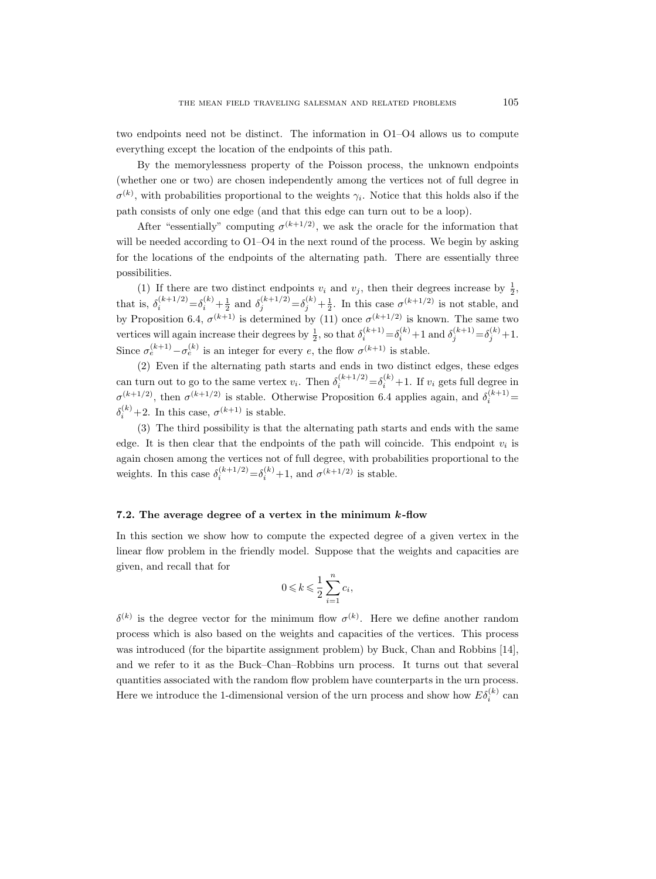two endpoints need not be distinct. The information in O1–O4 allows us to compute everything except the location of the endpoints of this path.

By the memorylessness property of the Poisson process, the unknown endpoints (whether one or two) are chosen independently among the vertices not of full degree in  $\sigma^{(k)}$ , with probabilities proportional to the weights  $\gamma_i$ . Notice that this holds also if the path consists of only one edge (and that this edge can turn out to be a loop).

After "essentially" computing  $\sigma^{(k+1/2)}$ , we ask the oracle for the information that will be needed according to  $O1-O4$  in the next round of the process. We begin by asking for the locations of the endpoints of the alternating path. There are essentially three possibilities.

(1) If there are two distinct endpoints  $v_i$  and  $v_j$ , then their degrees increase by  $\frac{1}{2}$ , that is,  $\delta_i^{(k+1/2)} = \delta_i^{(k)} + \frac{1}{2}$  and  $\delta_j^{(k+1/2)} = \delta_j^{(k)} + \frac{1}{2}$ . In this case  $\sigma^{(k+1/2)}$  is not stable, and 2 and  $v_j$   $-v_j$   $2$ by Proposition 6.4,  $\sigma^{(k+1)}$  is determined by (11) once  $\sigma^{(k+1/2)}$  is known. The same two vertices will again increase their degrees by  $\frac{1}{2}$ , so that  $\delta_i^{(k+1)} = \delta_i^{(k)} + 1$  and  $\delta_j^{(k+1)} = \delta_j^{(k)} + 1$ . Since  $\sigma_e^{(k+1)} - \sigma_e^{(k)}$  is an integer for every e, the flow  $\sigma^{(k+1)}$  is stable.

(2) Even if the alternating path starts and ends in two distinct edges, these edges can turn out to go to the same vertex  $v_i$ . Then  $\delta_i^{(k+1/2)} = \delta_i^{(k)} + 1$ . If  $v_i$  gets full degree in  $\sigma^{(k+1/2)}$ , then  $\sigma^{(k+1/2)}$  is stable. Otherwise Proposition 6.4 applies again, and  $\delta_i^{(k+1)}$  =  $\delta_i^{(k)}$  +2. In this case,  $\sigma^{(k+1)}$  is stable.

(3) The third possibility is that the alternating path starts and ends with the same edge. It is then clear that the endpoints of the path will coincide. This endpoint  $v_i$  is again chosen among the vertices not of full degree, with probabilities proportional to the weights. In this case  $\delta_i^{(k+1/2)} = \delta_i^{(k)} + 1$ , and  $\sigma^{(k+1/2)}$  is stable.

### 7.2. The average degree of a vertex in the minimum k-flow

In this section we show how to compute the expected degree of a given vertex in the linear flow problem in the friendly model. Suppose that the weights and capacities are given, and recall that for

$$
0 \leqslant k \leqslant \frac{1}{2} \sum_{i=1}^{n} c_i,
$$

 $\delta^{(k)}$  is the degree vector for the minimum flow  $\sigma^{(k)}$ . Here we define another random process which is also based on the weights and capacities of the vertices. This process was introduced (for the bipartite assignment problem) by Buck, Chan and Robbins [14], and we refer to it as the Buck–Chan–Robbins urn process. It turns out that several quantities associated with the random flow problem have counterparts in the urn process. Here we introduce the 1-dimensional version of the urn process and show how  $E\delta_i^{(k)}$  can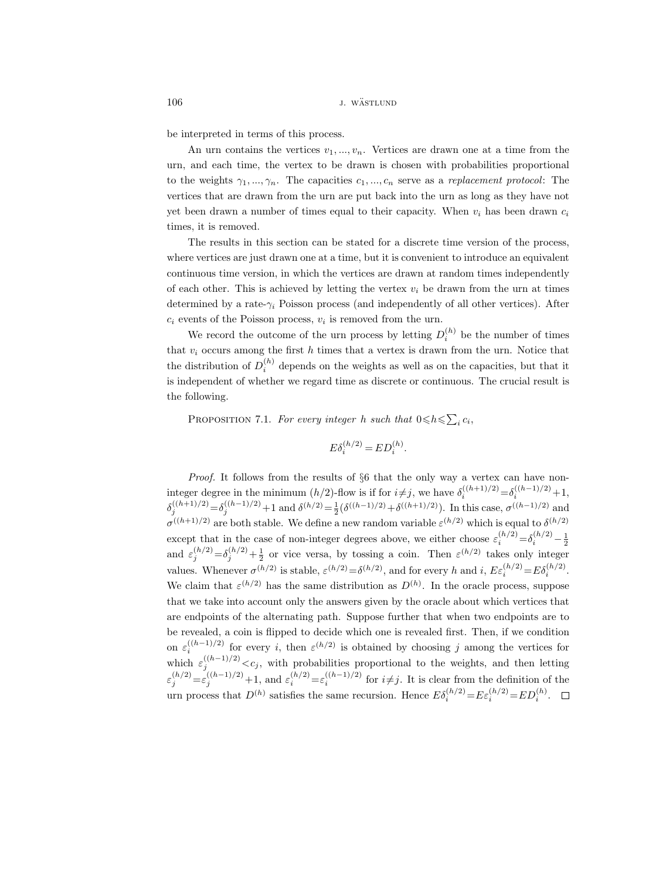be interpreted in terms of this process.

An urn contains the vertices  $v_1, ..., v_n$ . Vertices are drawn one at a time from the urn, and each time, the vertex to be drawn is chosen with probabilities proportional to the weights  $\gamma_1, ..., \gamma_n$ . The capacities  $c_1, ..., c_n$  serve as a replacement protocol: The vertices that are drawn from the urn are put back into the urn as long as they have not yet been drawn a number of times equal to their capacity. When  $v_i$  has been drawn  $c_i$ times, it is removed.

The results in this section can be stated for a discrete time version of the process, where vertices are just drawn one at a time, but it is convenient to introduce an equivalent continuous time version, in which the vertices are drawn at random times independently of each other. This is achieved by letting the vertex  $v_i$  be drawn from the urn at times determined by a rate- $\gamma_i$  Poisson process (and independently of all other vertices). After  $c_i$  events of the Poisson process,  $v_i$  is removed from the urn.

We record the outcome of the urn process by letting  $D_i^{(h)}$  be the number of times that  $v_i$  occurs among the first h times that a vertex is drawn from the urn. Notice that the distribution of  $D_i^{(h)}$  depends on the weights as well as on the capacities, but that it is independent of whether we regard time as discrete or continuous. The crucial result is the following.

PROPOSITION 7.1. For every integer h such that  $0 \le h \le \sum_i c_i$ ,

$$
E\delta_i^{(h/2)} = ED_i^{(h)}
$$

.

Proof. It follows from the results of §6 that the only way a vertex can have noninteger degree in the minimum  $(h/2)$ -flow is if for  $i \neq j$ , we have  $\delta_i^{((h+1)/2)} = \delta_i^{((h-1)/2)} + 1$ ,  $\delta_j^{((h+1)/2)} = \delta_j^{((h-1)/2)} + 1$  and  $\delta^{(h/2)} = \frac{1}{2} (\delta^{((h-1)/2)} + \delta^{((h+1)/2)})$ . In this case,  $\sigma^{((h-1)/2)}$  and  $\sigma^{((h+1)/2)}$  are both stable. We define a new random variable  $\varepsilon^{(h/2)}$  which is equal to  $\delta^{(h/2)}$ except that in the case of non-integer degrees above, we either choose  $\varepsilon_i^{(h/2)} = \delta_i^{(h/2)} - \frac{1}{2}$ and  $\varepsilon_j^{(h/2)} = \delta_j^{(h/2)} + \frac{1}{2}$  or vice versa, by tossing a coin. Then  $\varepsilon^{(h/2)}$  takes only integer values. Whenever  $\sigma^{(h/2)}$  is stable,  $\varepsilon^{(h/2)} = \delta^{(h/2)}$ , and for every h and i,  $E \varepsilon_i^{(h/2)} = E \delta_i^{(h/2)}$ . We claim that  $\varepsilon^{(h/2)}$  has the same distribution as  $D^{(h)}$ . In the oracle process, suppose that we take into account only the answers given by the oracle about which vertices that are endpoints of the alternating path. Suppose further that when two endpoints are to be revealed, a coin is flipped to decide which one is revealed first. Then, if we condition on  $\varepsilon_i^{((h-1)/2)}$  for every i, then  $\varepsilon^{(h/2)}$  is obtained by choosing j among the vertices for i which  $\varepsilon_j^{((h-1)/2)} < c_j$ , with probabilities proportional to the weights, and then letting  $\varepsilon_j^{(h/2)} = \varepsilon_j^{((h-1)/2)} + 1$ , and  $\varepsilon_i^{(h/2)} = \varepsilon_i^{((h-1)/2)}$  for  $i \neq j$ . It is clear from the definition of the urn process that  $D^{(h)}$  satisfies the same recursion. Hence  $E\delta_i^{(h/2)} = E\varepsilon_i^{(h/2)} = ED_i^{(h)}$ .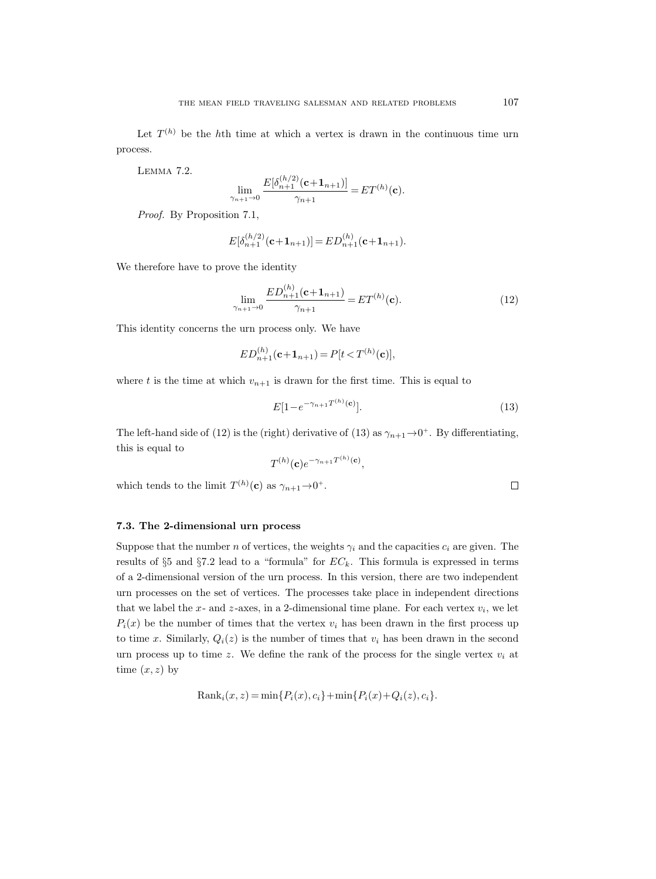Let  $T^{(h)}$  be the hth time at which a vertex is drawn in the continuous time urn process.

Lemma 7.2.

$$
\lim_{\gamma_{n+1}\to 0} \frac{E[\delta_{n+1}^{(h/2)}(\mathbf{c}+\mathbf{1}_{n+1})]}{\gamma_{n+1}} = ET^{(h)}(\mathbf{c}).
$$

Proof. By Proposition 7.1,

$$
E[\delta_{n+1}^{(h/2)}(\mathbf{c}+\mathbf{1}_{n+1})] = ED_{n+1}^{(h)}(\mathbf{c}+\mathbf{1}_{n+1}).
$$

We therefore have to prove the identity

$$
\lim_{\gamma_{n+1}\to 0} \frac{ED_{n+1}^{(h)}(\mathbf{c}+\mathbf{1}_{n+1})}{\gamma_{n+1}} = ET^{(h)}(\mathbf{c}).
$$
\n(12)

This identity concerns the urn process only. We have

$$
ED_{n+1}^{(h)}(\mathbf{c}+\mathbf{1}_{n+1}) = P[t < T^{(h)}(\mathbf{c})],
$$

where t is the time at which  $v_{n+1}$  is drawn for the first time. This is equal to

$$
E[1 - e^{-\gamma_{n+1}T^{(h)}(c)}].
$$
\n(13)

The left-hand side of (12) is the (right) derivative of (13) as  $\gamma_{n+1} \rightarrow 0^+$ . By differentiating, this is equal to

$$
T^{(h)}(\mathbf{c})e^{-\gamma_{n+1}T^{(h)}(\mathbf{c})},
$$

which tends to the limit  $T^{(h)}(\mathbf{c})$  as  $\gamma_{n+1} \to 0^+$ .

### 7.3. The 2-dimensional urn process

Suppose that the number n of vertices, the weights  $\gamma_i$  and the capacities  $c_i$  are given. The results of  $\S5$  and  $\S7.2$  lead to a "formula" for  $EC_k$ . This formula is expressed in terms of a 2-dimensional version of the urn process. In this version, there are two independent urn processes on the set of vertices. The processes take place in independent directions that we label the x- and z-axes, in a 2-dimensional time plane. For each vertex  $v_i$ , we let  $P_i(x)$  be the number of times that the vertex  $v_i$  has been drawn in the first process up to time x. Similarly,  $Q_i(z)$  is the number of times that  $v_i$  has been drawn in the second urn process up to time z. We define the rank of the process for the single vertex  $v_i$  at time  $(x, z)$  by

$$
Rank_i(x, z) = \min\{P_i(x), c_i\} + \min\{P_i(x) + Q_i(z), c_i\}.
$$

 $\Box$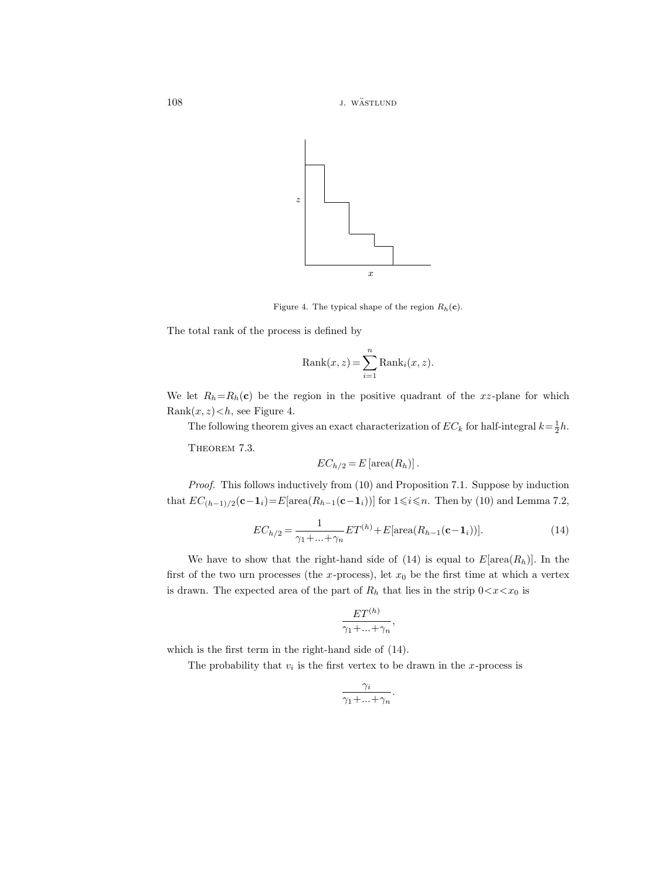108 *j. wästlund* 



Figure 4. The typical shape of the region  $R_h(\mathbf{c})$ .

The total rank of the process is defined by

$$
Rank(x,z) = \sum_{i=1}^{n} Rank_i(x,z).
$$

We let  $R_h=R_h(c)$  be the region in the positive quadrant of the xz-plane for which Rank $(x, z) < h$ , see Figure 4.

The following theorem gives an exact characterization of  $EC_k$  for half-integral  $k = \frac{1}{2}h$ .

THEOREM 7.3.

$$
EC_{h/2} = E \left[ \operatorname{area}(R_h) \right].
$$

Proof. This follows inductively from (10) and Proposition 7.1. Suppose by induction that  $EC_{(h-1)/2}(\mathbf{c}-\mathbf{1}_i) = E[\text{area}(R_{h-1}(\mathbf{c}-\mathbf{1}_i))]$  for  $1 \leq i \leq n$ . Then by (10) and Lemma 7.2,

$$
EC_{h/2} = \frac{1}{\gamma_1 + \dots + \gamma_n} ET^{(h)} + E[\text{area}(R_{h-1}(\mathbf{c} - \mathbf{1}_i))].
$$
\n(14)

We have to show that the right-hand side of (14) is equal to  $E[\text{area}(R_h)]$ . In the first of the two urn processes (the x-process), let  $x_0$  be the first time at which a vertex is drawn. The expected area of the part of  $R_h$  that lies in the strip  $0 < x < x_0$  is

$$
\frac{ET^{(h)}}{\gamma_1 + \dots + \gamma_n},
$$

which is the first term in the right-hand side of (14).

The probability that  $v_i$  is the first vertex to be drawn in the x-process is

$$
\frac{\gamma_i}{\gamma_1 + \dots + \gamma_n}.
$$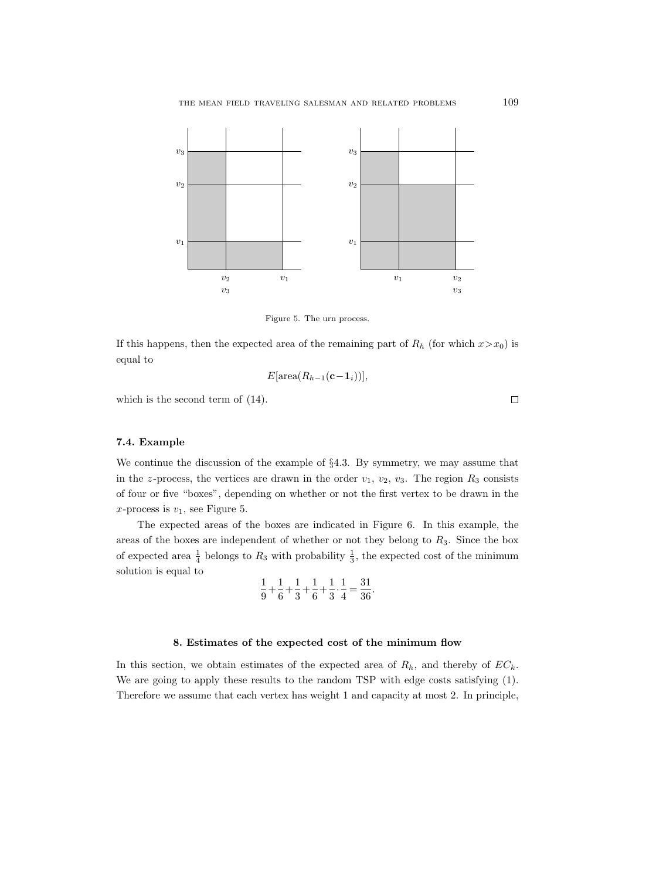

Figure 5. The urn process.

If this happens, then the expected area of the remaining part of  $R_h$  (for which  $x > x_0$ ) is equal to

$$
E[\operatorname{area}(R_{h-1}(\mathbf{c}-\mathbf{1}_i))],
$$

which is the second term of (14).

# 7.4. Example

We continue the discussion of the example of §4.3. By symmetry, we may assume that in the z-process, the vertices are drawn in the order  $v_1$ ,  $v_2$ ,  $v_3$ . The region  $R_3$  consists of four or five "boxes", depending on whether or not the first vertex to be drawn in the x-process is  $v_1$ , see Figure 5.

The expected areas of the boxes are indicated in Figure 6. In this example, the areas of the boxes are independent of whether or not they belong to  $R_3$ . Since the box of expected area  $\frac{1}{4}$  belongs to  $R_3$  with probability  $\frac{1}{3}$ , the expected cost of the minimum solution is equal to

$$
\frac{1}{9} + \frac{1}{6} + \frac{1}{3} + \frac{1}{6} + \frac{1}{3} \cdot \frac{1}{4} = \frac{31}{36}.
$$

### 8. Estimates of the expected cost of the minimum flow

In this section, we obtain estimates of the expected area of  $R_h$ , and thereby of  $EC_k$ . We are going to apply these results to the random TSP with edge costs satisfying (1). Therefore we assume that each vertex has weight 1 and capacity at most 2. In principle,

 $\Box$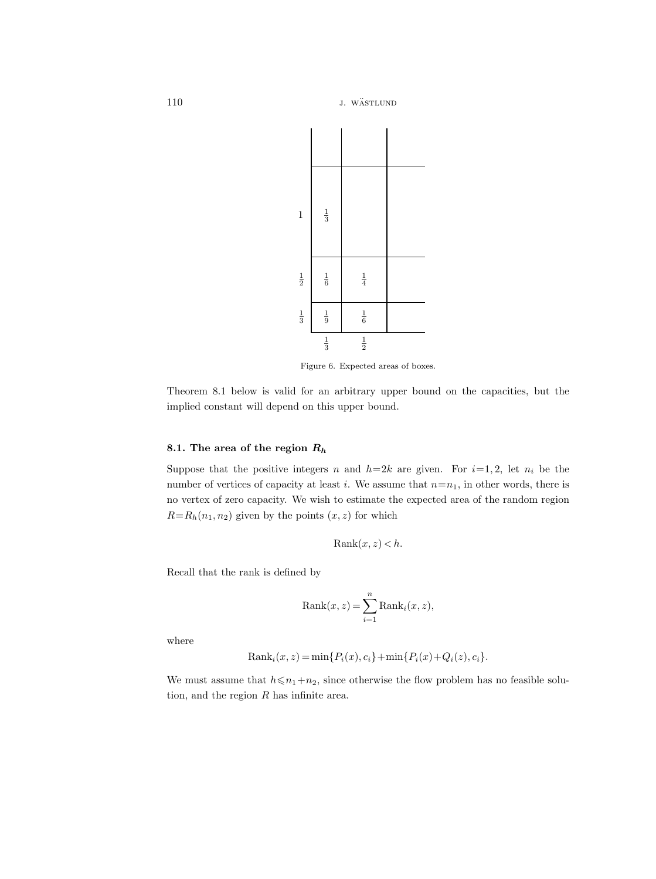110 **j**. wästlund



Figure 6. Expected areas of boxes.

Theorem 8.1 below is valid for an arbitrary upper bound on the capacities, but the implied constant will depend on this upper bound.

# 8.1. The area of the region  $R_h$

Suppose that the positive integers n and  $h=2k$  are given. For  $i=1, 2$ , let  $n_i$  be the number of vertices of capacity at least i. We assume that  $n=n_1$ , in other words, there is no vertex of zero capacity. We wish to estimate the expected area of the random region  $R=R_h(n_1, n_2)$  given by the points  $(x, z)$  for which

$$
Rank(x,z) < h.
$$

Recall that the rank is defined by

$$
Rank(x,z) = \sum_{i=1}^{n} Rank_i(x,z),
$$

where

Rank<sub>i</sub>(x, z) = min{
$$
P_i(x), c_i
$$
} + min{ $P_i(x)$ + $Q_i(z), c_i$  }.

We must assume that  $h \le n_1+n_2$ , since otherwise the flow problem has no feasible solution, and the region  $R$  has infinite area.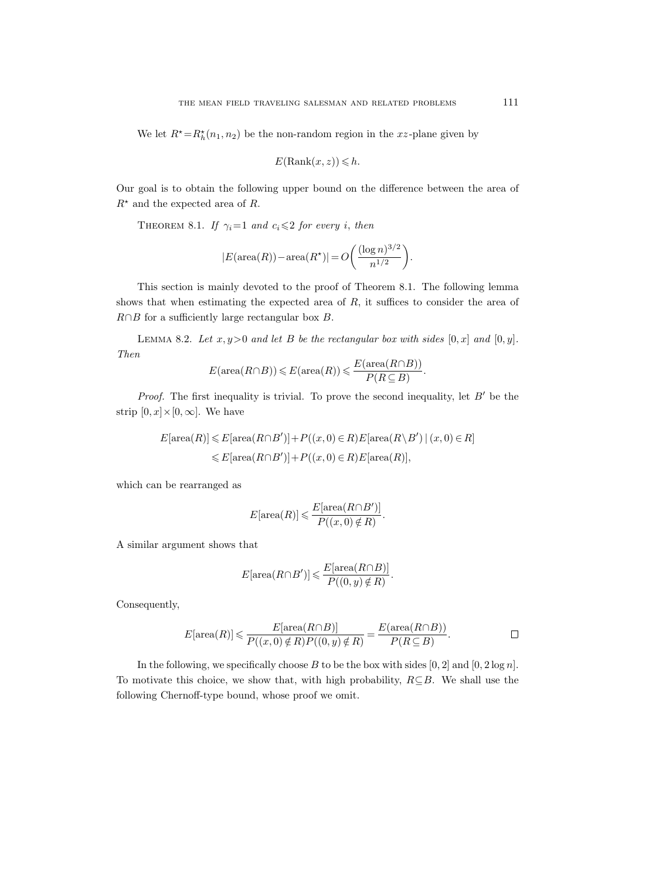We let  $R^* = R_h^*(n_1, n_2)$  be the non-random region in the xz-plane given by

$$
E(\operatorname{Rank}(x,z)) \le h.
$$

Our goal is to obtain the following upper bound on the difference between the area of  $R^*$  and the expected area of R.

THEOREM 8.1. If  $\gamma_i=1$  and  $c_i \leq 2$  for every i, then

$$
|E(\operatorname{area}(R)) - \operatorname{area}(R^\star)| = O\bigg(\frac{(\log n)^{3/2}}{n^{1/2}}\bigg).
$$

This section is mainly devoted to the proof of Theorem 8.1. The following lemma shows that when estimating the expected area of  $R$ , it suffices to consider the area of  $R \cap B$  for a sufficiently large rectangular box  $B$ .

LEMMA 8.2. Let  $x, y>0$  and let B be the rectangular box with sides  $[0, x]$  and  $[0, y]$ . Then

$$
E(\text{area}(R \cap B)) \leqslant E(\text{area}(R)) \leqslant \frac{E(\text{area}(R \cap B))}{P(R \subseteq B)}.
$$

*Proof.* The first inequality is trivial. To prove the second inequality, let  $B'$  be the strip  $[0, x] \times [0, \infty]$ . We have

$$
E[\operatorname{area}(R)] \leq E[\operatorname{area}(R \cap B')] + P((x, 0) \in R)E[\operatorname{area}(R \setminus B') | (x, 0) \in R]
$$
  

$$
\leq E[\operatorname{area}(R \cap B')] + P((x, 0) \in R)E[\operatorname{area}(R)],
$$

which can be rearranged as

$$
E[\operatorname{area}(R)] \leqslant \frac{E[\operatorname{area}(R \cap B')]}{P((x,0) \notin R)}.
$$

A similar argument shows that

$$
E[\operatorname{area}(R \cap B')] \leqslant \frac{E[\operatorname{area}(R \cap B)]}{P((0, y) \notin R)}.
$$

Consequently,

$$
E[\operatorname{area}(R)] \leqslant \frac{E[\operatorname{area}(R \cap B)]}{P((x, 0) \notin R)P((0, y) \notin R)} = \frac{E(\operatorname{area}(R \cap B))}{P(R \subseteq B)}.
$$

In the following, we specifically choose B to be the box with sides  $[0, 2]$  and  $[0, 2 \log n]$ . To motivate this choice, we show that, with high probability,  $R\subseteq B$ . We shall use the following Chernoff-type bound, whose proof we omit.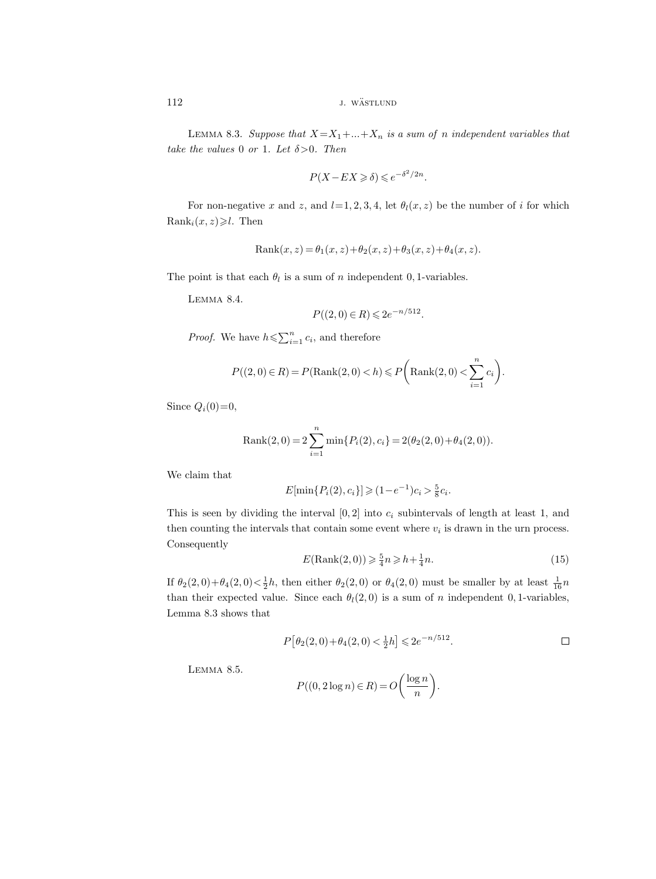LEMMA 8.3. Suppose that  $X = X_1 + ... + X_n$  is a sum of n independent variables that take the values 0 or 1. Let  $\delta > 0$ . Then

$$
P(X - EX \ge \delta) \le e^{-\delta^2/2n}.
$$

For non-negative x and z, and  $l=1, 2, 3, 4$ , let  $\theta_l(x, z)$  be the number of i for which Rank<sub>i</sub> $(x, z) \ge l$ . Then

Rank
$$
(x, z) = \theta_1(x, z) + \theta_2(x, z) + \theta_3(x, z) + \theta_4(x, z)
$$
.

The point is that each  $\theta_l$  is a sum of n independent 0, 1-variables.

Lemma 8.4.

$$
P((2,0) \in R) \leq 2e^{-n/512}.
$$

*Proof.* We have  $h \leq \sum_{i=1}^{n} c_i$ , and therefore

$$
P((2,0) \in R) = P(\text{Rank}(2,0) < h) \leq P\left(\text{Rank}(2,0) < \sum_{i=1}^{n} c_i\right).
$$

Since  $Q_i(0)=0$ ,

Rank(2,0) = 
$$
2 \sum_{i=1}^{n} \min\{P_i(2), c_i\} = 2(\theta_2(2,0) + \theta_4(2,0)).
$$

We claim that

$$
E[\min\{P_i(2), c_i\}] \geq (1 - e^{-1})c_i > \frac{5}{8}c_i.
$$

This is seen by dividing the interval  $[0, 2]$  into  $c_i$  subintervals of length at least 1, and then counting the intervals that contain some event where  $v_i$  is drawn in the urn process. Consequently

$$
E(\text{Rank}(2,0)) \ge \frac{5}{4}n \ge h + \frac{1}{4}n. \tag{15}
$$

If  $\theta_2(2,0)+\theta_4(2,0) < \frac{1}{2}h$ , then either  $\theta_2(2,0)$  or  $\theta_4(2,0)$  must be smaller by at least  $\frac{1}{16}n$ than their expected value. Since each  $\theta_l(2,0)$  is a sum of n independent 0, 1-variables, Lemma 8.3 shows that

$$
P[\theta_2(2,0) + \theta_4(2,0) < \frac{1}{2}h] \leqslant 2e^{-n/512}.
$$

Lemma 8.5.

$$
P((0, 2\log n) \in R) = O\left(\frac{\log n}{n}\right).
$$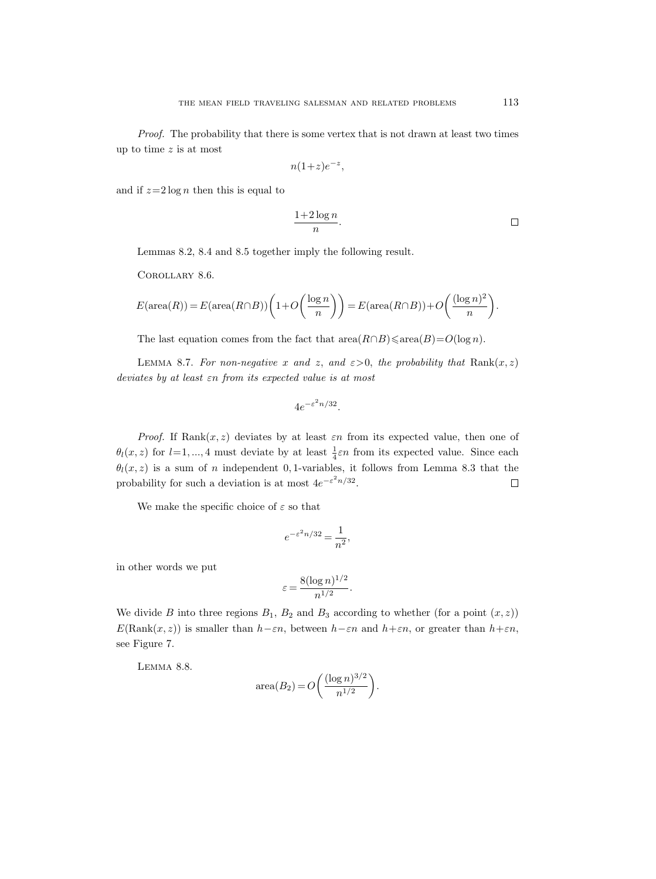Proof. The probability that there is some vertex that is not drawn at least two times up to time  $z$  is at most

$$
n(1+z)e^{-z},
$$

and if  $z=2 \log n$  then this is equal to

$$
\frac{1+2\log n}{n}.
$$

Lemmas 8.2, 8.4 and 8.5 together imply the following result.

Corollary 8.6.

$$
E(\operatorname{area}(R)) = E(\operatorname{area}(R \cap B)) \left( 1 + O\left(\frac{\log n}{n}\right) \right) = E(\operatorname{area}(R \cap B)) + O\left(\frac{(\log n)^2}{n}\right).
$$

The last equation comes from the fact that  $area(R \cap B) \leq area(B) = O(log n)$ .

LEMMA 8.7. For non-negative x and z, and  $\varepsilon > 0$ , the probability that Rank $(x, z)$ deviates by at least εn from its expected value is at most

$$
4e^{-\varepsilon^2 n/32}.
$$

*Proof.* If Rank $(x, z)$  deviates by at least  $\varepsilon n$  from its expected value, then one of  $\theta_l(x, z)$  for  $l = 1, ..., 4$  must deviate by at least  $\frac{1}{4}\varepsilon n$  from its expected value. Since each  $\theta_l(x, z)$  is a sum of n independent 0, 1-variables, it follows from Lemma 8.3 that the probability for such a deviation is at most  $4e^{-\varepsilon^2 n/32}$ .  $\Box$ 

We make the specific choice of  $\varepsilon$  so that

$$
e^{-\varepsilon^2 n/32} = \frac{1}{n^2},
$$

in other words we put

$$
\varepsilon = \frac{8(\log n)^{1/2}}{n^{1/2}}.
$$

We divide B into three regions  $B_1$ ,  $B_2$  and  $B_3$  according to whether (for a point  $(x, z)$ )  $E(\text{Rank}(x, z))$  is smaller than  $h-\varepsilon n$ , between  $h-\varepsilon n$  and  $h+\varepsilon n$ , or greater than  $h+\varepsilon n$ , see Figure 7.

Lemma 8.8.

area
$$
(B_2) = O\left(\frac{(\log n)^{3/2}}{n^{1/2}}\right).
$$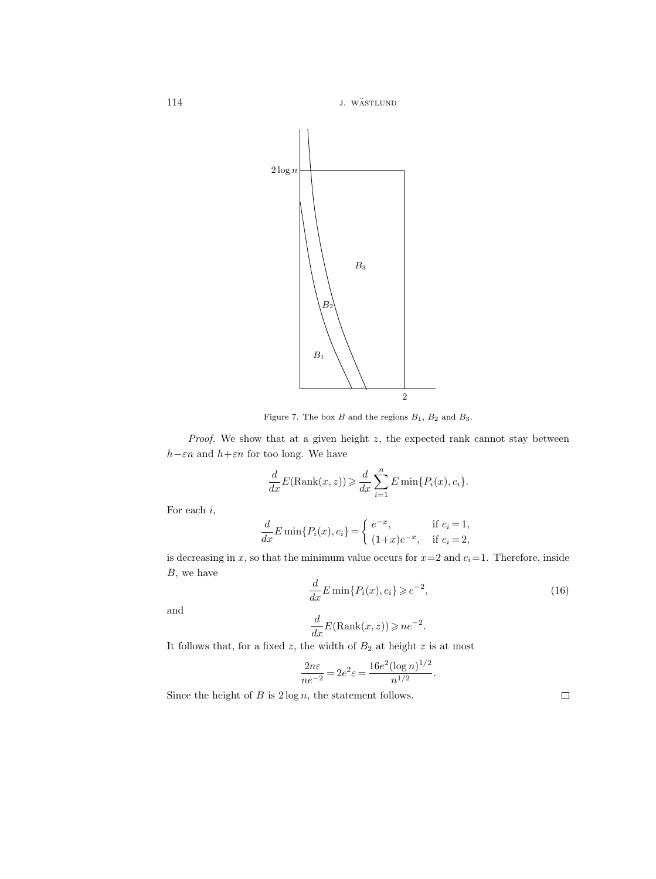114 J. WÄSTLUND



Figure 7. The box  $B$  and the regions  $B_1$ ,  $B_2$  and  $B_3$ .

*Proof.* We show that at a given height  $z$ , the expected rank cannot stay between  $h-\varepsilon n$  and  $h+\varepsilon n$  for too long. We have

$$
\frac{d}{dx}E(\text{Rank}(x,z)) \geq \frac{d}{dx}\sum_{i=1}^{n}E\min\{P_i(x),c_i\}.
$$

For each i,

$$
\frac{d}{dx}E\min\{P_i(x),c_i\} = \begin{cases} e^{-x}, & \text{if } c_i = 1, \\ (1+x)e^{-x}, & \text{if } c_i = 2, \end{cases}
$$

is decreasing in x, so that the minimum value occurs for  $x=2$  and  $c_i=1$ . Therefore, inside  $B$ , we have

$$
\frac{d}{dx}E\min\{P_i(x),c_i\} \ge e^{-2},\tag{16}
$$

.

and

$$
\frac{d}{dx}E(\text{Rank}(x,z)) \ge n e^{-2}.
$$

It follows that, for a fixed  $z$ , the width of  $B_2$  at height  $z$  is at most

$$
\frac{2n\varepsilon}{ne^{-2}} = 2e^2\varepsilon = \frac{16e^2(\log n)^{1/2}}{n^{1/2}}
$$

Since the height of  $B$  is  $2 \log n$ , the statement follows.

 $\Box$ 

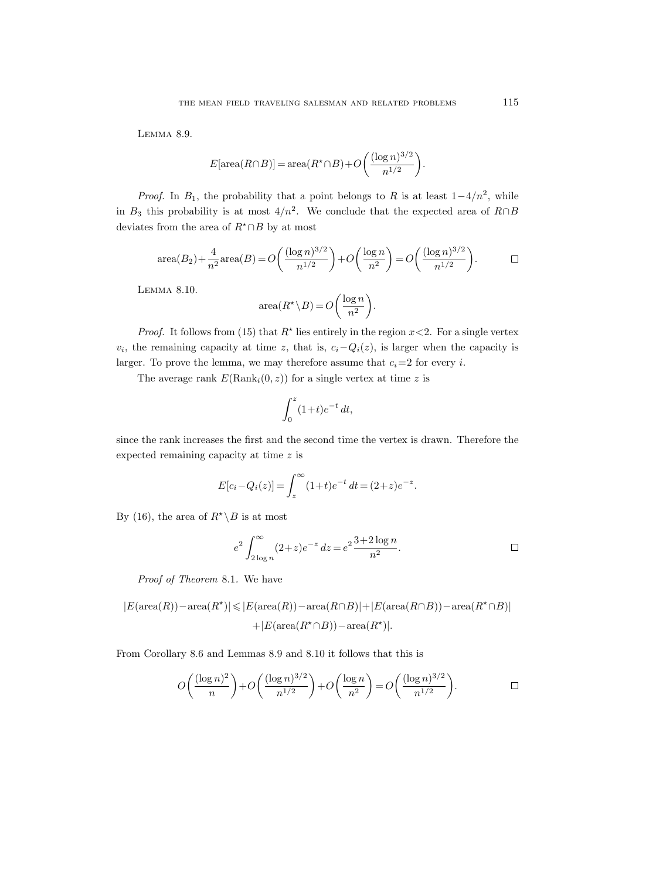Lemma 8.9.

$$
E[\operatorname{area}(R \cap B)] = \operatorname{area}(R^* \cap B) + O\left(\frac{(\log n)^{3/2}}{n^{1/2}}\right).
$$

*Proof.* In  $B_1$ , the probability that a point belongs to R is at least  $1-4/n^2$ , while in  $B_3$  this probability is at most  $4/n^2$ . We conclude that the expected area of  $R \cap B$ deviates from the area of  $R^{\star}\!\cap\!B$  by at most

area
$$
(B_2)
$$
 +  $\frac{4}{n^2}$ area $(B)$  =  $O\left(\frac{(\log n)^{3/2}}{n^{1/2}}\right)$  +  $O\left(\frac{\log n}{n^2}\right)$  =  $O\left(\frac{(\log n)^{3/2}}{n^{1/2}}\right)$ .

Lemma 8.10.

$$
\operatorname{area}(R^{\star} \backslash B) = O\bigg(\frac{\log n}{n^2}\bigg).
$$

*Proof.* It follows from (15) that  $R^*$  lies entirely in the region  $x < 2$ . For a single vertex  $v_i$ , the remaining capacity at time z, that is,  $c_i - Q_i(z)$ , is larger when the capacity is larger. To prove the lemma, we may therefore assume that  $c_i=2$  for every i.

The average rank  $E(\text{Rank}_i(0, z))$  for a single vertex at time z is

$$
\int_0^z (1+t)e^{-t} dt,
$$

since the rank increases the first and the second time the vertex is drawn. Therefore the expected remaining capacity at time z is

$$
E[c_i - Q_i(z)] = \int_z^{\infty} (1+t)e^{-t} dt = (2+z)e^{-z}.
$$

By (16), the area of  $R^* \backslash B$  is at most

$$
e^{2} \int_{2 \log n}^{\infty} (2+z)e^{-z} dz = e^{2} \frac{3+2 \log n}{n^{2}}.
$$

Proof of Theorem 8.1. We have

$$
|E(\text{area}(R)) - \text{area}(R^*)| \le |E(\text{area}(R)) - \text{area}(R \cap B)| + |E(\text{area}(R \cap B)) - \text{area}(R^* \cap B)|
$$
  
+|E(\text{area}(R^\* \cap B)) - \text{area}(R^\*)|.

From Corollary 8.6 and Lemmas 8.9 and 8.10 it follows that this is

$$
O\left(\frac{(\log n)^2}{n}\right) + O\left(\frac{(\log n)^{3/2}}{n^{1/2}}\right) + O\left(\frac{\log n}{n^2}\right) = O\left(\frac{(\log n)^{3/2}}{n^{1/2}}\right).
$$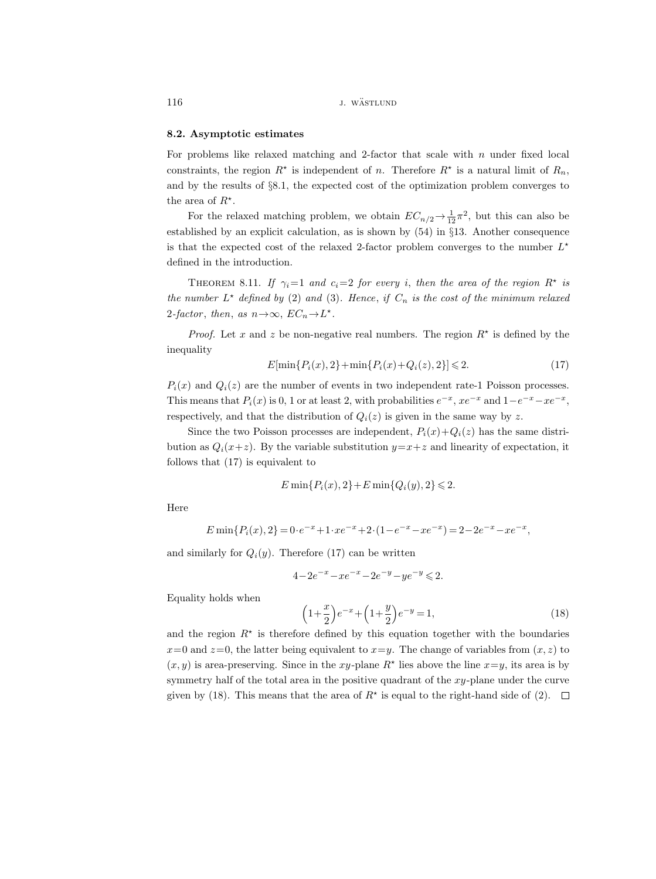116 *j. wästlund j. wästlund* 

# 8.2. Asymptotic estimates

For problems like relaxed matching and 2-factor that scale with  $n$  under fixed local constraints, the region  $R^*$  is independent of n. Therefore  $R^*$  is a natural limit of  $R_n$ , and by the results of §8.1, the expected cost of the optimization problem converges to the area of  $R^*$ .

For the relaxed matching problem, we obtain  $EC_{n/2} \rightarrow \frac{1}{12}\pi^2$ , but this can also be established by an explicit calculation, as is shown by  $(54)$  in §13. Another consequence is that the expected cost of the relaxed 2-factor problem converges to the number  $L^*$ defined in the introduction.

THEOREM 8.11. If  $\gamma_i=1$  and  $c_i=2$  for every i, then the area of the region  $R^*$  is the number  $L^*$  defined by (2) and (3). Hence, if  $C_n$  is the cost of the minimum relaxed 2-factor, then, as  $n \rightarrow \infty$ ,  $EC_n \rightarrow L^*$ .

*Proof.* Let x and z be non-negative real numbers. The region  $R^*$  is defined by the inequality

$$
E[\min\{P_i(x), 2\} + \min\{P_i(x) + Q_i(z), 2\}] \le 2.
$$
 (17)

 $P_i(x)$  and  $Q_i(z)$  are the number of events in two independent rate-1 Poisson processes. This means that  $P_i(x)$  is 0, 1 or at least 2, with probabilities  $e^{-x}$ ,  $xe^{-x}$  and  $1-e^{-x}-xe^{-x}$ , respectively, and that the distribution of  $Q_i(z)$  is given in the same way by z.

Since the two Poisson processes are independent,  $P_i(x)+Q_i(z)$  has the same distribution as  $Q_i(x+z)$ . By the variable substitution  $y=x+z$  and linearity of expectation, it follows that (17) is equivalent to

$$
E\min\{P_i(x), 2\} + E\min\{Q_i(y), 2\} \le 2.
$$

Here

$$
E\min\{P_i(x),2\} = 0 \cdot e^{-x} + 1 \cdot xe^{-x} + 2 \cdot (1 - e^{-x} - xe^{-x}) = 2 - 2e^{-x} - xe^{-x},
$$

and similarly for  $Q_i(y)$ . Therefore (17) can be written

$$
4-2e^{-x} - xe^{-x} - 2e^{-y} - ye^{-y} \leqslant 2.
$$

Equality holds when

$$
\left(1+\frac{x}{2}\right)e^{-x} + \left(1+\frac{y}{2}\right)e^{-y} = 1,\tag{18}
$$

and the region  $R^*$  is therefore defined by this equation together with the boundaries  $x=0$  and  $z=0$ , the latter being equivalent to  $x=y$ . The change of variables from  $(x, z)$  to  $(x, y)$  is area-preserving. Since in the xy-plane  $R^*$  lies above the line  $x=y$ , its area is by symmetry half of the total area in the positive quadrant of the  $xy$ -plane under the curve given by (18). This means that the area of  $R^*$  is equal to the right-hand side of (2).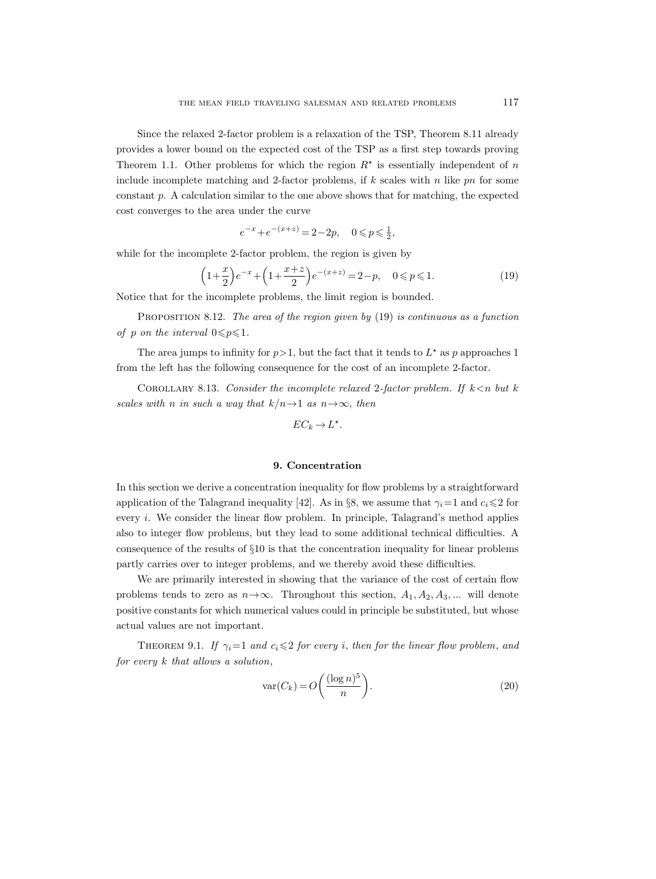Since the relaxed 2-factor problem is a relaxation of the TSP, Theorem 8.11 already provides a lower bound on the expected cost of the TSP as a first step towards proving Theorem 1.1. Other problems for which the region  $R^*$  is essentially independent of n include incomplete matching and 2-factor problems, if  $k$  scales with n like pn for some constant  $p$ . A calculation similar to the one above shows that for matching, the expected cost converges to the area under the curve

$$
e^{-x} + e^{-(x+z)} = 2 - 2p, \quad 0 \le p \le \frac{1}{2},
$$

while for the incomplete 2-factor problem, the region is given by

$$
\left(1+\frac{x}{2}\right)e^{-x} + \left(1+\frac{x+z}{2}\right)e^{-(x+z)} = 2-p, \quad 0 \le p \le 1.
$$
 (19)

Notice that for the incomplete problems, the limit region is bounded.

PROPOSITION 8.12. The area of the region given by  $(19)$  is continuous as a function of p on the interval  $0 \leq p \leq 1$ .

The area jumps to infinity for  $p > 1$ , but the fact that it tends to  $L^*$  as p approaches 1 from the left has the following consequence for the cost of an incomplete 2-factor.

COROLLARY 8.13. Consider the incomplete relaxed 2-factor problem. If  $k < n$  but k scales with n in such a way that  $k/n \rightarrow 1$  as  $n \rightarrow \infty$ , then

$$
EC_k \to L^*.
$$

### 9. Concentration

In this section we derive a concentration inequality for flow problems by a straightforward application of the Talagrand inequality [42]. As in §8, we assume that  $\gamma_i=1$  and  $c_i\leq 2$  for every i. We consider the linear flow problem. In principle, Talagrand's method applies also to integer flow problems, but they lead to some additional technical difficulties. A consequence of the results of §10 is that the concentration inequality for linear problems partly carries over to integer problems, and we thereby avoid these difficulties.

We are primarily interested in showing that the variance of the cost of certain flow problems tends to zero as  $n \rightarrow \infty$ . Throughout this section,  $A_1, A_2, A_3, ...$  will denote positive constants for which numerical values could in principle be substituted, but whose actual values are not important.

THEOREM 9.1. If  $\gamma_i=1$  and  $c_i\leq 2$  for every i, then for the linear flow problem, and for every k that allows a solution,

$$
\text{var}(C_k) = O\left(\frac{(\log n)^5}{n}\right). \tag{20}
$$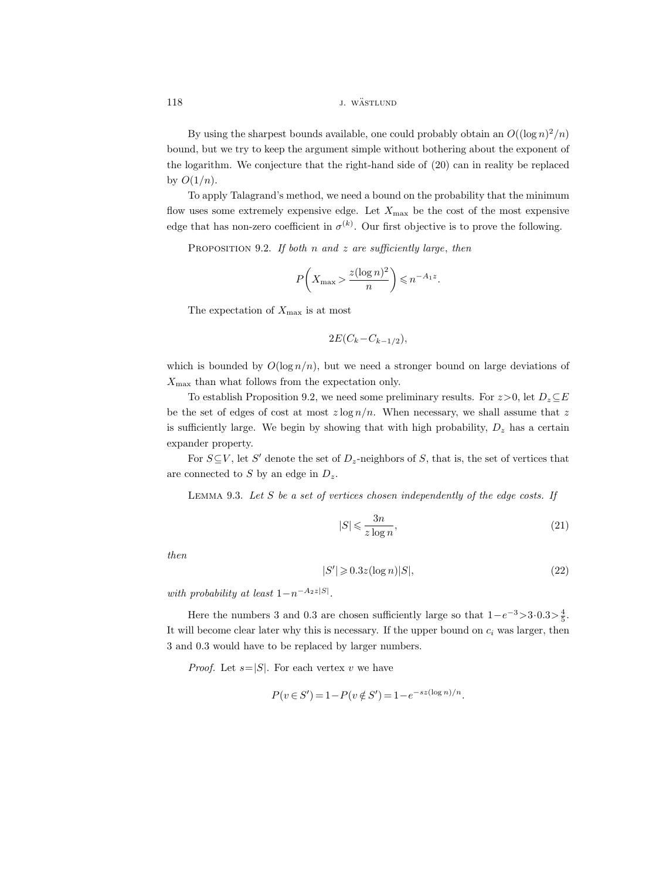# 118 *j. wästlund j. wästlund*

By using the sharpest bounds available, one could probably obtain an  $O((\log n)^2/n)$ bound, but we try to keep the argument simple without bothering about the exponent of the logarithm. We conjecture that the right-hand side of (20) can in reality be replaced by  $O(1/n)$ .

To apply Talagrand's method, we need a bound on the probability that the minimum flow uses some extremely expensive edge. Let  $X_{\text{max}}$  be the cost of the most expensive edge that has non-zero coefficient in  $\sigma^{(k)}$ . Our first objective is to prove the following.

PROPOSITION 9.2. If both n and z are sufficiently large, then

$$
P\left(X_{\max} > \frac{z(\log n)^2}{n}\right) \leqslant n^{-A_1 z}.
$$

The expectation of  $X_{\text{max}}$  is at most

$$
2E(C_k - C_{k-1/2}),
$$

which is bounded by  $O(\log n/n)$ , but we need a stronger bound on large deviations of  $X_{\text{max}}$  than what follows from the expectation only.

To establish Proposition 9.2, we need some preliminary results. For  $z > 0$ , let  $D_z \subseteq E$ be the set of edges of cost at most  $z \log n/n$ . When necessary, we shall assume that z is sufficiently large. We begin by showing that with high probability,  $D_z$  has a certain expander property.

For  $S \subseteq V$ , let S' denote the set of  $D_z$ -neighbors of S, that is, the set of vertices that are connected to S by an edge in  $D_z$ .

LEMMA 9.3. Let  $S$  be a set of vertices chosen independently of the edge costs. If

$$
|S| \leqslant \frac{3n}{z \log n},\tag{21}
$$

then

$$
|S'| \geqslant 0.3z(\log n)|S|,\tag{22}
$$

with probability at least  $1-n^{-A_2z|S|}$ .

Here the numbers 3 and 0.3 are chosen sufficiently large so that  $1-e^{-3} > 3.0.3 > \frac{4}{5}$ . It will become clear later why this is necessary. If the upper bound on  $c_i$  was larger, then 3 and 0.3 would have to be replaced by larger numbers.

*Proof.* Let  $s=|S|$ . For each vertex v we have

$$
P(v \in S') = 1 - P(v \notin S') = 1 - e^{-sz(\log n)/n}.
$$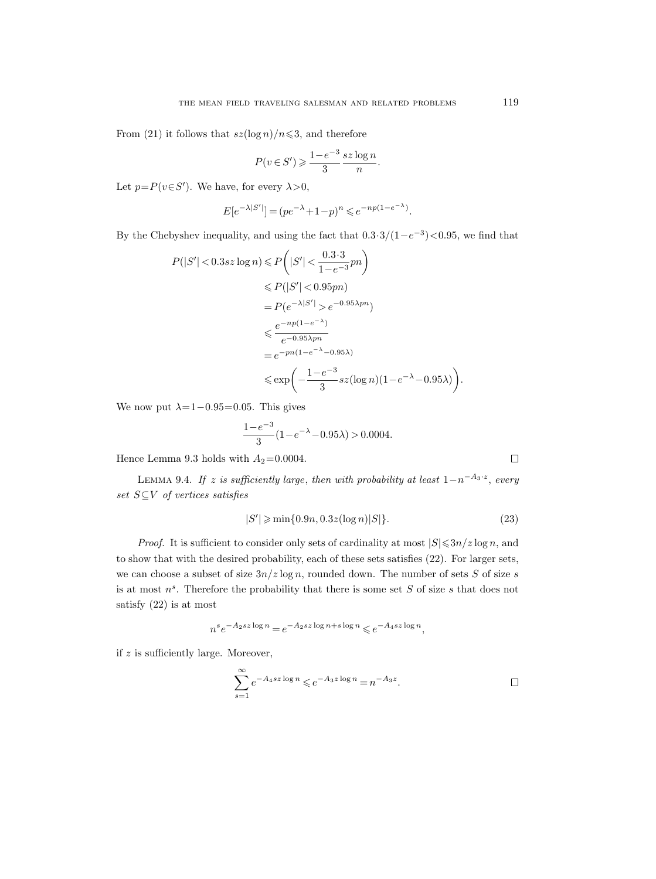From (21) it follows that  $s\bar{z}(\log n)/n \leqslant 3$ , and therefore

$$
P(v \in S') \geqslant \frac{1 - e^{-3}}{3} \frac{\operatorname{sz} \log n}{n}.
$$

Let  $p = P(v \in S')$ . We have, for every  $\lambda > 0$ ,

$$
E[e^{-\lambda|S'|}] = (pe^{-\lambda} + 1 - p)^n \leq e^{-np(1 - e^{-\lambda})}.
$$

By the Chebyshev inequality, and using the fact that  $0.3 \cdot 3/(1-e^{-3})$  < 0.95, we find that

$$
P(|S'| < 0.3sz \log n) \le P\left(|S'| < \frac{0.3 \cdot 3}{1 - e^{-3}}pn\right)
$$
  
\n
$$
\le P(|S'| < 0.95pn)
$$
  
\n
$$
= P(e^{-\lambda|S'|} > e^{-0.95\lambda pn})
$$
  
\n
$$
\le \frac{e^{-np(1 - e^{-\lambda})}}{e^{-0.95\lambda pn}}
$$
  
\n
$$
= e^{-pn(1 - e^{-\lambda} - 0.95\lambda)}
$$
  
\n
$$
\le \exp\left(-\frac{1 - e^{-3}}{3} sz(\log n)(1 - e^{-\lambda} - 0.95\lambda)\right).
$$

We now put  $\lambda=1-0.95=0.05$ . This gives

$$
\frac{1-e^{-3}}{3}(1-e^{-\lambda}-0.95\lambda)>0.0004.
$$

Hence Lemma 9.3 holds with  $A_2\hspace{-0.08cm}=\hspace{-0.08cm}0.0004.$ 

LEMMA 9.4. If z is sufficiently large, then with probability at least  $1-n^{-A_3 \cdot z}$ , every set  $S \subseteq V$  of vertices satisfies

$$
|S'| \ge \min\{0.9n, 0.3z(\log n)|S|\}. \tag{23}
$$

*Proof.* It is sufficient to consider only sets of cardinality at most  $|S| \leq 3n/z \log n$ , and to show that with the desired probability, each of these sets satisfies (22). For larger sets, we can choose a subset of size  $3n/z \log n$ , rounded down. The number of sets S of size s is at most  $n^s$ . Therefore the probability that there is some set S of size s that does not satisfy (22) is at most

 $n^s e^{-A_2sz \log n} = e^{-A_2sz \log n + s \log n} \leqslant e^{-A_4sz \log n},$ 

if  $z$  is sufficiently large. Moreover,

$$
\sum_{s=1}^{\infty} e^{-A_4 sz \log n} \leqslant e^{-A_3 z \log n} = n^{-A_3 z}.
$$

 $\Box$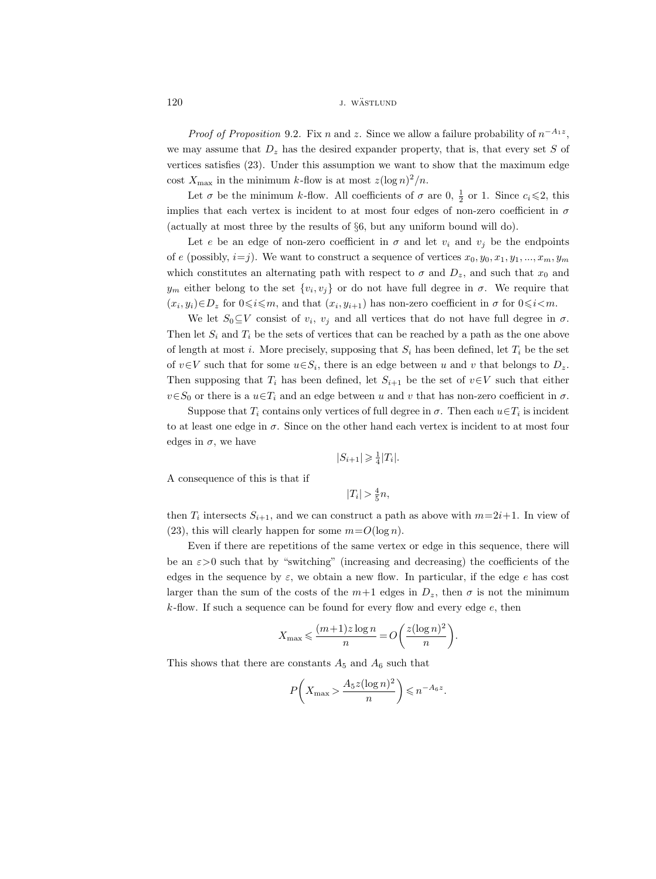120 *j. wästlund j. wästlund* 

*Proof of Proposition* 9.2. Fix *n* and *z*. Since we allow a failure probability of  $n^{-A_1z}$ , we may assume that  $D_z$  has the desired expander property, that is, that every set S of vertices satisfies (23). Under this assumption we want to show that the maximum edge cost  $X_{\text{max}}$  in the minimum k-flow is at most  $z(\log n)^2/n$ .

Let  $\sigma$  be the minimum k-flow. All coefficients of  $\sigma$  are 0,  $\frac{1}{2}$  or 1. Since  $c_i \leq 2$ , this implies that each vertex is incident to at most four edges of non-zero coefficient in  $\sigma$ (actually at most three by the results of §6, but any uniform bound will do).

Let e be an edge of non-zero coefficient in  $\sigma$  and let  $v_i$  and  $v_j$  be the endpoints of e (possibly,  $i=j$ ). We want to construct a sequence of vertices  $x_0, y_0, x_1, y_1, ..., x_m, y_m$ which constitutes an alternating path with respect to  $\sigma$  and  $D_z$ , and such that  $x_0$  and  $y_m$  either belong to the set  $\{v_i, v_j\}$  or do not have full degree in  $\sigma$ . We require that  $(x_i, y_i) \in D_z$  for  $0 \le i \le m$ , and that  $(x_i, y_{i+1})$  has non-zero coefficient in  $\sigma$  for  $0 \le i \le m$ .

We let  $S_0 \subseteq V$  consist of  $v_i$ ,  $v_j$  and all vertices that do not have full degree in  $\sigma$ . Then let  $S_i$  and  $T_i$  be the sets of vertices that can be reached by a path as the one above of length at most i. More precisely, supposing that  $S_i$  has been defined, let  $T_i$  be the set of  $v \in V$  such that for some  $u \in S_i$ , there is an edge between u and v that belongs to  $D_z$ . Then supposing that  $T_i$  has been defined, let  $S_{i+1}$  be the set of  $v \in V$  such that either  $v \in S_0$  or there is a  $u \in T_i$  and an edge between u and v that has non-zero coefficient in  $\sigma$ .

Suppose that  $T_i$  contains only vertices of full degree in  $\sigma$ . Then each  $u \in T_i$  is incident to at least one edge in  $\sigma$ . Since on the other hand each vertex is incident to at most four edges in  $\sigma$ , we have

$$
|S_{i+1}| \geqslant \frac{1}{4}|T_i|.
$$

A consequence of this is that if

$$
|T_i| > \frac{4}{5}n,
$$

then  $T_i$  intersects  $S_{i+1}$ , and we can construct a path as above with  $m=2i+1$ . In view of (23), this will clearly happen for some  $m=O(\log n)$ .

Even if there are repetitions of the same vertex or edge in this sequence, there will be an  $\varepsilon > 0$  such that by "switching" (increasing and decreasing) the coefficients of the edges in the sequence by  $\varepsilon$ , we obtain a new flow. In particular, if the edge e has cost larger than the sum of the costs of the  $m+1$  edges in  $D_z$ , then  $\sigma$  is not the minimum  $k$ -flow. If such a sequence can be found for every flow and every edge  $e$ , then

$$
X_{\max} \leqslant \frac{(m+1)z \log n}{n} = O\left(\frac{z(\log n)^2}{n}\right).
$$

This shows that there are constants  $A_5$  and  $A_6$  such that

$$
P\left(X_{\max} > \frac{A_5 z (\log n)^2}{n}\right) \leqslant n^{-A_6 z}.
$$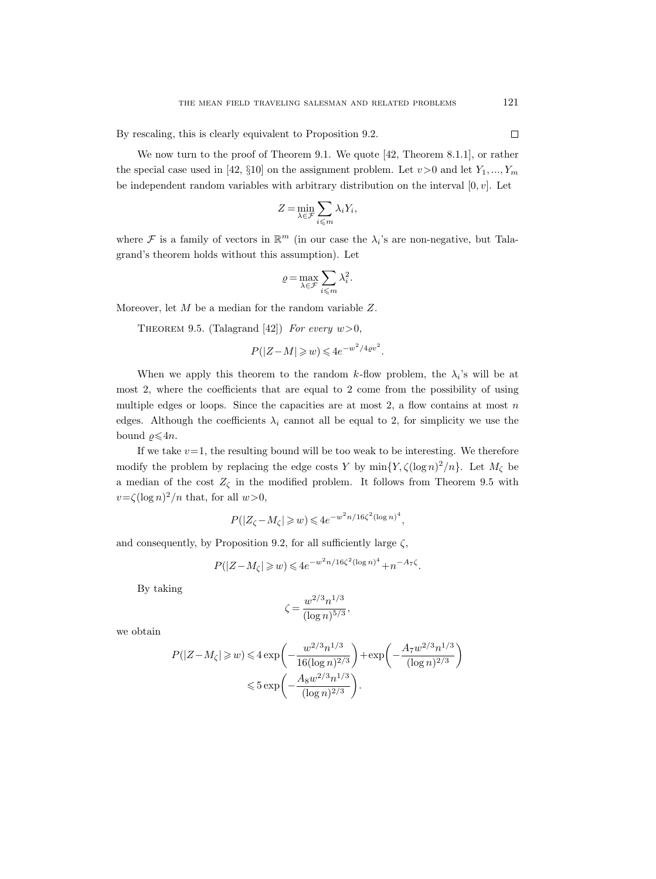By rescaling, this is clearly equivalent to Proposition 9.2.

We now turn to the proof of Theorem 9.1. We quote [42, Theorem 8.1.1], or rather the special case used in [42, §10] on the assignment problem. Let  $v>0$  and let  $Y_1, ..., Y_m$ be independent random variables with arbitrary distribution on the interval  $[0, v]$ . Let

$$
Z = \min_{\lambda \in \mathcal{F}} \sum_{i \leqslant m} \lambda_i Y_i,
$$

where  $\mathcal F$  is a family of vectors in  $\mathbb R^m$  (in our case the  $\lambda_i$ 's are non-negative, but Talagrand's theorem holds without this assumption). Let

$$
\varrho\!=\!\max_{\lambda\in\mathcal{F}}\sum_{i\leqslant m}\lambda_i^2.
$$

Moreover, let M be a median for the random variable Z.

THEOREM 9.5. (Talagrand [42]) For every  $w > 0$ ,

$$
P(|Z - M| \geq w) \leq 4e^{-w^2/4\varrho v^2}.
$$

When we apply this theorem to the random k-flow problem, the  $\lambda_i$ 's will be at most 2, where the coefficients that are equal to 2 come from the possibility of using multiple edges or loops. Since the capacities are at most  $2$ , a flow contains at most  $n$ edges. Although the coefficients  $\lambda_i$  cannot all be equal to 2, for simplicity we use the bound  $\rho \leq 4n$ .

If we take  $v=1$ , the resulting bound will be too weak to be interesting. We therefore modify the problem by replacing the edge costs Y by  $\min\{Y, \zeta(\log n)^2/n\}$ . Let  $M_{\zeta}$  be a median of the cost  $Z_{\zeta}$  in the modified problem. It follows from Theorem 9.5 with  $v = \zeta (\log n)^2/n$  that, for all  $w > 0$ ,

$$
P(|Z_{\zeta} - M_{\zeta}| \geqslant w) \leqslant 4e^{-w^2 n/16\zeta^2(\log n)^4},
$$

and consequently, by Proposition 9.2, for all sufficiently large  $\zeta$ ,

$$
P(|Z - M_{\zeta}| \geq w) \leq 4e^{-w^{2}n/16\zeta^{2}(\log n)^{4}} + n^{-A_{7}\zeta}.
$$

By taking

$$
\zeta = \frac{w^{2/3} n^{1/3}}{(\log n)^{5/3}},
$$

we obtain

$$
P(|Z - M_{\zeta}| \ge w) \le 4 \exp\left(-\frac{w^{2/3}n^{1/3}}{16(\log n)^{2/3}}\right) + \exp\left(-\frac{A_7 w^{2/3} n^{1/3}}{(\log n)^{2/3}}\right)
$$
  

$$
\le 5 \exp\left(-\frac{A_8 w^{2/3} n^{1/3}}{(\log n)^{2/3}}\right).
$$

 $\Box$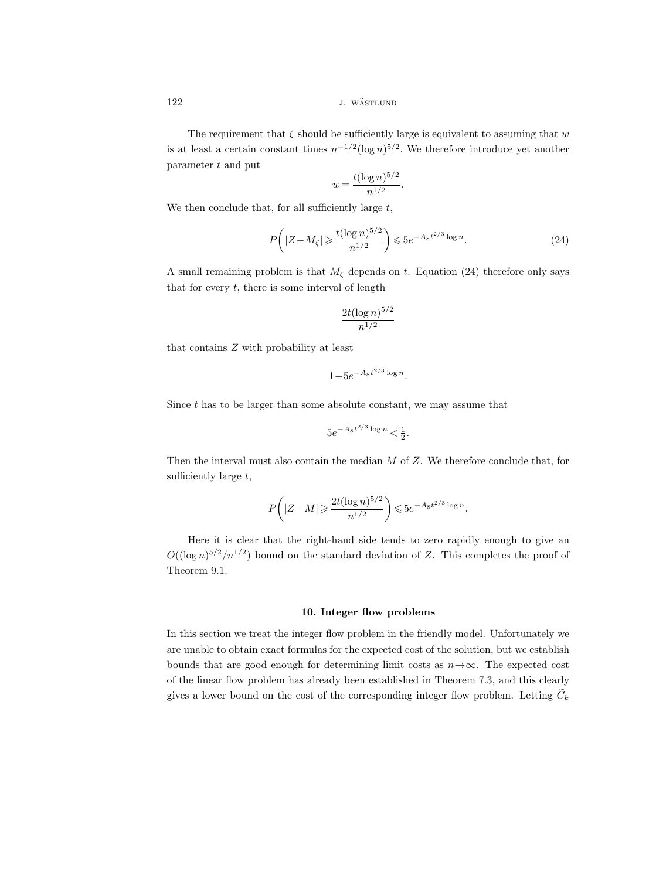122 *j. wästlund* 

The requirement that  $\zeta$  should be sufficiently large is equivalent to assuming that w is at least a certain constant times  $n^{-1/2}(\log n)^{5/2}$ . We therefore introduce yet another parameter t and put

$$
w = \frac{t(\log n)^{5/2}}{n^{1/2}}
$$

We then conclude that, for all sufficiently large  $t$ ,

$$
P\left(|Z - M_{\zeta}| \geqslant \frac{t(\log n)^{5/2}}{n^{1/2}}\right) \leqslant 5e^{-A_8 t^{2/3} \log n}.\tag{24}
$$

.

A small remaining problem is that  $M_{\zeta}$  depends on t. Equation (24) therefore only says that for every  $t$ , there is some interval of length

$$
\frac{2t(\log n)^{5/2}}{n^{1/2}}
$$

that contains Z with probability at least

$$
1 - 5e^{-A_8 t^{2/3} \log n}.
$$

Since  $t$  has to be larger than some absolute constant, we may assume that

$$
5e^{-A_8t^{2/3}\log n} < \frac{1}{2}.
$$

Then the interval must also contain the median  $M$  of  $Z$ . We therefore conclude that, for sufficiently large  $t$ ,

$$
P\bigg( |Z-M| \geqslant \frac{2t(\log n)^{5/2}}{n^{1/2}} \bigg) \leqslant 5 e^{-A_8 t^{2/3} \log n}.
$$

Here it is clear that the right-hand side tends to zero rapidly enough to give an  $O((\log n)^{5/2}/n^{1/2})$  bound on the standard deviation of Z. This completes the proof of Theorem 9.1.

### 10. Integer flow problems

In this section we treat the integer flow problem in the friendly model. Unfortunately we are unable to obtain exact formulas for the expected cost of the solution, but we establish bounds that are good enough for determining limit costs as  $n \rightarrow \infty$ . The expected cost of the linear flow problem has already been established in Theorem 7.3, and this clearly gives a lower bound on the cost of the corresponding integer flow problem. Letting  $\tilde{C}_k$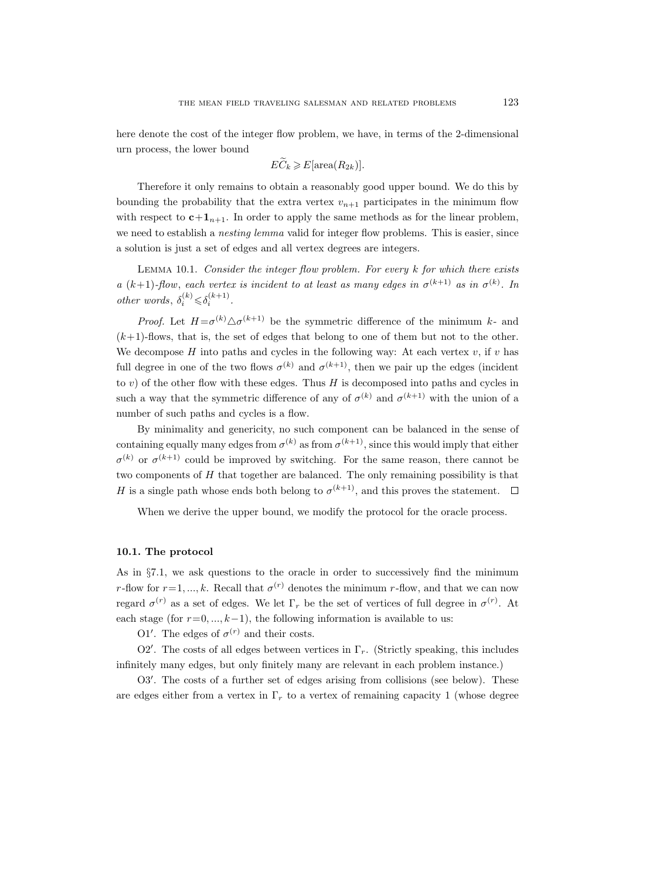here denote the cost of the integer flow problem, we have, in terms of the 2-dimensional urn process, the lower bound

$$
E\widetilde{C}_k \geqslant E[\operatorname{area}(R_{2k})].
$$

Therefore it only remains to obtain a reasonably good upper bound. We do this by bounding the probability that the extra vertex  $v_{n+1}$  participates in the minimum flow with respect to  $c+1_{n+1}$ . In order to apply the same methods as for the linear problem, we need to establish a *nesting lemma* valid for integer flow problems. This is easier, since a solution is just a set of edges and all vertex degrees are integers.

LEMMA 10.1. Consider the integer flow problem. For every k for which there exists a  $(k+1)$ -flow, each vertex is incident to at least as many edges in  $\sigma^{(k+1)}$  as in  $\sigma^{(k)}$ . In other words,  $\delta_i^{(k)} \leq \delta_i^{(k+1)}$ .

*Proof.* Let  $H = \sigma^{(k)} \Delta \sigma^{(k+1)}$  be the symmetric difference of the minimum k- and  $(k+1)$ -flows, that is, the set of edges that belong to one of them but not to the other. We decompose  $H$  into paths and cycles in the following way: At each vertex  $v$ , if  $v$  has full degree in one of the two flows  $\sigma^{(k)}$  and  $\sigma^{(k+1)}$ , then we pair up the edges (incident to  $v$ ) of the other flow with these edges. Thus  $H$  is decomposed into paths and cycles in such a way that the symmetric difference of any of  $\sigma^{(k)}$  and  $\sigma^{(k+1)}$  with the union of a number of such paths and cycles is a flow.

By minimality and genericity, no such component can be balanced in the sense of containing equally many edges from  $\sigma^{(k)}$  as from  $\sigma^{(k+1)}$ , since this would imply that either  $\sigma^{(k)}$  or  $\sigma^{(k+1)}$  could be improved by switching. For the same reason, there cannot be two components of H that together are balanced. The only remaining possibility is that H is a single path whose ends both belong to  $\sigma^{(k+1)}$ , and this proves the statement.

When we derive the upper bound, we modify the protocol for the oracle process.

### 10.1. The protocol

As in §7.1, we ask questions to the oracle in order to successively find the minimum r-flow for  $r=1, ..., k$ . Recall that  $\sigma^{(r)}$  denotes the minimum r-flow, and that we can now regard  $\sigma^{(r)}$  as a set of edges. We let  $\Gamma_r$  be the set of vertices of full degree in  $\sigma^{(r)}$ . At each stage (for  $r=0, ..., k-1$ ), the following information is available to us:

O1'. The edges of  $\sigma^{(r)}$  and their costs.

O2'. The costs of all edges between vertices in  $\Gamma_r$ . (Strictly speaking, this includes infinitely many edges, but only finitely many are relevant in each problem instance.)

O3'. The costs of a further set of edges arising from collisions (see below). These are edges either from a vertex in  $\Gamma_r$  to a vertex of remaining capacity 1 (whose degree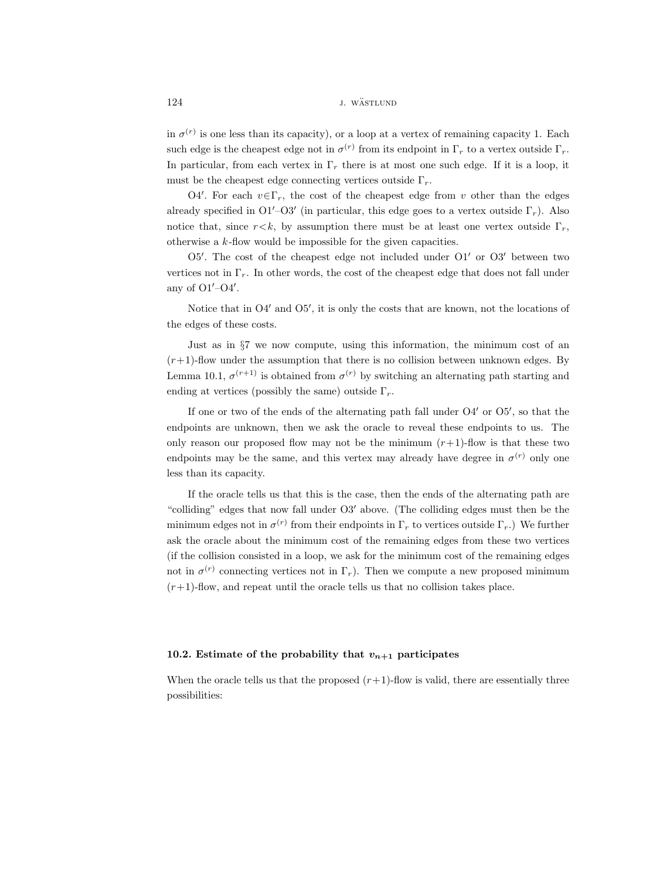in  $\sigma^{(r)}$  is one less than its capacity), or a loop at a vertex of remaining capacity 1. Each such edge is the cheapest edge not in  $\sigma^{(r)}$  from its endpoint in  $\Gamma_r$  to a vertex outside  $\Gamma_r$ . In particular, from each vertex in  $\Gamma_r$  there is at most one such edge. If it is a loop, it must be the cheapest edge connecting vertices outside  $\Gamma_r$ .

O4'. For each  $v \in \Gamma_r$ , the cost of the cheapest edge from v other than the edges already specified in O1<sup> $\prime$ </sup>-O3<sup> $\prime$ </sup> (in particular, this edge goes to a vertex outside  $\Gamma_r$ ). Also notice that, since  $r \lt k$ , by assumption there must be at least one vertex outside  $\Gamma_r$ , otherwise a  $k$ -flow would be impossible for the given capacities.

O5'. The cost of the cheapest edge not included under O1' or O3' between two vertices not in  $\Gamma_r$ . In other words, the cost of the cheapest edge that does not fall under any of  $O1'$ - $O4'$ .

Notice that in  $O4'$  and  $O5'$ , it is only the costs that are known, not the locations of the edges of these costs.

Just as in §7 we now compute, using this information, the minimum cost of an  $(r+1)$ -flow under the assumption that there is no collision between unknown edges. By Lemma 10.1,  $\sigma^{(r+1)}$  is obtained from  $\sigma^{(r)}$  by switching an alternating path starting and ending at vertices (possibly the same) outside  $\Gamma_r$ .

If one or two of the ends of the alternating path fall under  $O4'$  or  $O5'$ , so that the endpoints are unknown, then we ask the oracle to reveal these endpoints to us. The only reason our proposed flow may not be the minimum  $(r+1)$ -flow is that these two endpoints may be the same, and this vertex may already have degree in  $\sigma^{(r)}$  only one less than its capacity.

If the oracle tells us that this is the case, then the ends of the alternating path are "colliding" edges that now fall under  $O3'$  above. (The colliding edges must then be the minimum edges not in  $\sigma^{(r)}$  from their endpoints in  $\Gamma_r$  to vertices outside  $\Gamma_r$ .) We further ask the oracle about the minimum cost of the remaining edges from these two vertices (if the collision consisted in a loop, we ask for the minimum cost of the remaining edges not in  $\sigma^{(r)}$  connecting vertices not in  $\Gamma_r$ ). Then we compute a new proposed minimum  $(r+1)$ -flow, and repeat until the oracle tells us that no collision takes place.

# 10.2. Estimate of the probability that  $v_{n+1}$  participates

When the oracle tells us that the proposed  $(r+1)$ -flow is valid, there are essentially three possibilities: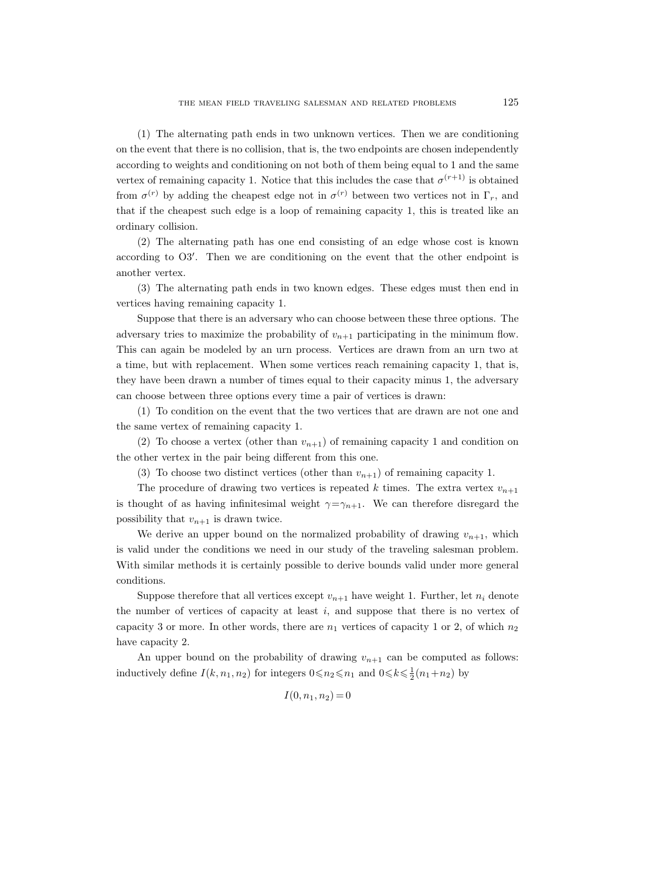(1) The alternating path ends in two unknown vertices. Then we are conditioning on the event that there is no collision, that is, the two endpoints are chosen independently according to weights and conditioning on not both of them being equal to 1 and the same vertex of remaining capacity 1. Notice that this includes the case that  $\sigma^{(r+1)}$  is obtained from  $\sigma^{(r)}$  by adding the cheapest edge not in  $\sigma^{(r)}$  between two vertices not in  $\Gamma_r$ , and that if the cheapest such edge is a loop of remaining capacity 1, this is treated like an ordinary collision.

(2) The alternating path has one end consisting of an edge whose cost is known according to O3'. Then we are conditioning on the event that the other endpoint is another vertex.

(3) The alternating path ends in two known edges. These edges must then end in vertices having remaining capacity 1.

Suppose that there is an adversary who can choose between these three options. The adversary tries to maximize the probability of  $v_{n+1}$  participating in the minimum flow. This can again be modeled by an urn process. Vertices are drawn from an urn two at a time, but with replacement. When some vertices reach remaining capacity 1, that is, they have been drawn a number of times equal to their capacity minus 1, the adversary can choose between three options every time a pair of vertices is drawn:

(1) To condition on the event that the two vertices that are drawn are not one and the same vertex of remaining capacity 1.

(2) To choose a vertex (other than  $v_{n+1}$ ) of remaining capacity 1 and condition on the other vertex in the pair being different from this one.

(3) To choose two distinct vertices (other than  $v_{n+1}$ ) of remaining capacity 1.

The procedure of drawing two vertices is repeated k times. The extra vertex  $v_{n+1}$ is thought of as having infinitesimal weight  $\gamma = \gamma_{n+1}$ . We can therefore disregard the possibility that  $v_{n+1}$  is drawn twice.

We derive an upper bound on the normalized probability of drawing  $v_{n+1}$ , which is valid under the conditions we need in our study of the traveling salesman problem. With similar methods it is certainly possible to derive bounds valid under more general conditions.

Suppose therefore that all vertices except  $v_{n+1}$  have weight 1. Further, let  $n_i$  denote the number of vertices of capacity at least  $i$ , and suppose that there is no vertex of capacity 3 or more. In other words, there are  $n_1$  vertices of capacity 1 or 2, of which  $n_2$ have capacity 2.

An upper bound on the probability of drawing  $v_{n+1}$  can be computed as follows: inductively define  $I(k, n_1, n_2)$  for integers  $0 \le n_2 \le n_1$  and  $0 \le k \le \frac{1}{2}(n_1+n_2)$  by

$$
I(0, n_1, n_2) = 0
$$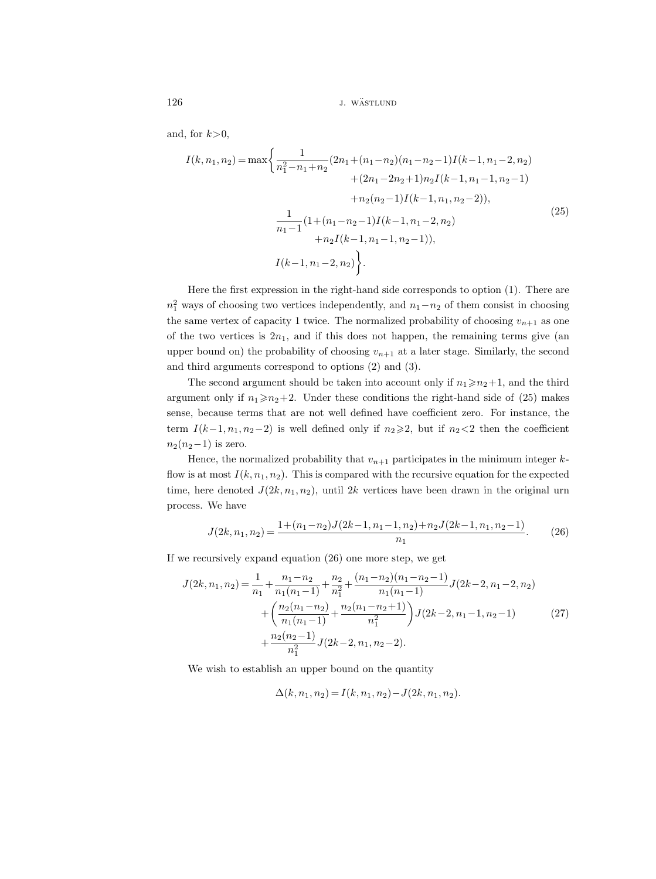126 *j. wästlund j. wästlund* 

and, for  $k>0$ ,

$$
I(k, n_1, n_2) = \max \left\{ \frac{1}{n_1^2 - n_1 + n_2} (2n_1 + (n_1 - n_2)(n_1 - n_2 - 1)I(k - 1, n_1 - 2, n_2) + (2n_1 - 2n_2 + 1)n_2 I(k - 1, n_1 - 1, n_2 - 1) + n_2(n_2 - 1)I(k - 1, n_1, n_2 - 2)), \right\}
$$
  

$$
\frac{1}{n_1 - 1} (1 + (n_1 - n_2 - 1)I(k - 1, n_1 - 2, n_2) + n_2 I(k - 1, n_1 - 1, n_2 - 1)),
$$
  

$$
I(k - 1, n_1 - 2, n_2) \left\}.
$$
 (25)

Here the first expression in the right-hand side corresponds to option (1). There are  $n_1^2$  ways of choosing two vertices independently, and  $n_1-n_2$  of them consist in choosing the same vertex of capacity 1 twice. The normalized probability of choosing  $v_{n+1}$  as one of the two vertices is  $2n_1$ , and if this does not happen, the remaining terms give (an upper bound on) the probability of choosing  $v_{n+1}$  at a later stage. Similarly, the second and third arguments correspond to options (2) and (3).

The second argument should be taken into account only if  $n_1 \ge n_2+1$ , and the third argument only if  $n_1 \ge n_2+2$ . Under these conditions the right-hand side of (25) makes sense, because terms that are not well defined have coefficient zero. For instance, the term  $I(k-1, n_1, n_2-2)$  is well defined only if  $n_2\geq 2$ , but if  $n_2<2$  then the coefficient  $n_2(n_2-1)$  is zero.

Hence, the normalized probability that  $v_{n+1}$  participates in the minimum integer kflow is at most  $I(k, n_1, n_2)$ . This is compared with the recursive equation for the expected time, here denoted  $J(2k, n_1, n_2)$ , until  $2k$  vertices have been drawn in the original urn process. We have

$$
J(2k, n_1, n_2) = \frac{1 + (n_1 - n_2)J(2k - 1, n_1 - 1, n_2) + n_2 J(2k - 1, n_1, n_2 - 1)}{n_1}.
$$
 (26)

If we recursively expand equation (26) one more step, we get

$$
J(2k, n_1, n_2) = \frac{1}{n_1} + \frac{n_1 - n_2}{n_1(n_1 - 1)} + \frac{n_2}{n_1^2} + \frac{(n_1 - n_2)(n_1 - n_2 - 1)}{n_1(n_1 - 1)} J(2k - 2, n_1 - 2, n_2)
$$

$$
+ \left(\frac{n_2(n_1 - n_2)}{n_1(n_1 - 1)} + \frac{n_2(n_1 - n_2 + 1)}{n_1^2}\right) J(2k - 2, n_1 - 1, n_2 - 1) \tag{27}
$$

$$
+ \frac{n_2(n_2 - 1)}{n_1^2} J(2k - 2, n_1, n_2 - 2).
$$

We wish to establish an upper bound on the quantity

$$
\Delta(k, n_1, n_2) = I(k, n_1, n_2) - J(2k, n_1, n_2).
$$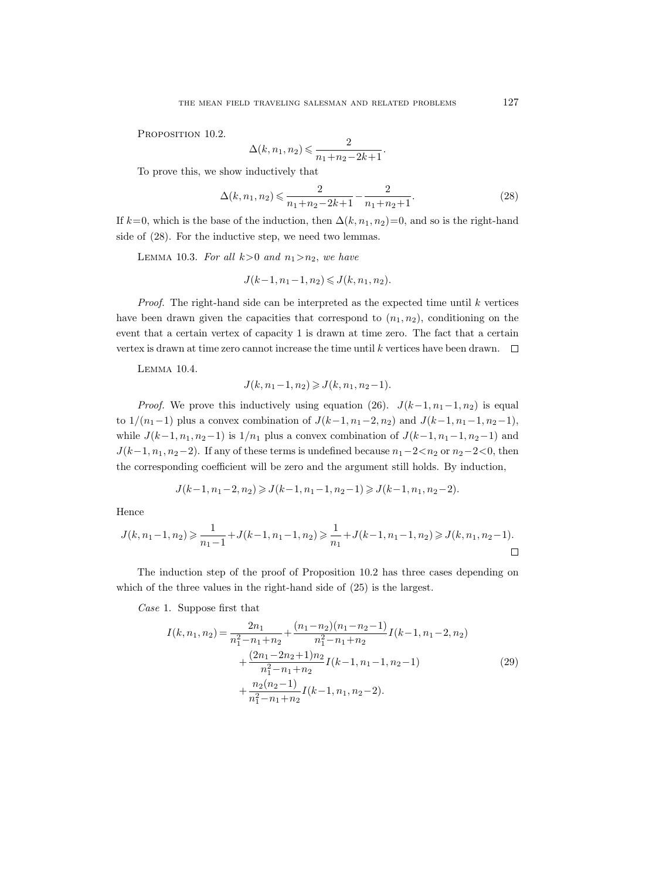PROPOSITION 10.2.

$$
\Delta(k, n_1, n_2) \leqslant \frac{2}{n_1 + n_2 - 2k + 1}.
$$

To prove this, we show inductively that

$$
\Delta(k, n_1, n_2) \leqslant \frac{2}{n_1 + n_2 - 2k + 1} - \frac{2}{n_1 + n_2 + 1}.
$$
\n(28)

If  $k=0$ , which is the base of the induction, then  $\Delta(k, n_1, n_2)=0$ , and so is the right-hand side of (28). For the inductive step, we need two lemmas.

LEMMA 10.3. For all  $k>0$  and  $n_1>n_2$ , we have

$$
J(k-1, n_1-1, n_2) \leq J(k, n_1, n_2).
$$

*Proof.* The right-hand side can be interpreted as the expected time until  $k$  vertices have been drawn given the capacities that correspond to  $(n_1, n_2)$ , conditioning on the event that a certain vertex of capacity 1 is drawn at time zero. The fact that a certain vertex is drawn at time zero cannot increase the time until k vertices have been drawn.  $\Box$ 

Lemma 10.4.

$$
J(k, n_1 - 1, n_2) \geqslant J(k, n_1, n_2 - 1).
$$

*Proof.* We prove this inductively using equation (26).  $J(k-1, n_1-1, n_2)$  is equal to  $1/(n_1-1)$  plus a convex combination of  $J(k-1, n_1-2, n_2)$  and  $J(k-1, n_1-1, n_2-1)$ , while  $J(k-1, n_1, n_2-1)$  is  $1/n_1$  plus a convex combination of  $J(k-1, n_1-1, n_2-1)$  and  $J(k-1, n_1, n_2-2)$ . If any of these terms is undefined because  $n_1-2 < n_2$  or  $n_2-2 < 0$ , then the corresponding coefficient will be zero and the argument still holds. By induction,

$$
J(k-1,n_1-2,n_2)\geqslant J(k-1,n_1-1,n_2-1)\geqslant J(k-1,n_1,n_2-2).
$$

Hence

$$
J(k, n_1-1, n_2) \ge \frac{1}{n_1-1} + J(k-1, n_1-1, n_2) \ge \frac{1}{n_1} + J(k-1, n_1-1, n_2) \ge J(k, n_1, n_2-1).
$$

The induction step of the proof of Proposition 10.2 has three cases depending on which of the three values in the right-hand side of (25) is the largest.

Case 1. Suppose first that

$$
I(k, n_1, n_2) = \frac{2n_1}{n_1^2 - n_1 + n_2} + \frac{(n_1 - n_2)(n_1 - n_2 - 1)}{n_1^2 - n_1 + n_2} I(k - 1, n_1 - 2, n_2) + \frac{(2n_1 - 2n_2 + 1)n_2}{n_1^2 - n_1 + n_2} I(k - 1, n_1 - 1, n_2 - 1) + \frac{n_2(n_2 - 1)}{n_1^2 - n_1 + n_2} I(k - 1, n_1, n_2 - 2).
$$
 (29)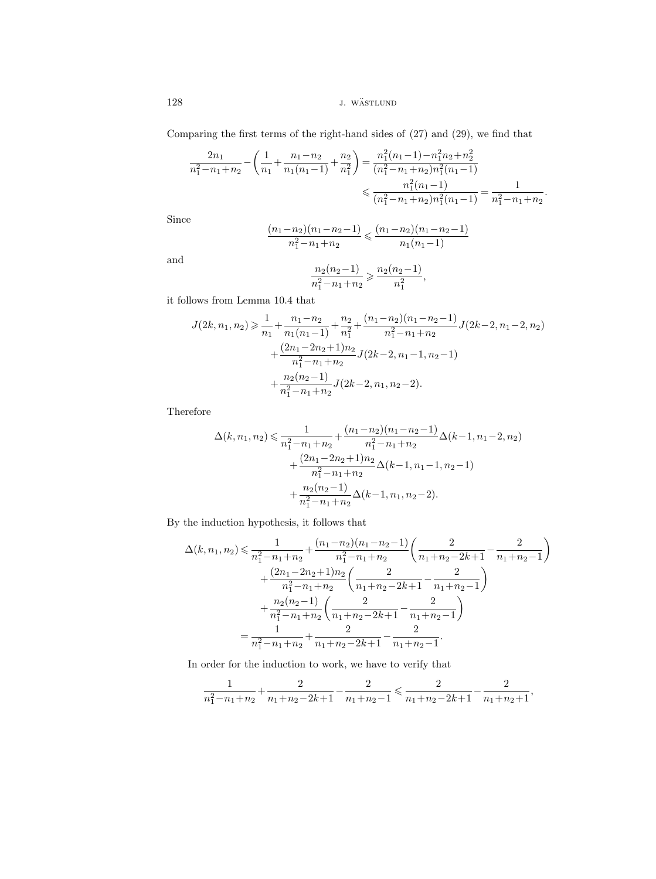128 *j. wästlund j. wästlund* 

Comparing the first terms of the right-hand sides of (27) and (29), we find that

$$
\frac{2n_1}{n_1^2 - n_1 + n_2} - \left(\frac{1}{n_1} + \frac{n_1 - n_2}{n_1(n_1 - 1)} + \frac{n_2}{n_1^2}\right) = \frac{n_1^2(n_1 - 1) - n_1^2 n_2 + n_2^2}{(n_1^2 - n_1 + n_2)n_1^2(n_1 - 1)}
$$

$$
\leqslant \frac{n_1^2(n_1 - 1)}{(n_1^2 - n_1 + n_2)n_1^2(n_1 - 1)} = \frac{1}{n_1^2 - n_1 + n_2}.
$$

Since

$$
\frac{(n_1 - n_2)(n_1 - n_2 - 1)}{n_1^2 - n_1 + n_2} \leqslant \frac{(n_1 - n_2)(n_1 - n_2 - 1)}{n_1(n_1 - 1)}
$$

and

$$
\frac{n_2(n_2-1)}{n_1^2 - n_1 + n_2} \geqslant \frac{n_2(n_2-1)}{n_1^2},
$$

it follows from Lemma 10.4 that

$$
J(2k, n_1, n_2) \geq \frac{1}{n_1} + \frac{n_1 - n_2}{n_1(n_1 - 1)} + \frac{n_2}{n_1^2} + \frac{(n_1 - n_2)(n_1 - n_2 - 1)}{n_1^2 - n_1 + n_2} J(2k - 2, n_1 - 2, n_2) + \frac{(2n_1 - 2n_2 + 1)n_2}{n_1^2 - n_1 + n_2} J(2k - 2, n_1 - 1, n_2 - 1) + \frac{n_2(n_2 - 1)}{n_1^2 - n_1 + n_2} J(2k - 2, n_1, n_2 - 2).
$$

Therefore

$$
\Delta(k, n_1, n_2) \leq \frac{1}{n_1^2 - n_1 + n_2} + \frac{(n_1 - n_2)(n_1 - n_2 - 1)}{n_1^2 - n_1 + n_2} \Delta(k - 1, n_1 - 2, n_2) + \frac{(2n_1 - 2n_2 + 1)n_2}{n_1^2 - n_1 + n_2} \Delta(k - 1, n_1 - 1, n_2 - 1) + \frac{n_2(n_2 - 1)}{n_1^2 - n_1 + n_2} \Delta(k - 1, n_1, n_2 - 2).
$$

By the induction hypothesis, it follows that

$$
\Delta(k, n_1, n_2) \leq \frac{1}{n_1^2 - n_1 + n_2} + \frac{(n_1 - n_2)(n_1 - n_2 - 1)}{n_1^2 - n_1 + n_2} \left( \frac{2}{n_1 + n_2 - 2k + 1} - \frac{2}{n_1 + n_2 - 1} \right) \n+ \frac{(2n_1 - 2n_2 + 1)n_2}{n_1^2 - n_1 + n_2} \left( \frac{2}{n_1 + n_2 - 2k + 1} - \frac{2}{n_1 + n_2 - 1} \right) \n+ \frac{n_2(n_2 - 1)}{n_1^2 - n_1 + n_2} \left( \frac{2}{n_1 + n_2 - 2k + 1} - \frac{2}{n_1 + n_2 - 1} \right) \n= \frac{1}{n_1^2 - n_1 + n_2} + \frac{2}{n_1 + n_2 - 2k + 1} - \frac{2}{n_1 + n_2 - 1}.
$$

In order for the induction to work, we have to verify that

$$
\frac{1}{n_1^2-n_1+n_2}+\frac{2}{n_1+n_2-2k+1}-\frac{2}{n_1+n_2-1}\leqslant \frac{2}{n_1+n_2-2k+1}-\frac{2}{n_1+n_2+1},
$$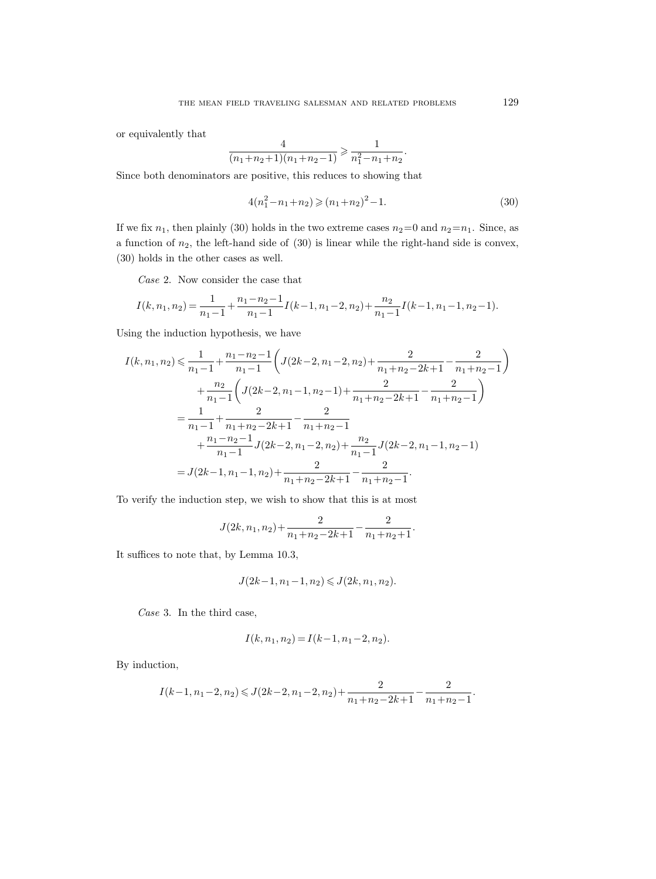or equivalently that

$$
\frac{4}{(n_1+n_2+1)(n_1+n_2-1)} \geq \frac{1}{n_1^2-n_1+n_2}.
$$

Since both denominators are positive, this reduces to showing that

$$
4(n_1^2 - n_1 + n_2) \ge (n_1 + n_2)^2 - 1.
$$
\n(30)

If we fix  $n_1$ , then plainly (30) holds in the two extreme cases  $n_2=0$  and  $n_2=n_1$ . Since, as a function of  $n_2$ , the left-hand side of  $(30)$  is linear while the right-hand side is convex, (30) holds in the other cases as well.

Case 2. Now consider the case that

$$
I(k, n_1, n_2) = \frac{1}{n_1 - 1} + \frac{n_1 - n_2 - 1}{n_1 - 1} I(k - 1, n_1 - 2, n_2) + \frac{n_2}{n_1 - 1} I(k - 1, n_1 - 1, n_2 - 1).
$$

Using the induction hypothesis, we have

$$
I(k, n_1, n_2) \leq \frac{1}{n_1 - 1} + \frac{n_1 - n_2 - 1}{n_1 - 1} \left( J(2k - 2, n_1 - 2, n_2) + \frac{2}{n_1 + n_2 - 2k + 1} - \frac{2}{n_1 + n_2 - 1} \right) + \frac{n_2}{n_1 - 1} \left( J(2k - 2, n_1 - 1, n_2 - 1) + \frac{2}{n_1 + n_2 - 2k + 1} - \frac{2}{n_1 + n_2 - 1} \right) = \frac{1}{n_1 - 1} + \frac{2}{n_1 + n_2 - 2k + 1} - \frac{2}{n_1 + n_2 - 1} + \frac{n_1 - n_2 - 1}{n_1 - 1} J(2k - 2, n_1 - 2, n_2) + \frac{n_2}{n_1 - 1} J(2k - 2, n_1 - 1, n_2 - 1) = J(2k - 1, n_1 - 1, n_2) + \frac{2}{n_1 + n_2 - 2k + 1} - \frac{2}{n_1 + n_2 - 1}.
$$

To verify the induction step, we wish to show that this is at most

$$
J(2k, n_1, n_2) + \frac{2}{n_1 + n_2 - 2k + 1} - \frac{2}{n_1 + n_2 + 1}.
$$

It suffices to note that, by Lemma 10.3,

$$
J(2k-1, n_1-1, n_2) \leqslant J(2k, n_1, n_2).
$$

Case 3. In the third case,

$$
I(k, n_1, n_2) = I(k-1, n_1-2, n_2).
$$

By induction,

$$
I(k-1, n_1-2, n_2) \leqslant J(2k-2, n_1-2, n_2) + \frac{2}{n_1+n_2-2k+1} - \frac{2}{n_1+n_2-1}.
$$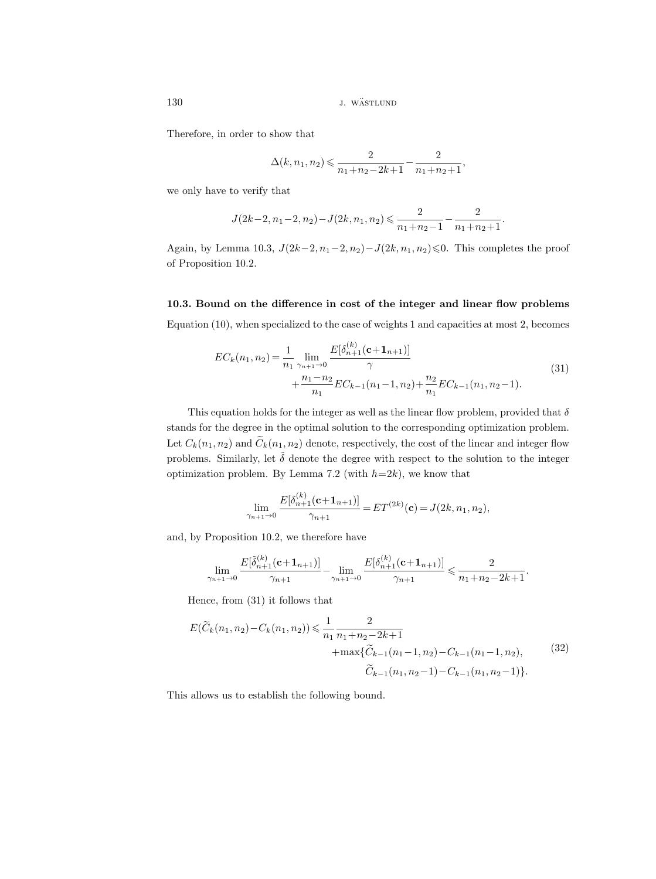Therefore, in order to show that

$$
\Delta(k, n_1, n_2) \leqslant \frac{2}{n_1 + n_2 - 2k + 1} - \frac{2}{n_1 + n_2 + 1},
$$

we only have to verify that

$$
J(2k-2,n_1-2,n_2)-J(2k,n_1,n_2)\leqslant \frac{2}{n_1+n_2-1}-\frac{2}{n_1+n_2+1}
$$

.

Again, by Lemma 10.3,  $J(2k-2, n_1-2, n_2)-J(2k, n_1, n_2) \leq 0$ . This completes the proof of Proposition 10.2.

10.3. Bound on the difference in cost of the integer and linear flow problems Equation (10), when specialized to the case of weights 1 and capacities at most 2, becomes

$$
EC_k(n_1, n_2) = \frac{1}{n_1} \lim_{\gamma_{n+1} \to 0} \frac{E[\delta_{n+1}^{(k)}(\mathbf{c} + \mathbf{1}_{n+1})]}{\gamma} + \frac{n_1 - n_2}{n_1} EC_{k-1}(n_1 - 1, n_2) + \frac{n_2}{n_1} EC_{k-1}(n_1, n_2 - 1).
$$
\n(31)

This equation holds for the integer as well as the linear flow problem, provided that  $\delta$ stands for the degree in the optimal solution to the corresponding optimization problem. Let  $C_k(n_1, n_2)$  and  $\widetilde{C}_k(n_1, n_2)$  denote, respectively, the cost of the linear and integer flow problems. Similarly, let  $\tilde{\delta}$  denote the degree with respect to the solution to the integer optimization problem. By Lemma 7.2 (with  $h=2k$ ), we know that

$$
\lim_{\gamma_{n+1}\to 0} \frac{E[\delta_{n+1}^{(k)}(\mathbf{c}+\mathbf{1}_{n+1})]}{\gamma_{n+1}} = ET^{(2k)}(\mathbf{c}) = J(2k, n_1, n_2),
$$

and, by Proposition 10.2, we therefore have

$$
\lim_{\gamma_{n+1}\to 0}\frac{E[\tilde{\delta}^{(k)}_{n+1}(\mathbf{c}+\mathbf{1}_{n+1})]}{\gamma_{n+1}} - \lim_{\gamma_{n+1}\to 0}\frac{E[\delta^{(k)}_{n+1}(\mathbf{c}+\mathbf{1}_{n+1})]}{\gamma_{n+1}} \leqslant \frac{2}{n_1+n_2-2k+1}.
$$

Hence, from (31) it follows that

$$
E(\widetilde{C}_k(n_1, n_2) - C_k(n_1, n_2)) \leq \frac{1}{n_1} \frac{2}{n_1 + n_2 - 2k + 1} + \max{\{\widetilde{C}_{k-1}(n_1 - 1, n_2) - C_{k-1}(n_1 - 1, n_2),\}} \widetilde{C}_{k-1}(n_1, n_2 - 1) - C_{k-1}(n_1, n_2 - 1)\}.
$$
\n
$$
(32)
$$

This allows us to establish the following bound.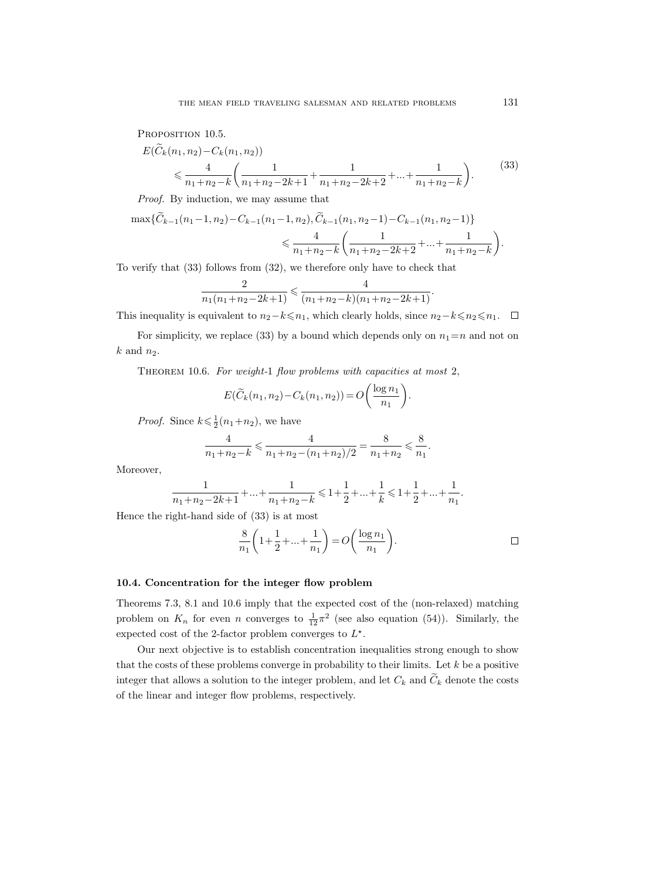PROPOSITION 10.5.

$$
E(C_k(n_1, n_2) - C_k(n_1, n_2))
$$
  
\$\leq \frac{4}{n\_1 + n\_2 - k} \left( \frac{1}{n\_1 + n\_2 - 2k + 1} + \frac{1}{n\_1 + n\_2 - 2k + 2} + \dots + \frac{1}{n\_1 + n\_2 - k} \right).\$ (33)

Proof. By induction, we may assume that

$$
\max{\{\widetilde{C}_{k-1}(n_1-1,n_2)-C_{k-1}(n_1-1,n_2),\widetilde{C}_{k-1}(n_1,n_2-1)-C_{k-1}(n_1,n_2-1)\}\over{\epsilon\frac{4}{n_1+n_2-k}\left(\frac{1}{n_1+n_2-2k+2}+\ldots+\frac{1}{n_1+n_2-k}\right)}}.
$$

To verify that (33) follows from (32), we therefore only have to check that

$$
\frac{2}{n_1(n_1+n_2-2k+1)} \leqslant \frac{4}{(n_1+n_2-k)(n_1+n_2-2k+1)}.
$$

This inequality is equivalent to  $n_2-k \leq n_1$ , which clearly holds, since  $n_2-k \leq n_2 \leq n_1$ .  $\Box$ 

For simplicity, we replace (33) by a bound which depends only on  $n_1=n$  and not on  $k$  and  $n_2$ .

THEOREM 10.6. For weight-1 flow problems with capacities at most 2,

$$
E(\widetilde{C}_k(n_1,n_2)-C_k(n_1,n_2))=O\bigg(\frac{\log n_1}{n_1}\bigg).
$$

*Proof.* Since  $k \leq \frac{1}{2}(n_1+n_2)$ , we have

$$
\frac{4}{n_1+n_2-k} \leqslant \frac{4}{n_1+n_2-(n_1+n_2)/2} = \frac{8}{n_1+n_2} \leqslant \frac{8}{n_1}
$$

Moreover,

$$
\frac{1}{n_1+n_2-2k+1}+...+\frac{1}{n_1+n_2-k}\leqslant 1+\frac{1}{2}+...+\frac{1}{k}\leqslant 1+\frac{1}{2}+...+\frac{1}{n_1}.
$$

Hence the right-hand side of (33) is at most

$$
\frac{8}{n_1} \left( 1 + \frac{1}{2} + \dots + \frac{1}{n_1} \right) = O\left( \frac{\log n_1}{n_1} \right).
$$

.

## 10.4. Concentration for the integer flow problem

Theorems 7.3, 8.1 and 10.6 imply that the expected cost of the (non-relaxed) matching problem on  $K_n$  for even n converges to  $\frac{1}{12}\pi^2$  (see also equation (54)). Similarly, the expected cost of the 2-factor problem converges to  $L^*$ .

Our next objective is to establish concentration inequalities strong enough to show that the costs of these problems converge in probability to their limits. Let  $k$  be a positive integer that allows a solution to the integer problem, and let  $C_k$  and  $\tilde{C}_k$  denote the costs of the linear and integer flow problems, respectively.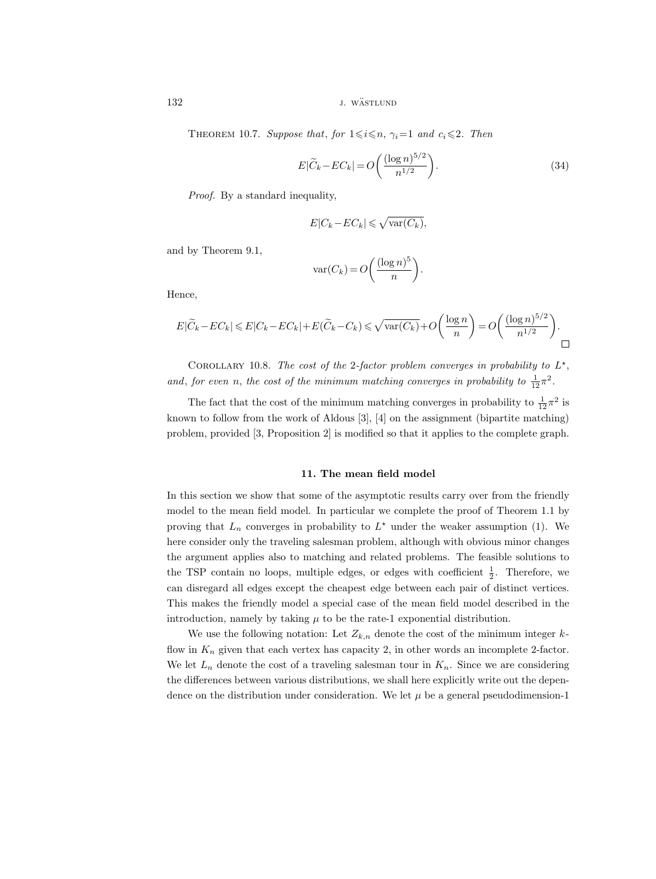132 *j. wästlund j. wästlund* 

THEOREM 10.7. Suppose that, for  $1 \le i \le n$ ,  $\gamma_i=1$  and  $c_i \le 2$ . Then

$$
E|\widetilde{C}_k - EC_k| = O\left(\frac{(\log n)^{5/2}}{n^{1/2}}\right).
$$
 (34)

Proof. By a standard inequality,

$$
E|C_k - EC_k| \leqslant \sqrt{\text{var}(C_k)},
$$

and by Theorem 9.1,

$$
\text{var}(C_k) = O\bigg(\frac{(\log n)^5}{n}\bigg).
$$

Hence,

$$
E|\widetilde{C}_k - EC_k| \leqslant E|C_k - EC_k| + E(\widetilde{C}_k - C_k) \leqslant \sqrt{\text{var}(C_k)} + O\left(\frac{\log n}{n}\right) = O\left(\frac{(\log n)^{5/2}}{n^{1/2}}\right).
$$

COROLLARY 10.8. The cost of the 2-factor problem converges in probability to  $L^{\star}$ , and, for even n, the cost of the minimum matching converges in probability to  $\frac{1}{12}\pi^2$ .

The fact that the cost of the minimum matching converges in probability to  $\frac{1}{12}\pi^2$  is known to follow from the work of Aldous [3], [4] on the assignment (bipartite matching) problem, provided [3, Proposition 2] is modified so that it applies to the complete graph.

# 11. The mean field model

In this section we show that some of the asymptotic results carry over from the friendly model to the mean field model. In particular we complete the proof of Theorem 1.1 by proving that  $L_n$  converges in probability to  $L^*$  under the weaker assumption (1). We here consider only the traveling salesman problem, although with obvious minor changes the argument applies also to matching and related problems. The feasible solutions to the TSP contain no loops, multiple edges, or edges with coefficient  $\frac{1}{2}$ . Therefore, we can disregard all edges except the cheapest edge between each pair of distinct vertices. This makes the friendly model a special case of the mean field model described in the introduction, namely by taking  $\mu$  to be the rate-1 exponential distribution.

We use the following notation: Let  $Z_{k,n}$  denote the cost of the minimum integer kflow in  $K_n$  given that each vertex has capacity 2, in other words an incomplete 2-factor. We let  $L_n$  denote the cost of a traveling salesman tour in  $K_n$ . Since we are considering the differences between various distributions, we shall here explicitly write out the dependence on the distribution under consideration. We let  $\mu$  be a general pseudodimension-1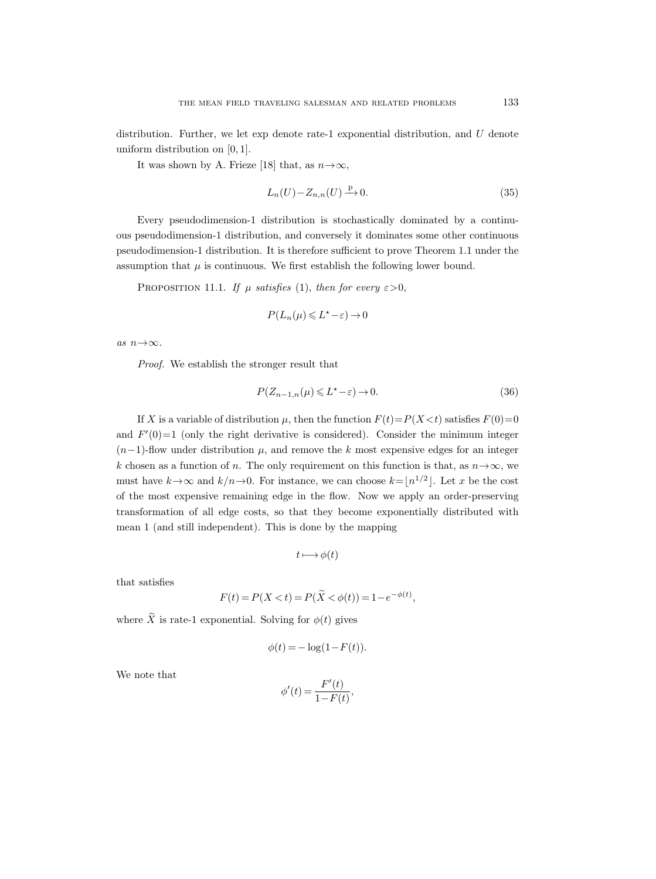distribution. Further, we let  $exp$  denote rate-1 exponential distribution, and  $U$  denote uniform distribution on [0, 1].

It was shown by A. Frieze [18] that, as  $n \rightarrow \infty$ ,

$$
L_n(U) - Z_{n,n}(U) \xrightarrow{\mathbf{P}} 0. \tag{35}
$$

Every pseudodimension-1 distribution is stochastically dominated by a continuous pseudodimension-1 distribution, and conversely it dominates some other continuous pseudodimension-1 distribution. It is therefore sufficient to prove Theorem 1.1 under the assumption that  $\mu$  is continuous. We first establish the following lower bound.

PROPOSITION 11.1. If  $\mu$  satisfies (1), then for every  $\varepsilon > 0$ ,

$$
P(L_n(\mu)\leq L^*-\varepsilon)\to 0
$$

as  $n \rightarrow \infty$ .

Proof. We establish the stronger result that

$$
P(Z_{n-1,n}(\mu) \leqslant L^{\star} - \varepsilon) \to 0. \tag{36}
$$

If X is a variable of distribution  $\mu$ , then the function  $F(t)=P(X\leq t)$  satisfies  $F(0)=0$ and  $F'(0)=1$  (only the right derivative is considered). Consider the minimum integer  $(n-1)$ -flow under distribution  $\mu$ , and remove the k most expensive edges for an integer k chosen as a function of n. The only requirement on this function is that, as  $n \rightarrow \infty$ , we must have  $k \to \infty$  and  $k/n \to 0$ . For instance, we can choose  $k = \lfloor n^{1/2} \rfloor$ . Let x be the cost of the most expensive remaining edge in the flow. Now we apply an order-preserving transformation of all edge costs, so that they become exponentially distributed with mean 1 (and still independent). This is done by the mapping

$$
t \longmapsto \phi(t)
$$

that satisfies

$$
F(t) = P(X < t) = P(\tilde{X} < \phi(t)) = 1 - e^{-\phi(t)},
$$

where  $\widetilde{X}$  is rate-1 exponential. Solving for  $\phi(t)$  gives

$$
\phi(t) = -\log(1 - F(t)).
$$

We note that

$$
\phi'(t) = \frac{F'(t)}{1 - F(t)},
$$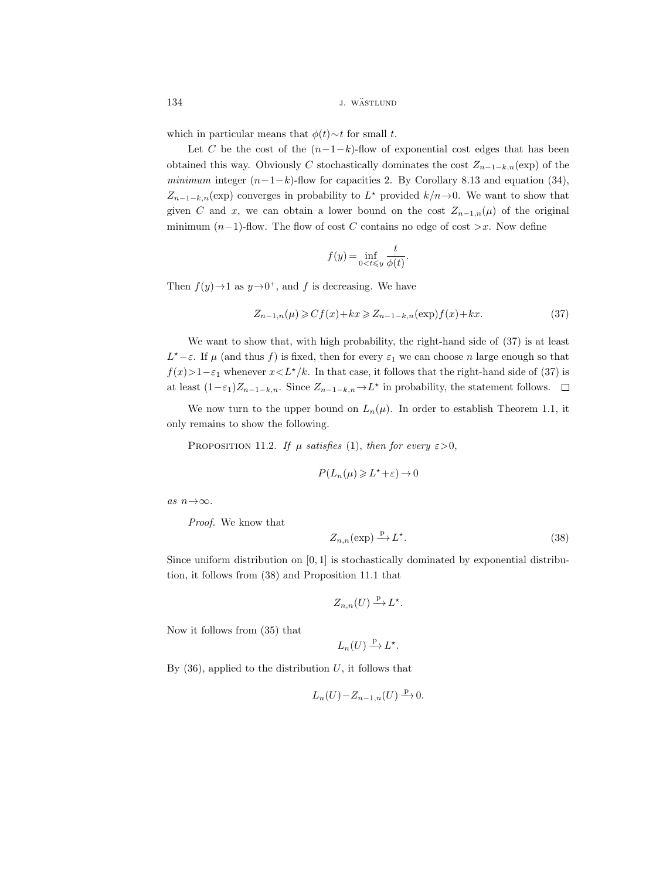134 J. WÄSTLUND

which in particular means that  $\phi(t) \sim t$  for small t.

Let C be the cost of the  $(n-1-k)$ -flow of exponential cost edges that has been obtained this way. Obviously C stochastically dominates the cost  $Z_{n-1-k,n}(\exp)$  of the minimum integer  $(n-1-k)$ -flow for capacities 2. By Corollary 8.13 and equation (34),  $Z_{n-1-k,n}(\exp)$  converges in probability to  $L^*$  provided  $k/n\rightarrow 0$ . We want to show that given C and x, we can obtain a lower bound on the cost  $Z_{n-1,n}(\mu)$  of the original minimum  $(n-1)$ -flow. The flow of cost C contains no edge of cost >x. Now define

$$
f(y) = \inf_{0 < t \leqslant y} \frac{t}{\phi(t)}.
$$

Then  $f(y) \rightarrow 1$  as  $y \rightarrow 0^+$ , and f is decreasing. We have

$$
Z_{n-1,n}(\mu) \geqslant Cf(x) + kx \geqslant Z_{n-1-k,n}(\exp)f(x) + kx. \tag{37}
$$

We want to show that, with high probability, the right-hand side of (37) is at least  $L^*-\varepsilon$ . If  $\mu$  (and thus f) is fixed, then for every  $\varepsilon_1$  we can choose n large enough so that  $f(x)$ >1− $\varepsilon_1$  whenever  $x < L^{\star}/k$ . In that case, it follows that the right-hand side of (37) is at least  $(1-\varepsilon_1)Z_{n-1-k,n}$ . Since  $Z_{n-1-k,n} \to L^*$  in probability, the statement follows.

We now turn to the upper bound on  $L_n(\mu)$ . In order to establish Theorem 1.1, it only remains to show the following.

PROPOSITION 11.2. If  $\mu$  satisfies (1), then for every  $\varepsilon > 0$ ,

$$
P(L_n(\mu)\geqslant L^\star+\varepsilon)\to 0
$$

as  $n \rightarrow \infty$ .

Proof. We know that

$$
Z_{n,n}(\exp) \xrightarrow{\mathbb{P}} L^{\star}.
$$
\n(38)

Since uniform distribution on  $[0, 1]$  is stochastically dominated by exponential distribution, it follows from (38) and Proposition 11.1 that

$$
Z_{n,n}(U) \xrightarrow{\mathbf{p}} L^{\star}.
$$

Now it follows from (35) that

$$
L_n(U) \xrightarrow{\mathrm{p}} L^{\star}.
$$

By  $(36)$ , applied to the distribution U, it follows that

$$
L_n(U)-Z_{n-1,n}(U)\stackrel{\mathbf{p}}{\longrightarrow} 0.
$$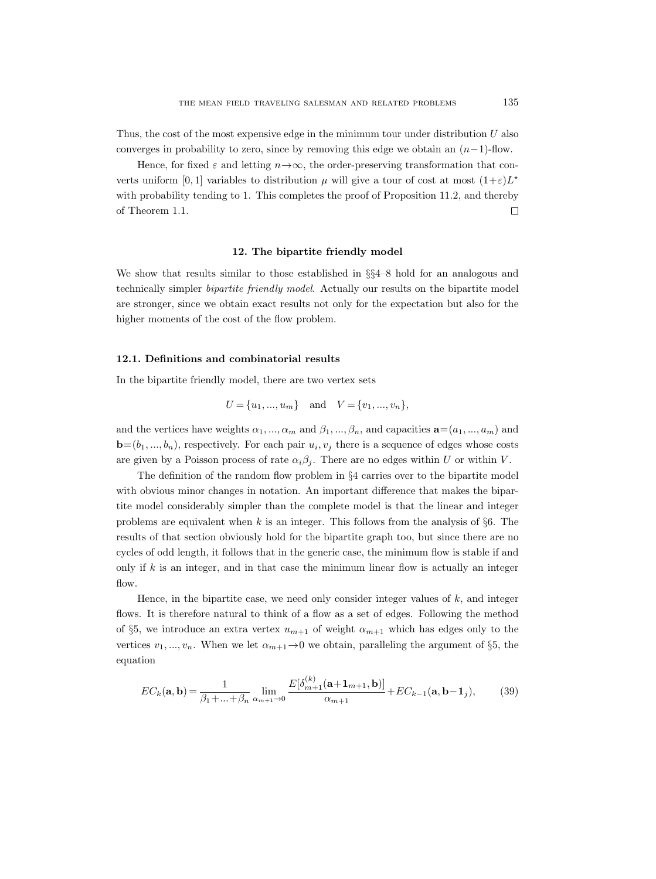Thus, the cost of the most expensive edge in the minimum tour under distribution  $U$  also converges in probability to zero, since by removing this edge we obtain an  $(n-1)$ -flow.

Hence, for fixed  $\varepsilon$  and letting  $n \rightarrow \infty$ , the order-preserving transformation that converts uniform [0, 1] variables to distribution  $\mu$  will give a tour of cost at most  $(1+\varepsilon)L^*$ with probability tending to 1. This completes the proof of Proposition 11.2, and thereby of Theorem 1.1.  $\Box$ 

#### 12. The bipartite friendly model

We show that results similar to those established in §§4–8 hold for an analogous and technically simpler bipartite friendly model. Actually our results on the bipartite model are stronger, since we obtain exact results not only for the expectation but also for the higher moments of the cost of the flow problem.

# 12.1. Definitions and combinatorial results

In the bipartite friendly model, there are two vertex sets

$$
U = \{u_1, ..., u_m\}
$$
 and  $V = \{v_1, ..., v_n\},\$ 

and the vertices have weights  $\alpha_1, ..., \alpha_m$  and  $\beta_1, ..., \beta_n$ , and capacities  $\mathbf{a} = (a_1, ..., a_m)$  and  $\mathbf{b}=(b_1,...,b_n)$ , respectively. For each pair  $u_i, v_j$  there is a sequence of edges whose costs are given by a Poisson process of rate  $\alpha_i\beta_j$ . There are no edges within U or within V.

The definition of the random flow problem in §4 carries over to the bipartite model with obvious minor changes in notation. An important difference that makes the bipartite model considerably simpler than the complete model is that the linear and integer problems are equivalent when  $k$  is an integer. This follows from the analysis of §6. The results of that section obviously hold for the bipartite graph too, but since there are no cycles of odd length, it follows that in the generic case, the minimum flow is stable if and only if  $k$  is an integer, and in that case the minimum linear flow is actually an integer flow.

Hence, in the bipartite case, we need only consider integer values of  $k$ , and integer flows. It is therefore natural to think of a flow as a set of edges. Following the method of §5, we introduce an extra vertex  $u_{m+1}$  of weight  $\alpha_{m+1}$  which has edges only to the vertices  $v_1, ..., v_n$ . When we let  $\alpha_{m+1} \rightarrow 0$  we obtain, paralleling the argument of §5, the equation

$$
EC_{k}(\mathbf{a}, \mathbf{b}) = \frac{1}{\beta_{1} + ... + \beta_{n}} \lim_{\alpha_{m+1} \to 0} \frac{E[\delta_{m+1}^{(k)}(\mathbf{a} + \mathbf{1}_{m+1}, \mathbf{b})]}{\alpha_{m+1}} + EC_{k-1}(\mathbf{a}, \mathbf{b} - \mathbf{1}_{j}),
$$
(39)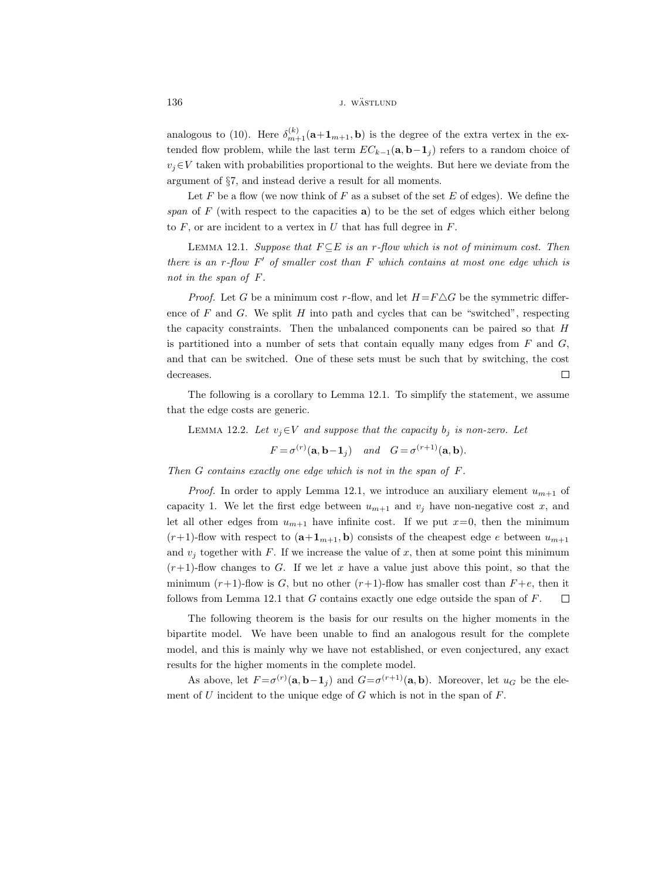136 J. WÄSTLUND

analogous to (10). Here  $\delta_{m+1}^{(k)}(\mathbf{a}+\mathbf{1}_{m+1},\mathbf{b})$  is the degree of the extra vertex in the extended flow problem, while the last term  $EC_{k-1}(\mathbf{a}, \mathbf{b}-\mathbf{1}_i)$  refers to a random choice of  $v_j \in V$  taken with probabilities proportional to the weights. But here we deviate from the argument of §7, and instead derive a result for all moments.

Let  $F$  be a flow (we now think of  $F$  as a subset of the set  $E$  of edges). We define the span of  $F$  (with respect to the capacities  $a$ ) to be the set of edges which either belong to  $F$ , or are incident to a vertex in  $U$  that has full degree in  $F$ .

LEMMA 12.1. Suppose that  $F \subseteq E$  is an r-flow which is not of minimum cost. Then there is an  $r$ -flow  $F'$  of smaller cost than  $F$  which contains at most one edge which is not in the span of F.

*Proof.* Let G be a minimum cost r-flow, and let  $H = F \triangle G$  be the symmetric difference of  $F$  and  $G$ . We split  $H$  into path and cycles that can be "switched", respecting the capacity constraints. Then the unbalanced components can be paired so that H is partitioned into a number of sets that contain equally many edges from  $F$  and  $G$ , and that can be switched. One of these sets must be such that by switching, the cost decreases.  $\Box$ 

The following is a corollary to Lemma 12.1. To simplify the statement, we assume that the edge costs are generic.

LEMMA 12.2. Let  $v_i \in V$  and suppose that the capacity  $b_i$  is non-zero. Let

$$
F = \sigma^{(r)}(\mathbf{a}, \mathbf{b} - \mathbf{1}_j)
$$
 and  $G = \sigma^{(r+1)}(\mathbf{a}, \mathbf{b}).$ 

Then G contains exactly one edge which is not in the span of F.

*Proof.* In order to apply Lemma 12.1, we introduce an auxiliary element  $u_{m+1}$  of capacity 1. We let the first edge between  $u_{m+1}$  and  $v_j$  have non-negative cost x, and let all other edges from  $u_{m+1}$  have infinite cost. If we put  $x=0$ , then the minimum  $(r+1)$ -flow with respect to  $(a+1_{m+1}, b)$  consists of the cheapest edge e between  $u_{m+1}$ and  $v_j$  together with F. If we increase the value of x, then at some point this minimum  $(r+1)$ -flow changes to G. If we let x have a value just above this point, so that the minimum  $(r+1)$ -flow is G, but no other  $(r+1)$ -flow has smaller cost than  $F+e$ , then it follows from Lemma 12.1 that  $G$  contains exactly one edge outside the span of  $F$ .  $\Box$ 

The following theorem is the basis for our results on the higher moments in the bipartite model. We have been unable to find an analogous result for the complete model, and this is mainly why we have not established, or even conjectured, any exact results for the higher moments in the complete model.

As above, let  $F = \sigma^{(r)}(a, b-1_j)$  and  $G = \sigma^{(r+1)}(a, b)$ . Moreover, let  $u_G$  be the element of  $U$  incident to the unique edge of  $G$  which is not in the span of  $F$ .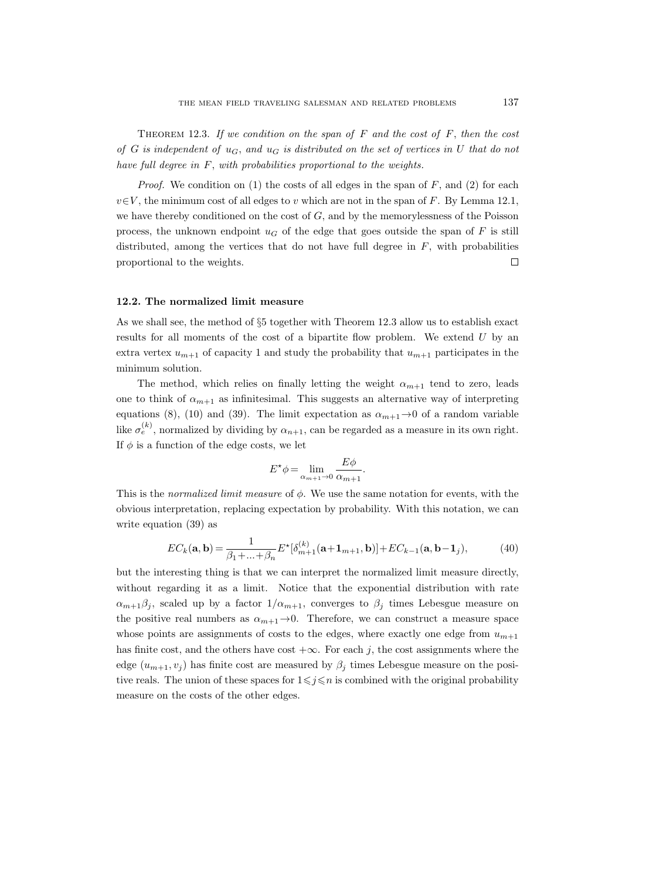THEOREM 12.3. If we condition on the span of  $F$  and the cost of  $F$ , then the cost of G is independent of  $u_G$ , and  $u_G$  is distributed on the set of vertices in U that do not have full degree in F, with probabilities proportional to the weights.

*Proof.* We condition on  $(1)$  the costs of all edges in the span of F, and  $(2)$  for each  $v \in V$ , the minimum cost of all edges to v which are not in the span of F. By Lemma 12.1, we have thereby conditioned on the cost of  $G$ , and by the memorylessness of the Poisson process, the unknown endpoint  $u_G$  of the edge that goes outside the span of F is still distributed, among the vertices that do not have full degree in  $F$ , with probabilities proportional to the weights.  $\Box$ 

### 12.2. The normalized limit measure

As we shall see, the method of §5 together with Theorem 12.3 allow us to establish exact results for all moments of the cost of a bipartite flow problem. We extend  $U$  by an extra vertex  $u_{m+1}$  of capacity 1 and study the probability that  $u_{m+1}$  participates in the minimum solution.

The method, which relies on finally letting the weight  $\alpha_{m+1}$  tend to zero, leads one to think of  $\alpha_{m+1}$  as infinitesimal. This suggests an alternative way of interpreting equations (8), (10) and (39). The limit expectation as  $\alpha_{m+1} \rightarrow 0$  of a random variable like  $\sigma_e^{(k)}$ , normalized by dividing by  $\alpha_{n+1}$ , can be regarded as a measure in its own right. If  $\phi$  is a function of the edge costs, we let

$$
E^{\star}\phi = \lim_{\alpha_{m+1}\to 0} \frac{E\phi}{\alpha_{m+1}}.
$$

This is the *normalized limit measure* of  $\phi$ . We use the same notation for events, with the obvious interpretation, replacing expectation by probability. With this notation, we can write equation (39) as

$$
EC_{k}(\mathbf{a}, \mathbf{b}) = \frac{1}{\beta_{1} + ... + \beta_{n}} E^{\star}[\delta_{m+1}^{(k)}(\mathbf{a} + \mathbf{1}_{m+1}, \mathbf{b})] + EC_{k-1}(\mathbf{a}, \mathbf{b} - \mathbf{1}_{j}),
$$
(40)

but the interesting thing is that we can interpret the normalized limit measure directly, without regarding it as a limit. Notice that the exponential distribution with rate  $\alpha_{m+1}\beta_j$ , scaled up by a factor  $1/\alpha_{m+1}$ , converges to  $\beta_j$  times Lebesgue measure on the positive real numbers as  $\alpha_{m+1} \rightarrow 0$ . Therefore, we can construct a measure space whose points are assignments of costs to the edges, where exactly one edge from  $u_{m+1}$ has finite cost, and the others have cost  $+\infty$ . For each j, the cost assignments where the edge  $(u_{m+1}, v_j)$  has finite cost are measured by  $\beta_j$  times Lebesgue measure on the positive reals. The union of these spaces for  $1\leq j\leq n$  is combined with the original probability measure on the costs of the other edges.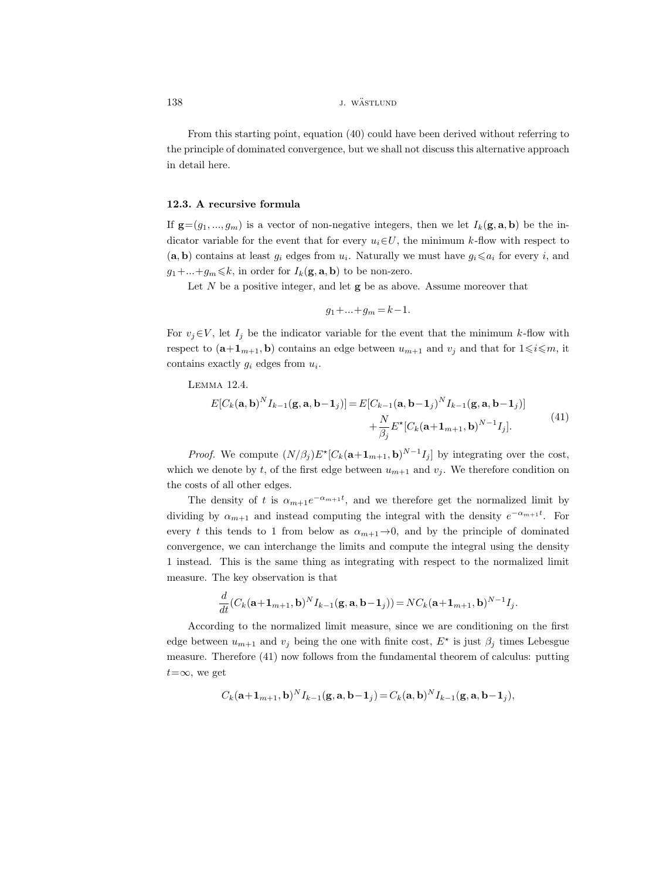# 138 *j. wästlund j. wästlund*

From this starting point, equation (40) could have been derived without referring to the principle of dominated convergence, but we shall not discuss this alternative approach in detail here.

# 12.3. A recursive formula

If  $\mathbf{g}=(g_1,...,g_m)$  is a vector of non-negative integers, then we let  $I_k(\mathbf{g}, \mathbf{a}, \mathbf{b})$  be the indicator variable for the event that for every  $u_i \in U$ , the minimum k-flow with respect to  $(a, b)$  contains at least  $g_i$  edges from  $u_i$ . Naturally we must have  $g_i \leq a_i$  for every i, and  $g_1 + \ldots + g_m \leq k$ , in order for  $I_k(\mathbf{g}, \mathbf{a}, \mathbf{b})$  to be non-zero.

Let  $N$  be a positive integer, and let  $g$  be as above. Assume moreover that

$$
g_1 + \ldots + g_m = k - 1.
$$

For  $v_j \in V$ , let  $I_j$  be the indicator variable for the event that the minimum k-flow with respect to  $(\mathbf{a}+\mathbf{1}_{m+1}, \mathbf{b})$  contains an edge between  $u_{m+1}$  and  $v_j$  and that for  $1\leq i\leq m$ , it contains exactly  $g_i$  edges from  $u_i$ .

Lemma 12.4.

$$
E[C_k(\mathbf{a}, \mathbf{b})^N I_{k-1}(\mathbf{g}, \mathbf{a}, \mathbf{b}-\mathbf{1}_j)] = E[C_{k-1}(\mathbf{a}, \mathbf{b}-\mathbf{1}_j)^N I_{k-1}(\mathbf{g}, \mathbf{a}, \mathbf{b}-\mathbf{1}_j)] + \frac{N}{\beta_j} E^* [C_k(\mathbf{a}+\mathbf{1}_{m+1}, \mathbf{b})^{N-1} I_j].
$$
\n(41)

*Proof.* We compute  $(N/\beta_j)E^{\star}[C_k(\mathbf{a}+\mathbf{1}_{m+1},\mathbf{b})^{N-1}I_j]$  by integrating over the cost, which we denote by t, of the first edge between  $u_{m+1}$  and  $v_j$ . We therefore condition on the costs of all other edges.

The density of t is  $\alpha_{m+1}e^{-\alpha_{m+1}t}$ , and we therefore get the normalized limit by dividing by  $\alpha_{m+1}$  and instead computing the integral with the density  $e^{-\alpha_{m+1}t}$ . For every t this tends to 1 from below as  $\alpha_{m+1} \rightarrow 0$ , and by the principle of dominated convergence, we can interchange the limits and compute the integral using the density 1 instead. This is the same thing as integrating with respect to the normalized limit measure. The key observation is that

$$
\frac{d}{dt}(C_k(\mathbf{a}+\mathbf{1}_{m+1},\mathbf{b})^N I_{k-1}(\mathbf{g},\mathbf{a},\mathbf{b}-\mathbf{1}_j))=NC_k(\mathbf{a}+\mathbf{1}_{m+1},\mathbf{b})^{N-1}I_j.
$$

According to the normalized limit measure, since we are conditioning on the first edge between  $u_{m+1}$  and  $v_j$  being the one with finite cost,  $E^*$  is just  $\beta_j$  times Lebesgue measure. Therefore (41) now follows from the fundamental theorem of calculus: putting  $t=\infty$ , we get

$$
C_k(\mathbf{a}+\mathbf{1}_{m+1},\mathbf{b})^N I_{k-1}(\mathbf{g},\mathbf{a},\mathbf{b}-\mathbf{1}_j) = C_k(\mathbf{a},\mathbf{b})^N I_{k-1}(\mathbf{g},\mathbf{a},\mathbf{b}-\mathbf{1}_j),
$$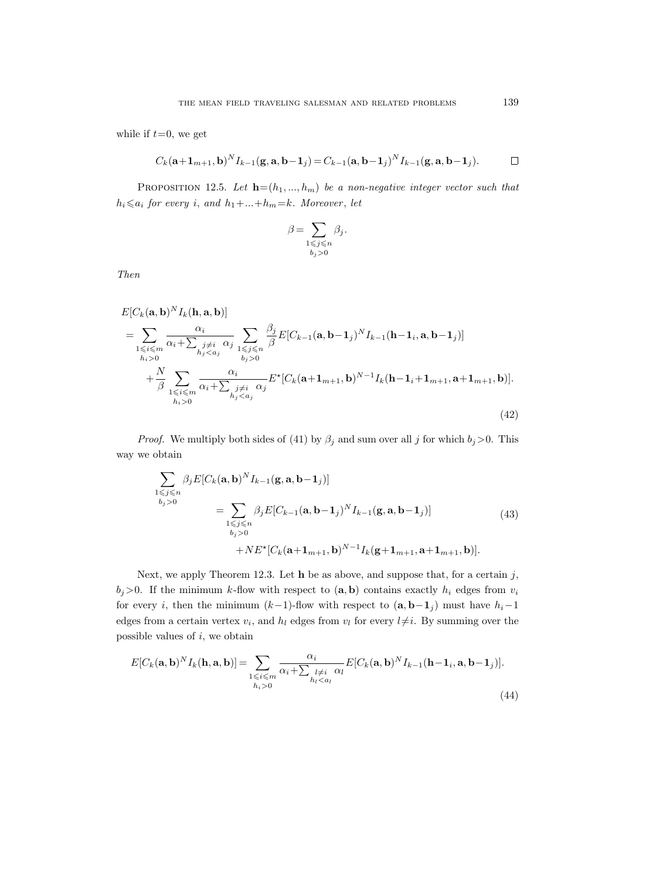while if  $t=0$ , we get

$$
C_k(\mathbf{a}+\mathbf{1}_{m+1},\mathbf{b})^N I_{k-1}(\mathbf{g},\mathbf{a},\mathbf{b}-\mathbf{1}_j) = C_{k-1}(\mathbf{a},\mathbf{b}-\mathbf{1}_j)^N I_{k-1}(\mathbf{g},\mathbf{a},\mathbf{b}-\mathbf{1}_j).
$$

PROPOSITION 12.5. Let  $\mathbf{h}=(h_1, ..., h_m)$  be a non-negative integer vector such that  $h_i \leq a_i$  for every i, and  $h_1 + ... + h_m = k$ . Moreover, let

$$
\beta = \sum_{\substack{1 \leqslant j \leqslant n \\ b_j > 0}} \beta_j.
$$

Then

$$
E[C_{k}(\mathbf{a}, \mathbf{b})^{N} I_{k}(\mathbf{h}, \mathbf{a}, \mathbf{b})]
$$
\n
$$
= \sum_{\substack{1 \leq i \leq m \\ h_{i} > 0}} \frac{\alpha_{i}}{\alpha_{i} + \sum_{\substack{j \neq i \\ h_{j} < a_{j}}} \frac{\beta_{j}}{\beta} E[C_{k-1}(\mathbf{a}, \mathbf{b} - \mathbf{1}_{j})^{N} I_{k-1}(\mathbf{h} - \mathbf{1}_{i}, \mathbf{a}, \mathbf{b} - \mathbf{1}_{j})]
$$
\n
$$
+ \frac{N}{\beta} \sum_{\substack{1 \leq i \leq m \\ h_{i} > 0}} \frac{\alpha_{i}}{\alpha_{i} + \sum_{\substack{j \neq i \\ h_{j} < a_{j}}} \frac{\alpha_{i}}{\alpha_{j}} E^{*}[C_{k}(\mathbf{a} + \mathbf{1}_{m+1}, \mathbf{b})^{N-1} I_{k}(\mathbf{h} - \mathbf{1}_{i} + \mathbf{1}_{m+1}, \mathbf{a} + \mathbf{1}_{m+1}, \mathbf{b})].
$$
\n(42)

*Proof.* We multiply both sides of (41) by  $\beta_j$  and sum over all j for which  $b_j > 0$ . This way we obtain

$$
\sum_{\substack{1 \leq j \leq n \\ b_j > 0}} \beta_j E[C_k(\mathbf{a}, \mathbf{b})^N I_{k-1}(\mathbf{g}, \mathbf{a}, \mathbf{b} - \mathbf{1}_j)]
$$
\n
$$
= \sum_{\substack{1 \leq j \leq n \\ b_j > 0}} \beta_j E[C_{k-1}(\mathbf{a}, \mathbf{b} - \mathbf{1}_j)^N I_{k-1}(\mathbf{g}, \mathbf{a}, \mathbf{b} - \mathbf{1}_j)]
$$
\n
$$
+ N E^* [C_k(\mathbf{a} + \mathbf{1}_{m+1}, \mathbf{b})^{N-1} I_k(\mathbf{g} + \mathbf{1}_{m+1}, \mathbf{a} + \mathbf{1}_{m+1}, \mathbf{b})].
$$
\n(43)

Next, we apply Theorem 12.3. Let  $h$  be as above, and suppose that, for a certain j,  $b_j>0$ . If the minimum k-flow with respect to  $(a, b)$  contains exactly  $h_i$  edges from  $v_i$ for every i, then the minimum  $(k-1)$ -flow with respect to  $(\mathbf{a}, \mathbf{b}-\mathbf{1}_j)$  must have  $h_i-1$ edges from a certain vertex  $v_i$ , and  $h_l$  edges from  $v_l$  for every  $l\neq i$ . By summing over the possible values of  $i$ , we obtain

$$
E[C_k(\mathbf{a}, \mathbf{b})^N I_k(\mathbf{h}, \mathbf{a}, \mathbf{b})] = \sum_{\substack{1 \le i \le m \\ h_i > 0}} \frac{\alpha_i}{\alpha_i + \sum_{\substack{l \ne i \\ h_l < a_l}} \alpha_l} E[C_k(\mathbf{a}, \mathbf{b})^N I_{k-1}(\mathbf{h} - \mathbf{1}_i, \mathbf{a}, \mathbf{b} - \mathbf{1}_j)].
$$
\n(44)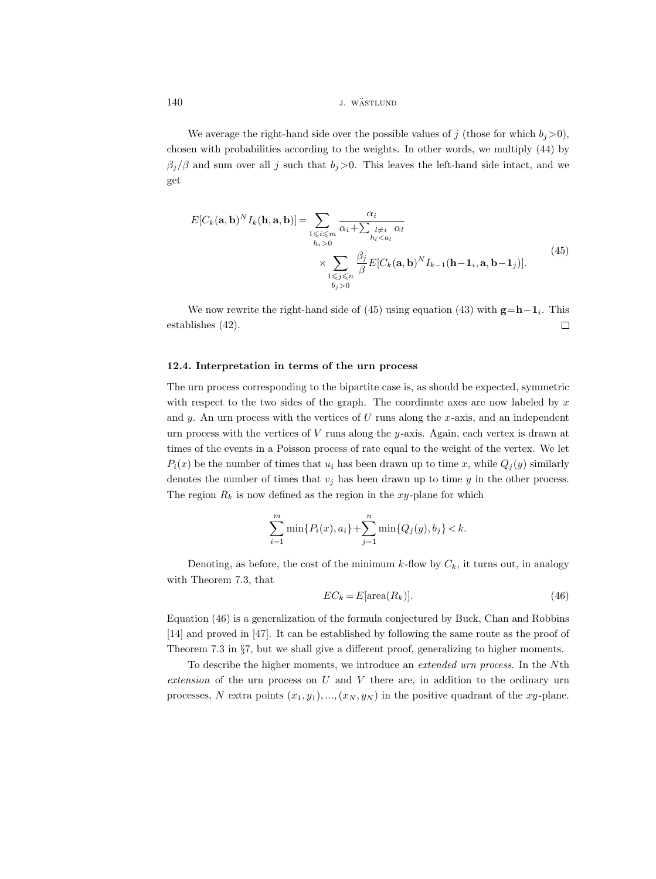140 *j. wästlund* 

We average the right-hand side over the possible values of j (those for which  $b_i>0$ ), chosen with probabilities according to the weights. In other words, we multiply (44) by  $\beta_i/\beta$  and sum over all j such that  $b_i>0$ . This leaves the left-hand side intact, and we get

$$
E[C_k(\mathbf{a}, \mathbf{b})^N I_k(\mathbf{h}, \mathbf{a}, \mathbf{b})] = \sum_{\substack{1 \le i \le m \\ h_i > 0}} \frac{\alpha_i}{\alpha_i + \sum_{\substack{l \ne i \\ h_l < a_l}} \alpha_l} \times \sum_{\substack{1 \le j \le n \\ j \le j \le n}} \frac{\beta_j}{\beta} E[C_k(\mathbf{a}, \mathbf{b})^N I_{k-1}(\mathbf{h} - \mathbf{1}_i, \mathbf{a}, \mathbf{b} - \mathbf{1}_j)].
$$
\n(45)

We now rewrite the right-hand side of  $(45)$  using equation  $(43)$  with  $g=h-1<sub>i</sub>$ . This  $\Box$ establishes (42).

# 12.4. Interpretation in terms of the urn process

The urn process corresponding to the bipartite case is, as should be expected, symmetric with respect to the two sides of the graph. The coordinate axes are now labeled by  $x$ and y. An urn process with the vertices of  $U$  runs along the  $x$ -axis, and an independent urn process with the vertices of  $V$  runs along the  $y$ -axis. Again, each vertex is drawn at times of the events in a Poisson process of rate equal to the weight of the vertex. We let  $P_i(x)$  be the number of times that  $u_i$  has been drawn up to time x, while  $Q_i(y)$  similarly denotes the number of times that  $v_j$  has been drawn up to time y in the other process. The region  $R_k$  is now defined as the region in the xy-plane for which

$$
\sum_{i=1}^{m} \min\{P_i(x), a_i\} + \sum_{j=1}^{n} \min\{Q_j(y), b_j\} < k.
$$

Denoting, as before, the cost of the minimum k-flow by  $C_k$ , it turns out, in analogy with Theorem 7.3, that

$$
EC_k = E[\text{area}(R_k)].\tag{46}
$$

Equation (46) is a generalization of the formula conjectured by Buck, Chan and Robbins [14] and proved in [47]. It can be established by following the same route as the proof of Theorem 7.3 in §7, but we shall give a different proof, generalizing to higher moments.

To describe the higher moments, we introduce an extended urn process. In the Nth extension of the urn process on  $U$  and  $V$  there are, in addition to the ordinary urn processes, N extra points  $(x_1, y_1), ..., (x_N, y_N)$  in the positive quadrant of the xy-plane.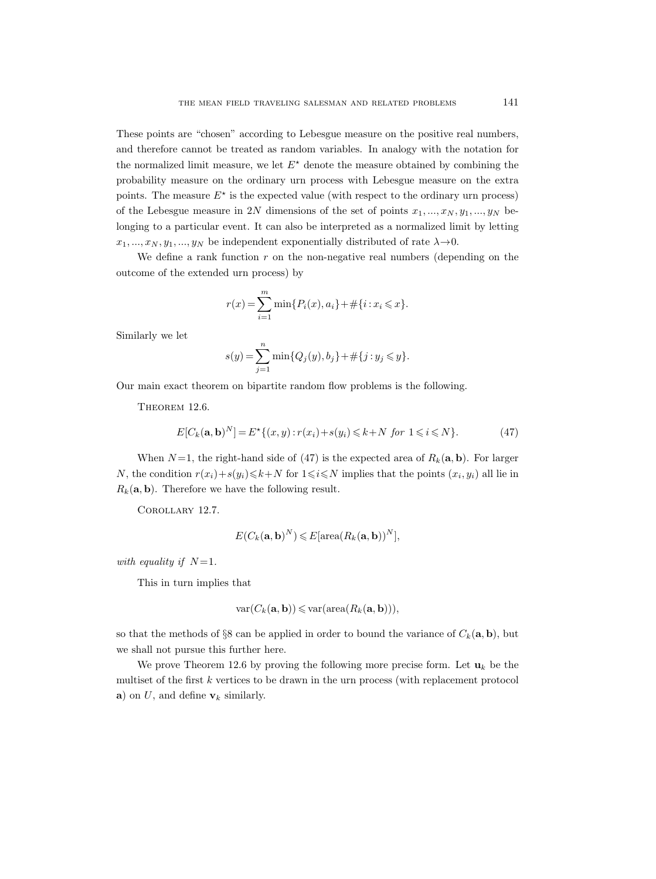These points are "chosen" according to Lebesgue measure on the positive real numbers, and therefore cannot be treated as random variables. In analogy with the notation for the normalized limit measure, we let  $E^*$  denote the measure obtained by combining the probability measure on the ordinary urn process with Lebesgue measure on the extra points. The measure  $E^*$  is the expected value (with respect to the ordinary urn process) of the Lebesgue measure in 2N dimensions of the set of points  $x_1, ..., x_N, y_1, ..., y_N$  belonging to a particular event. It can also be interpreted as a normalized limit by letting  $x_1, ..., x_N, y_1, ..., y_N$  be independent exponentially distributed of rate  $\lambda \rightarrow 0$ .

We define a rank function  $r$  on the non-negative real numbers (depending on the outcome of the extended urn process) by

$$
r(x) = \sum_{i=1}^{m} \min\{P_i(x), a_i\} + \#\{i : x_i \leq x\}.
$$

Similarly we let

$$
s(y) = \sum_{j=1}^{n} \min\{Q_j(y), b_j\} + \#\{j : y_j \leq y\}.
$$

Our main exact theorem on bipartite random flow problems is the following.

THEOREM 12.6.

$$
E[C_k(\mathbf{a}, \mathbf{b})^N] = E^* \{ (x, y) : r(x_i) + s(y_i) \le k + N \text{ for } 1 \le i \le N \}. \tag{47}
$$

When  $N=1$ , the right-hand side of (47) is the expected area of  $R_k(\mathbf{a}, \mathbf{b})$ . For larger N, the condition  $r(x_i)+s(y_i) \leq k+N$  for  $1 \leq i \leq N$  implies that the points  $(x_i, y_i)$  all lie in  $R_k(\mathbf{a}, \mathbf{b})$ . Therefore we have the following result.

Corollary 12.7.

$$
E(C_k(\mathbf{a}, \mathbf{b})^N) \leq E[\operatorname{area}(R_k(\mathbf{a}, \mathbf{b}))^N],
$$

with equality if  $N=1$ .

This in turn implies that

$$
\text{var}(C_k(\mathbf{a}, \mathbf{b})) \leqslant \text{var}(\text{area}(R_k(\mathbf{a}, \mathbf{b}))),
$$

so that the methods of §8 can be applied in order to bound the variance of  $C_k(\mathbf{a}, \mathbf{b})$ , but we shall not pursue this further here.

We prove Theorem 12.6 by proving the following more precise form. Let  $\mathbf{u}_k$  be the multiset of the first  $k$  vertices to be drawn in the urn process (with replacement protocol a) on U, and define  $v_k$  similarly.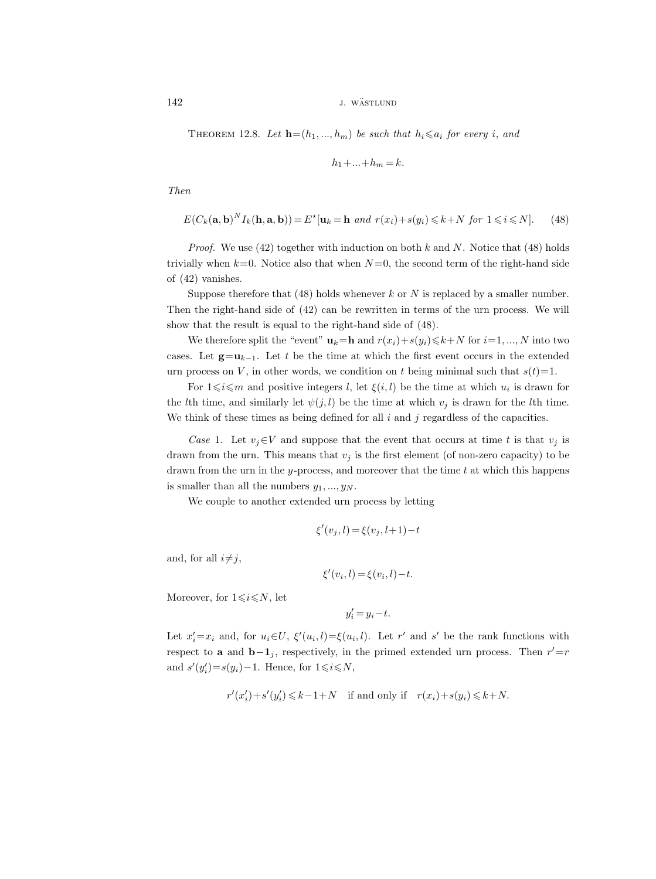142 *j. wästlund* 

THEOREM 12.8. Let  $\mathbf{h}=(h_1, ..., h_m)$  be such that  $h_i \leq a_i$  for every i, and

$$
h_1 + \ldots + h_m = k.
$$

Then

$$
E(C_k(\mathbf{a}, \mathbf{b})^N I_k(\mathbf{h}, \mathbf{a}, \mathbf{b})) = E^{\star}[\mathbf{u}_k = \mathbf{h} \text{ and } r(x_i) + s(y_i) \le k + N \text{ for } 1 \le i \le N]. \tag{48}
$$

*Proof.* We use  $(42)$  together with induction on both k and N. Notice that  $(48)$  holds trivially when  $k=0$ . Notice also that when  $N=0$ , the second term of the right-hand side of (42) vanishes.

Suppose therefore that  $(48)$  holds whenever k or N is replaced by a smaller number. Then the right-hand side of  $(42)$  can be rewritten in terms of the urn process. We will show that the result is equal to the right-hand side of (48).

We therefore split the "event"  $\mathbf{u}_k=\mathbf{h}$  and  $r(x_i)+s(y_i)\leq k+N$  for  $i=1, ..., N$  into two cases. Let  $g=u_{k-1}$ . Let t be the time at which the first event occurs in the extended urn process on V, in other words, we condition on t being minimal such that  $s(t)=1$ .

For  $1 \leq i \leq m$  and positive integers l, let  $\xi(i, l)$  be the time at which  $u_i$  is drawn for the *l*th time, and similarly let  $\psi(j, l)$  be the time at which  $v_j$  is drawn for the *l*th time. We think of these times as being defined for all  $i$  and  $j$  regardless of the capacities.

Case 1. Let  $v_i \in V$  and suppose that the event that occurs at time t is that  $v_i$  is drawn from the urn. This means that  $v_j$  is the first element (of non-zero capacity) to be drawn from the urn in the y-process, and moreover that the time  $t$  at which this happens is smaller than all the numbers  $y_1, ..., y_N$ .

We couple to another extended urn process by letting

$$
\xi'(v_j,l)\!=\!\xi(v_j,l\!+\!1)\!-\!t
$$

and, for all  $i\neq j$ ,

$$
\xi'(v_i, l) = \xi(v_i, l) - t.
$$

Moreover, for  $1 \leq i \leq N$ , let

$$
y_i' = y_i - t.
$$

Let  $x_i'=x_i$  and, for  $u_i\in U$ ,  $\xi'(u_i,l)=\xi(u_i,l)$ . Let r' and s' be the rank functions with respect to **a** and **b** $-1<sub>j</sub>$ , respectively, in the primed extended urn process. Then  $r' = r$ and  $s'(y'_i)=s(y_i)-1$ . Hence, for  $1\leq i\leq N$ ,

$$
r'(x'_i) + s'(y'_i) \le k - 1 + N \quad \text{if and only if} \quad r(x_i) + s(y_i) \le k + N.
$$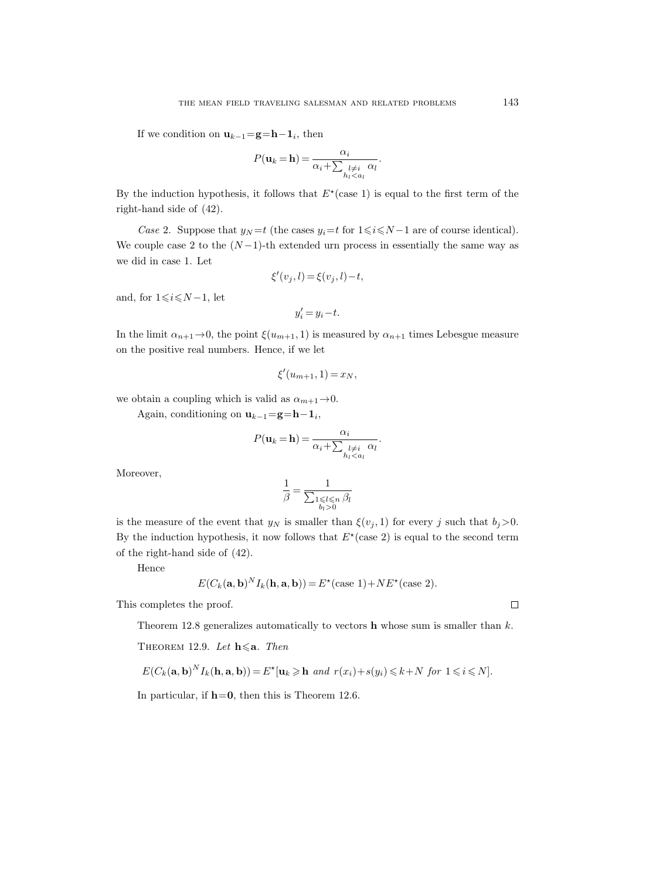If we condition on  $\mathbf{u}_{k-1} = \mathbf{g} = \mathbf{h} - \mathbf{1}_i$ , then

$$
P(\mathbf{u}_k = \mathbf{h}) = \frac{\alpha_i}{\alpha_i + \sum_{\substack{l \neq i \ l \leq a_l}} \alpha_l}.
$$

By the induction hypothesis, it follows that  $E^*(\text{case 1})$  is equal to the first term of the right-hand side of (42).

Case 2. Suppose that  $y_N = t$  (the cases  $y_i = t$  for  $1 \le i \le N - 1$  are of course identical). We couple case 2 to the  $(N-1)$ -th extended urn process in essentially the same way as we did in case 1. Let

$$
\xi'(v_j, l) = \xi(v_j, l) - t,
$$

and, for  $1 \leq i \leq N-1$ , let

$$
y_i'=y_i-t.
$$

In the limit  $\alpha_{n+1} \to 0$ , the point  $\xi(u_{m+1}, 1)$  is measured by  $\alpha_{n+1}$  times Lebesgue measure on the positive real numbers. Hence, if we let

$$
\xi'(u_{m+1}, 1) = x_N,
$$

we obtain a coupling which is valid as  $\alpha_{m+1} \rightarrow 0$ .

Again, conditioning on  $\mathbf{u}_{k-1} = \mathbf{g} = \mathbf{h} - \mathbf{1}_i$ ,

$$
P(\mathbf{u}_k = \mathbf{h}) = \frac{\alpha_i}{\alpha_i + \sum_{\substack{l \neq i \ l \leq a_l}} \alpha_l}.
$$

Moreover,

$$
\frac{1}{\beta} = \frac{1}{\sum_{\substack{1 \leq l \leq n \\ b_l > 0}} \beta_l}
$$

is the measure of the event that  $y_N$  is smaller than  $\xi(v_i, 1)$  for every j such that  $b_i > 0$ . By the induction hypothesis, it now follows that  $E^*(\text{case 2})$  is equal to the second term of the right-hand side of (42).

Hence

$$
E(C_k(\mathbf{a}, \mathbf{b})^N I_k(\mathbf{h}, \mathbf{a}, \mathbf{b})) = E^*(\text{case 1}) + NE^*(\text{case 2}).
$$

This completes the proof.

Theorem 12.8 generalizes automatically to vectors  **whose sum is smaller than**  $k$ **.** 

THEOREM 12.9. Let  $\mathbf{h} \leq \mathbf{a}$ . Then

$$
E(C_k(\mathbf{a},\mathbf{b})^N I_k(\mathbf{h},\mathbf{a},\mathbf{b})) = E^{\star}[\mathbf{u}_k \geq \mathbf{h} \text{ and } r(x_i) + s(y_i) \leq k + N \text{ for } 1 \leq i \leq N].
$$

In particular, if  $h=0$ , then this is Theorem 12.6.

 $\hfill\square$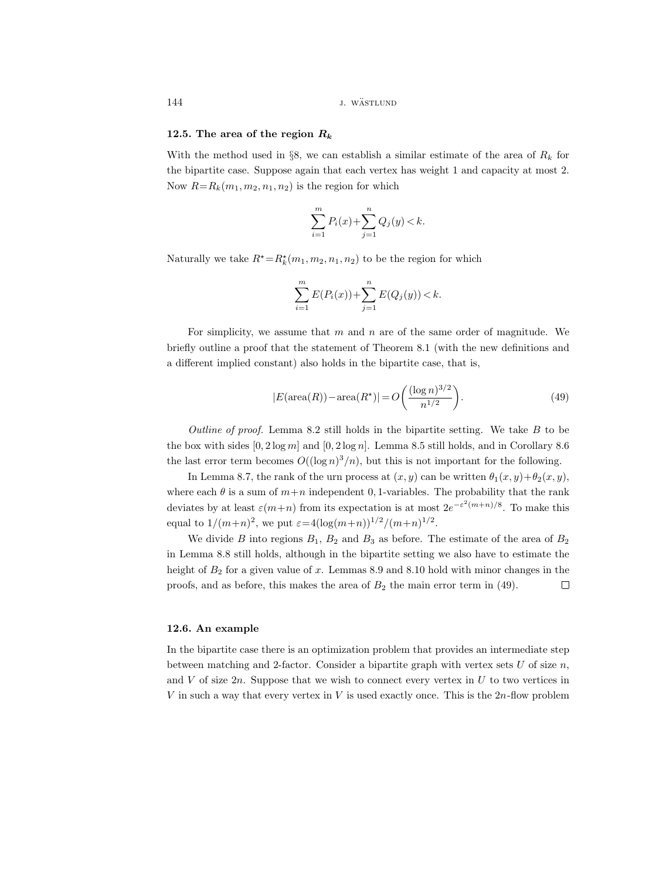144 J. WÄSTLUND

### 12.5. The area of the region  $R_k$

With the method used in §8, we can establish a similar estimate of the area of  $R_k$  for the bipartite case. Suppose again that each vertex has weight 1 and capacity at most 2. Now  $R=R_k(m_1, m_2, n_1, n_2)$  is the region for which

$$
\sum_{i=1}^{m} P_i(x) + \sum_{j=1}^{n} Q_j(y) < k.
$$

Naturally we take  $R^* = R_k^*(m_1, m_2, n_1, n_2)$  to be the region for which

$$
\sum_{i=1}^{m} E(P_i(x)) + \sum_{j=1}^{n} E(Q_j(y)) < k.
$$

For simplicity, we assume that  $m$  and  $n$  are of the same order of magnitude. We briefly outline a proof that the statement of Theorem 8.1 (with the new definitions and a different implied constant) also holds in the bipartite case, that is,

$$
|E(\text{area}(R)) - \text{area}(R^*)| = O\left(\frac{(\log n)^{3/2}}{n^{1/2}}\right).
$$
 (49)

Outline of proof. Lemma 8.2 still holds in the bipartite setting. We take  $B$  to be the box with sides  $[0, 2 \log m]$  and  $[0, 2 \log n]$ . Lemma 8.5 still holds, and in Corollary 8.6 the last error term becomes  $O((\log n)^3/n)$ , but this is not important for the following.

In Lemma 8.7, the rank of the urn process at  $(x, y)$  can be written  $\theta_1(x, y)+\theta_2(x, y)$ . where each  $\theta$  is a sum of  $m+n$  independent 0, 1-variables. The probability that the rank deviates by at least  $\varepsilon(m+n)$  from its expectation is at most  $2e^{-\varepsilon^2(m+n)/8}$ . To make this equal to  $1/(m+n)^2$ , we put  $\varepsilon = 4(\log(m+n))^{1/2}/(m+n)^{1/2}$ .

We divide B into regions  $B_1$ ,  $B_2$  and  $B_3$  as before. The estimate of the area of  $B_2$ in Lemma 8.8 still holds, although in the bipartite setting we also have to estimate the height of  $B_2$  for a given value of x. Lemmas 8.9 and 8.10 hold with minor changes in the proofs, and as before, this makes the area of  $B_2$  the main error term in (49).  $\Box$ 

# 12.6. An example

In the bipartite case there is an optimization problem that provides an intermediate step between matching and 2-factor. Consider a bipartite graph with vertex sets  $U$  of size  $n$ , and  $V$  of size  $2n$ . Suppose that we wish to connect every vertex in  $U$  to two vertices in V in such a way that every vertex in V is used exactly once. This is the  $2n$ -flow problem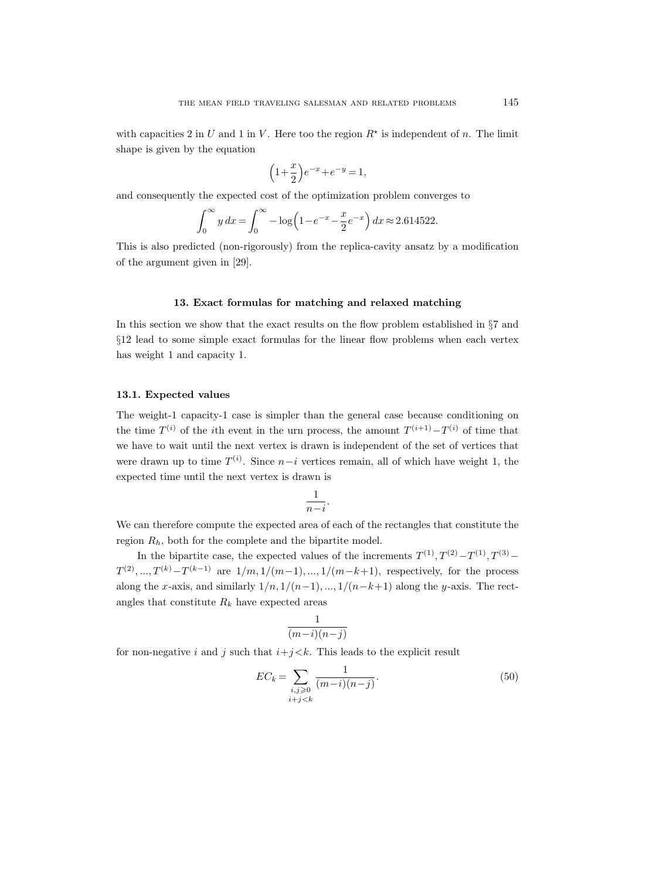with capacities 2 in U and 1 in V. Here too the region  $R^*$  is independent of n. The limit shape is given by the equation

$$
\left(1 + \frac{x}{2}\right)e^{-x} + e^{-y} = 1,
$$

and consequently the expected cost of the optimization problem converges to

$$
\int_0^\infty y \, dx = \int_0^\infty -\log\left(1 - e^{-x} - \frac{x}{2}e^{-x}\right) dx \approx 2.614522.
$$

This is also predicted (non-rigorously) from the replica-cavity ansatz by a modification of the argument given in [29].

### 13. Exact formulas for matching and relaxed matching

In this section we show that the exact results on the flow problem established in §7 and §12 lead to some simple exact formulas for the linear flow problems when each vertex has weight 1 and capacity 1.

### 13.1. Expected values

The weight-1 capacity-1 case is simpler than the general case because conditioning on the time  $T^{(i)}$  of the *i*th event in the urn process, the amount  $T^{(i+1)} - T^{(i)}$  of time that we have to wait until the next vertex is drawn is independent of the set of vertices that were drawn up to time  $T^{(i)}$ . Since  $n-i$  vertices remain, all of which have weight 1, the expected time until the next vertex is drawn is

$$
\frac{1}{n-i}.
$$

We can therefore compute the expected area of each of the rectangles that constitute the region  $R_h$ , both for the complete and the bipartite model.

In the bipartite case, the expected values of the increments  $T^{(1)}, T^{(2)} - T^{(1)}, T^{(3)} T^{(2)},...,T^{(k)}-T^{(k-1)}$  are  $1/m,1/(m-1),...,1/(m-k+1)$ , respectively, for the process along the x-axis, and similarly  $1/n, 1/(n-1), ..., 1/(n-k+1)$  along the y-axis. The rectangles that constitute  $R_k$  have expected areas

$$
\frac{1}{(m-i)(n-j)}
$$

for non-negative i and j such that  $i+j < k$ . This leads to the explicit result

$$
EC_k = \sum_{\substack{i,j \ge 0 \\ i+j < k}} \frac{1}{(m-i)(n-j)}.
$$
\n(50)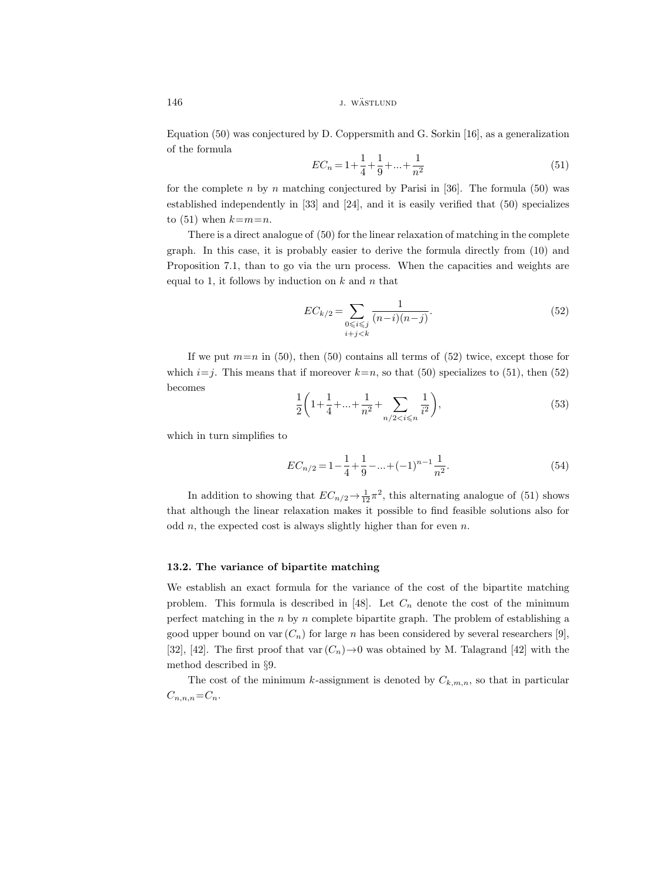146 *j. wästlund j. wästlund* 

Equation (50) was conjectured by D. Coppersmith and G. Sorkin [16], as a generalization of the formula

$$
EC_n = 1 + \frac{1}{4} + \frac{1}{9} + \dots + \frac{1}{n^2}
$$
\n<sup>(51)</sup>

for the complete n by n matching conjectured by Parisi in [36]. The formula (50) was established independently in [33] and [24], and it is easily verified that (50) specializes to  $(51)$  when  $k=m=n$ .

There is a direct analogue of (50) for the linear relaxation of matching in the complete graph. In this case, it is probably easier to derive the formula directly from (10) and Proposition 7.1, than to go via the urn process. When the capacities and weights are equal to 1, it follows by induction on  $k$  and  $n$  that

$$
EC_{k/2} = \sum_{\substack{0 \le i \le j \\ i+j < k}} \frac{1}{(n-i)(n-j)}.\tag{52}
$$

If we put  $m=n$  in (50), then (50) contains all terms of (52) twice, except those for which  $i=j$ . This means that if moreover  $k=n$ , so that (50) specializes to (51), then (52) becomes

$$
\frac{1}{2}\left(1+\frac{1}{4}+\ldots+\frac{1}{n^2}+\sum_{n/2
$$

which in turn simplifies to

$$
EC_{n/2} = 1 - \frac{1}{4} + \frac{1}{9} - \dots + (-1)^{n-1} \frac{1}{n^2}.
$$
\n(54)

In addition to showing that  $EC_{n/2} \to \frac{1}{12}\pi^2$ , this alternating analogue of (51) shows that although the linear relaxation makes it possible to find feasible solutions also for odd  $n$ , the expected cost is always slightly higher than for even  $n$ .

# 13.2. The variance of bipartite matching

We establish an exact formula for the variance of the cost of the bipartite matching problem. This formula is described in [48]. Let  $C_n$  denote the cost of the minimum perfect matching in the  $n$  by  $n$  complete bipartite graph. The problem of establishing a good upper bound on var  $(C_n)$  for large n has been considered by several researchers [9], [32], [42]. The first proof that var  $(C_n) \rightarrow 0$  was obtained by M. Talagrand [42] with the method described in §9.

The cost of the minimum k-assignment is denoted by  $C_{k,m,n}$ , so that in particular  $C_{n,n,n}=C_n$ .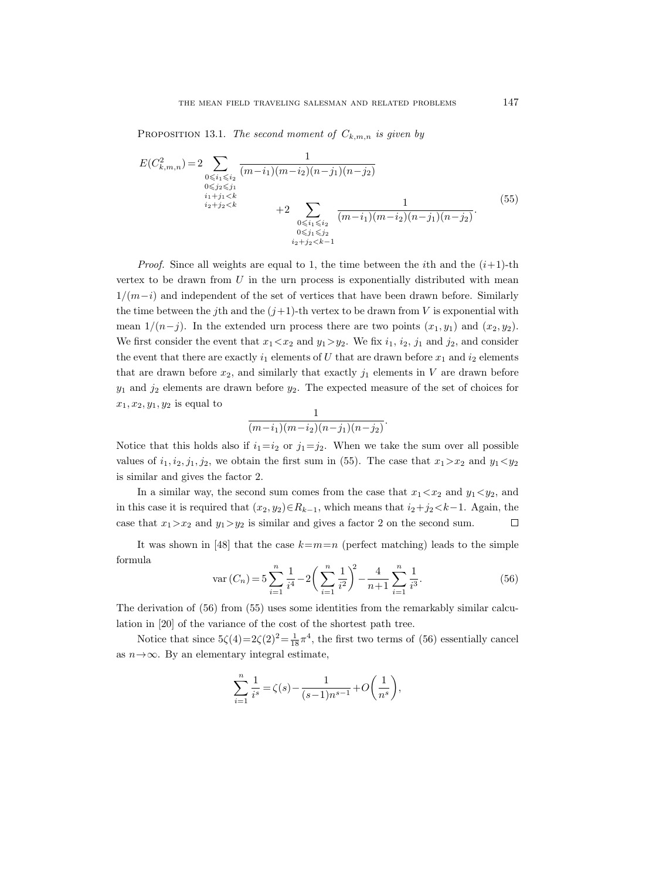PROPOSITION 13.1. The second moment of  $C_{k,m,n}$  is given by

$$
E(C_{k,m,n}^{2}) = 2 \sum_{\substack{0 \le i_1 \le i_2 \\ i_2 + j_1 < k}} \frac{1}{(m - i_1)(m - i_2)(n - j_1)(n - j_2)} + 2 \sum_{\substack{0 \le i_1 \le i_2 \\ i_2 + j_2 < k}} \frac{1}{(m - i_1)(m - i_2)(n - j_1)(n - j_2)}.
$$
\n
$$
(55)
$$
\n
$$
\sum_{\substack{0 \le i_1 \le i_2 \\ i_2 + j_2 < k - 1}} \frac{1}{(m - i_1)(m - i_2)(n - j_1)(n - j_2)}.
$$

*Proof.* Since all weights are equal to 1, the time between the *i*th and the  $(i+1)$ -th vertex to be drawn from  $U$  in the urn process is exponentially distributed with mean  $1/(m-i)$  and independent of the set of vertices that have been drawn before. Similarly the time between the jth and the  $(j+1)$ -th vertex to be drawn from V is exponential with mean  $1/(n-j)$ . In the extended urn process there are two points  $(x_1, y_1)$  and  $(x_2, y_2)$ . We first consider the event that  $x_1 < x_2$  and  $y_1 > y_2$ . We fix  $i_1, i_2, j_1$  and  $j_2$ , and consider the event that there are exactly  $i_1$  elements of U that are drawn before  $x_1$  and  $i_2$  elements that are drawn before  $x_2$ , and similarly that exactly  $j_1$  elements in V are drawn before  $y_1$  and  $j_2$  elements are drawn before  $y_2$ . The expected measure of the set of choices for  $x_1, x_2, y_1, y_2$  is equal to

$$
\frac{1}{(m-i_1)(m-i_2)(n-j_1)(n-j_2)}.
$$

Notice that this holds also if  $i_1=i_2$  or  $j_1=j_2$ . When we take the sum over all possible values of  $i_1, i_2, j_1, j_2$ , we obtain the first sum in (55). The case that  $x_1 > x_2$  and  $y_1 < y_2$ is similar and gives the factor 2.

In a similar way, the second sum comes from the case that  $x_1 \lt x_2$  and  $y_1 \lt y_2$ , and in this case it is required that  $(x_2, y_2) \in R_{k-1}$ , which means that  $i_2 + j_2 < k-1$ . Again, the case that  $x_1 > x_2$  and  $y_1 > y_2$  is similar and gives a factor 2 on the second sum.  $\Box$ 

It was shown in [48] that the case  $k=m=n$  (perfect matching) leads to the simple formula

$$
\operatorname{var}\left(C_{n}\right) = 5\sum_{i=1}^{n} \frac{1}{i^{4}} - 2\left(\sum_{i=1}^{n} \frac{1}{i^{2}}\right)^{2} - \frac{4}{n+1}\sum_{i=1}^{n} \frac{1}{i^{3}}.\tag{56}
$$

The derivation of (56) from (55) uses some identities from the remarkably similar calculation in [20] of the variance of the cost of the shortest path tree.

Notice that since  $5\zeta(4)=2\zeta(2)^2=\frac{1}{18}\pi^4$ , the first two terms of (56) essentially cancel as  $n \rightarrow \infty$ . By an elementary integral estimate,

$$
\sum_{i=1}^{n} \frac{1}{i^s} = \zeta(s) - \frac{1}{(s-1)n^{s-1}} + O\left(\frac{1}{n^s}\right),
$$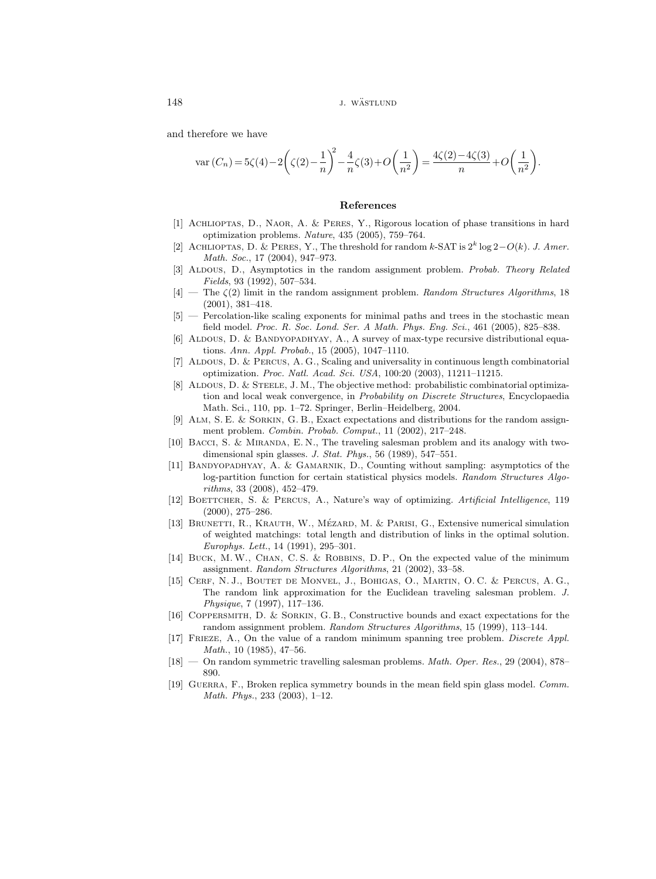and therefore we have

$$
\operatorname{var}(C_n) = 5\zeta(4) - 2\left(\zeta(2) - \frac{1}{n}\right)^2 - \frac{4}{n}\zeta(3) + O\left(\frac{1}{n^2}\right) = \frac{4\zeta(2) - 4\zeta(3)}{n} + O\left(\frac{1}{n^2}\right).
$$

### References

- [1] Achlioptas, D., Naor, A. & Peres, Y., Rigorous location of phase transitions in hard optimization problems. Nature, 435 (2005), 759–764.
- [2] ACHLIOPTAS, D. & PERES, Y., The threshold for random k-SAT is  $2^k \log 2 O(k)$ . J. Amer. Math. Soc., 17 (2004), 947–973.
- [3] ALDOUS, D., Asymptotics in the random assignment problem. Probab. Theory Related Fields, 93 (1992), 507–534.
- $[4]$  The  $\zeta(2)$  limit in the random assignment problem. Random Structures Algorithms, 18 (2001), 381–418.
- [5] Percolation-like scaling exponents for minimal paths and trees in the stochastic mean field model. Proc. R. Soc. Lond. Ser. A Math. Phys. Eng. Sci., 461 (2005), 825–838.
- [6] ALDOUS, D. & BANDYOPADHYAY, A., A survey of max-type recursive distributional equations. Ann. Appl. Probab., 15 (2005), 1047–1110.
- [7] Aldous, D. & Percus, A. G., Scaling and universality in continuous length combinatorial optimization. Proc. Natl. Acad. Sci. USA, 100:20 (2003), 11211–11215.
- [8] ALDOUS, D. & STEELE, J. M., The objective method: probabilistic combinatorial optimization and local weak convergence, in Probability on Discrete Structures, Encyclopaedia Math. Sci., 110, pp. 1–72. Springer, Berlin–Heidelberg, 2004.
- [9] Alm, S. E. & Sorkin, G. B., Exact expectations and distributions for the random assignment problem. Combin. Probab. Comput., 11 (2002), 217–248.
- [10] Bacci, S. & Miranda, E. N., The traveling salesman problem and its analogy with twodimensional spin glasses. J. Stat. Phys., 56 (1989), 547–551.
- [11] BANDYOPADHYAY, A. & GAMARNIK, D., Counting without sampling: asymptotics of the log-partition function for certain statistical physics models. Random Structures Algorithms, 33 (2008), 452–479.
- [12] BOETTCHER, S. & PERCUS, A., Nature's way of optimizing. Artificial Intelligence, 119 (2000), 275–286.
- [13] BRUNETTI, R., KRAUTH, W., MÉZARD, M. & PARISI, G., Extensive numerical simulation of weighted matchings: total length and distribution of links in the optimal solution. Europhys. Lett., 14 (1991), 295–301.
- [14] BUCK, M. W., CHAN, C. S. & ROBBINS, D. P., On the expected value of the minimum assignment. Random Structures Algorithms, 21 (2002), 33–58.
- [15] Cerf, N. J., Boutet de Monvel, J., Bohigas, O., Martin, O. C. & Percus, A. G., The random link approximation for the Euclidean traveling salesman problem. J. Physique, 7 (1997), 117–136.
- [16] Coppersmith, D. & Sorkin, G. B., Constructive bounds and exact expectations for the random assignment problem. Random Structures Algorithms, 15 (1999), 113–144.
- [17] Frieze, A., On the value of a random minimum spanning tree problem. Discrete Appl. Math., 10 (1985), 47–56.
- [18] On random symmetric travelling salesman problems. Math. Oper. Res., 29 (2004), 878– 890.
- [19] Guerra, F., Broken replica symmetry bounds in the mean field spin glass model. Comm. Math. Phys., 233 (2003), 1–12.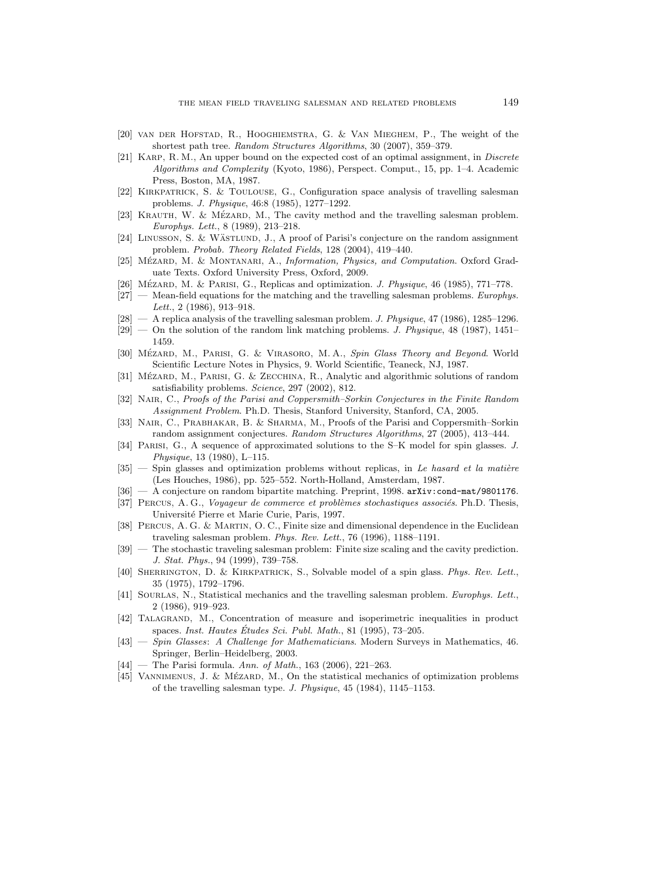- [20] van der Hofstad, R., Hooghiemstra, G. & Van Mieghem, P., The weight of the shortest path tree. Random Structures Algorithms, 30 (2007), 359–379.
- [21] KARP, R. M., An upper bound on the expected cost of an optimal assignment, in *Discrete* Algorithms and Complexity (Kyoto, 1986), Perspect. Comput., 15, pp. 1–4. Academic Press, Boston, MA, 1987.
- [22] Kirkpatrick, S. & Toulouse, G., Configuration space analysis of travelling salesman problems. J. Physique, 46:8 (1985), 1277–1292.
- [23] KRAUTH, W. & MÉZARD, M., The cavity method and the travelling salesman problem. Europhys. Lett., 8 (1989), 213–218.
- [24] LINUSSON, S. & WÄSTLUND, J., A proof of Parisi's conjecture on the random assignment problem. Probab. Theory Related Fields, 128 (2004), 419–440.
- [25] MÉZARD, M. & MONTANARI, A., *Information, Physics, and Computation*. Oxford Graduate Texts. Oxford University Press, Oxford, 2009.
- [26] MÉZARD, M. & PARISI, G., Replicas and optimization. J. Physique, 46 (1985), 771–778.
- $[27]$  Mean-field equations for the matching and the travelling salesman problems. Europhys. Lett., 2 (1986), 913–918.
- $[28]$  A replica analysis of the travelling salesman problem. *J. Physique*, 47 (1986), 1285–1296.
- $[29]$  On the solution of the random link matching problems. J. Physique, 48 (1987), 1451– 1459.
- [30] MÉZARD, M., PARISI, G. & VIRASORO, M.A., Spin Glass Theory and Beyond. World Scientific Lecture Notes in Physics, 9. World Scientific, Teaneck, NJ, 1987.
- [31] MÉZARD, M., PARISI, G. & ZECCHINA, R., Analytic and algorithmic solutions of random satisfiability problems. Science, 297 (2002), 812.
- [32] NAIR, C., Proofs of the Parisi and Coppersmith–Sorkin Conjectures in the Finite Random Assignment Problem. Ph.D. Thesis, Stanford University, Stanford, CA, 2005.
- [33] NAIR, C., PRABHAKAR, B. & SHARMA, M., Proofs of the Parisi and Coppersmith–Sorkin random assignment conjectures. Random Structures Algorithms, 27 (2005), 413–444.
- [34] Parisi, G., A sequence of approximated solutions to the S–K model for spin glasses. J. Physique, 13 (1980), L–115.
- $[35]$  Spin glasses and optimization problems without replicas, in Le hasard et la matière (Les Houches, 1986), pp. 525–552. North-Holland, Amsterdam, 1987.
- [36] A conjecture on random bipartite matching. Preprint, 1998. arXiv:cond-mat/9801176.
- [37] PERCUS, A. G., Voyageur de commerce et problèmes stochastiques associés. Ph.D. Thesis, Universit´e Pierre et Marie Curie, Paris, 1997.
- [38] Percus, A. G. & Martin, O. C., Finite size and dimensional dependence in the Euclidean traveling salesman problem. Phys. Rev. Lett., 76 (1996), 1188–1191.
- [39] The stochastic traveling salesman problem: Finite size scaling and the cavity prediction. J. Stat. Phys., 94 (1999), 739–758.
- [40] SHERRINGTON, D. & KIRKPATRICK, S., Solvable model of a spin glass. Phys. Rev. Lett., 35 (1975), 1792–1796.
- [41] SOURLAS, N., Statistical mechanics and the travelling salesman problem. Europhys. Lett., 2 (1986), 919–923.
- [42] Talagrand, M., Concentration of measure and isoperimetric inequalities in product spaces. Inst. Hautes Études Sci. Publ. Math., 81 (1995), 73–205.
- [43] Spin Glasses: A Challenge for Mathematicians. Modern Surveys in Mathematics, 46. Springer, Berlin–Heidelberg, 2003.
- $[44]$  The Parisi formula. Ann. of Math., 163 (2006), 221–263.
- [45] VANNIMENUS, J. & MÉZARD, M., On the statistical mechanics of optimization problems of the travelling salesman type. J. Physique, 45 (1984), 1145–1153.